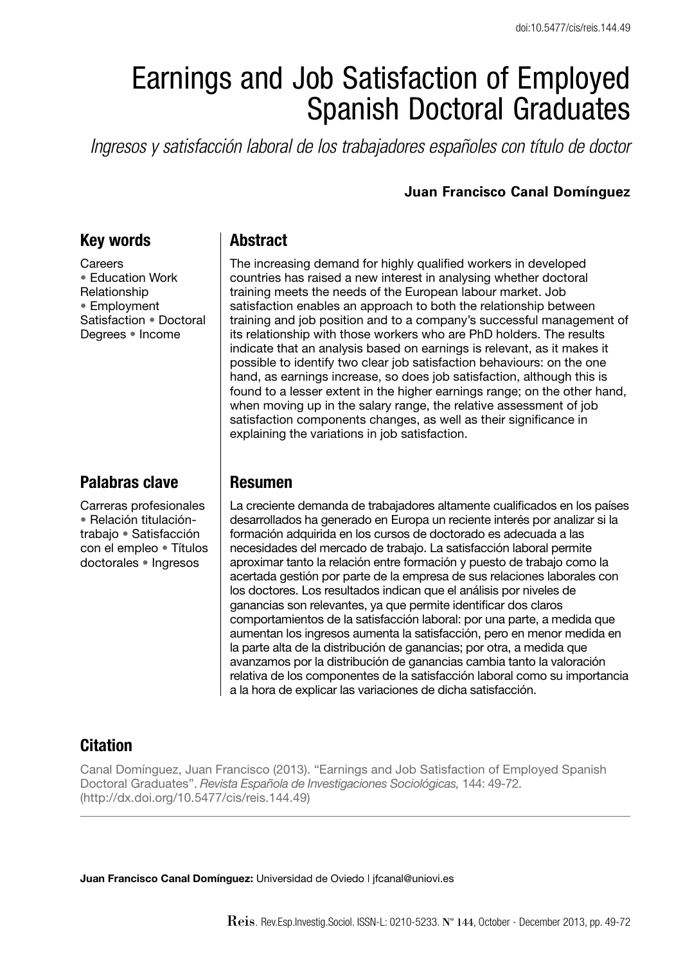# Earnings and Job Satisfaction of Employed Spanish Doctoral Graduates

*Ingresos y satisfacción laboral de los trabajadores españoles con título de doctor*

#### **Juan Francisco Canal Domínguez**

#### **Key words**

**Careers** • Education Work Relationship • Employment Satisfaction • Doctoral Degrees • Income

#### **Palabras clave**

Carreras profesionales • Relación titulacióntrabajo • Satisfacción con el empleo • Títulos doctorales • Ingresos

#### **Abstract**

The increasing demand for highly qualified workers in developed countries has raised a new interest in analysing whether doctoral training meets the needs of the European labour market. Job satisfaction enables an approach to both the relationship between training and job position and to a company's successful management of its relationship with those workers who are PhD holders. The results indicate that an analysis based on earnings is relevant, as it makes it possible to identify two clear job satisfaction behaviours: on the one hand, as earnings increase, so does job satisfaction, although this is found to a lesser extent in the higher earnings range; on the other hand, when moving up in the salary range, the relative assessment of job satisfaction components changes, as well as their significance in explaining the variations in job satisfaction.

#### **Resumen**

La creciente demanda de trabajadores altamente cualificados en los países desarrollados ha generado en Europa un reciente interés por analizar si la form ación adquirida en los cursos de doctorado es adecuada a las necesidades del mercado de trabajo. La satisfacción laboral permite aproximar tanto la relación entre formación y puesto de trabajo como la acertada gestión por parte de la empresa de sus relaciones laborales con los doctores. Los resultados indican que el análisis por niveles de ganancias son relevantes, ya que permite identificar dos claros comportamientos de la satisfacción laboral: por una parte, a medida que aumentan los ingresos aumenta la satisfacción, pero en menor medida en la parte alta de la distribución de ganancias; por otra, a medida que avanzamos por la distribución de ganancias cambia tanto la valoración relativa de los componentes de la satisfacción laboral como su importancia a la hora de explicar las variaciones de dicha satisfacción.

### **Citation**

Canal Domínguez, Juan Francisco (2013). "Earnings and Job Satisfaction of Employed Spanish Doctoral Graduates". *Revista Española de Investigaciones Sociológicas,* 144: 49-72. (http://dx.doi.org/10.5477/cis/reis.144.49)

**Juan Francisco Canal Domínguez:** Universidad de Oviedo | jfcanal@uniovi.es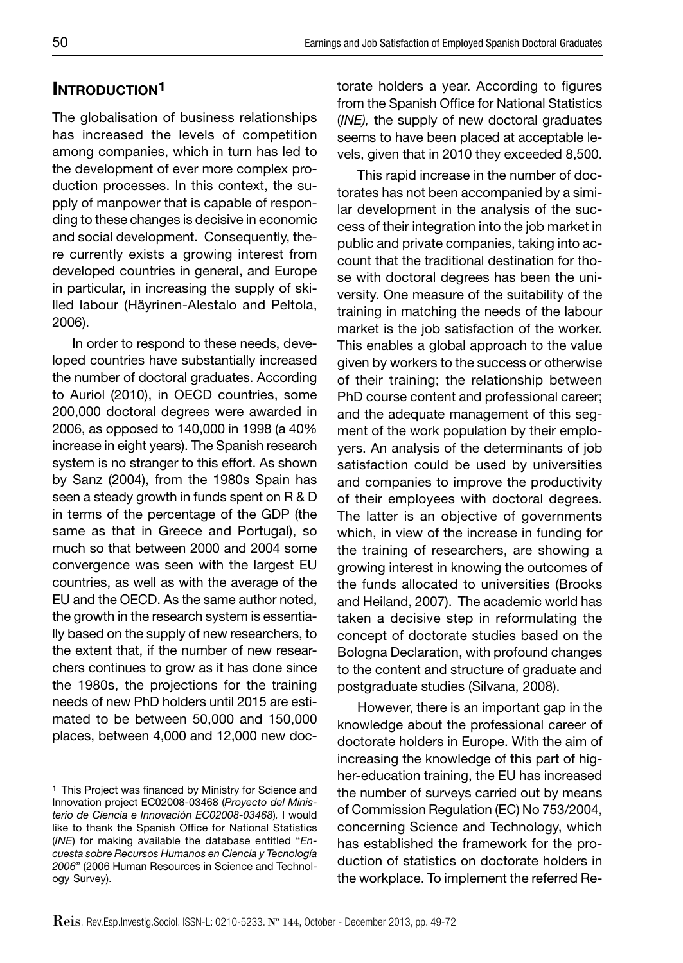## **INTRODUCTION1**

The globalisation of business relationships has increased the levels of competition among companies, which in turn has led to the development of ever more complex production processes. In this context, the supply of manpower that is capable of responding to these changes is decisive in economic and social development. Consequently, there currently exists a growing interest from developed countries in general, and Europe in particular, in increasing the supply of skilled labour (Häyrinen-Alestalo and Peltola, 2006).

In order to respond to these needs, developed countries have substantially increased the number of doctoral graduates. According to Auriol (2010), in OECD countries, some 200,000 doctoral degrees were awarded in 2006, as opposed to 140,000 in 1998 (a 40% increase in eight years). The Spanish research system is no stranger to this effort. As shown by Sanz (2004), from the 1980s Spain has seen a steady growth in funds spent on R & D in terms of the percentage of the GDP (the same as that in Greece and Portugal), so much so that between 2000 and 2004 some convergence was seen with the largest EU countries, as well as with the average of the EU and the OECD. As the same author noted, the growth in the research system is essentially based on the supply of new researchers, to the extent that, if the number of new researchers continues to grow as it has done since the 1980s, the projections for the training needs of new PhD holders until 2015 are estimated to be between 50,000 and 150,000 places, between 4,000 and 12,000 new doctorate holders a year. According to figures from the Spanish Office for National Statistics (*INE),* the supply of new doctoral graduates seems to have been placed at acceptable levels, given that in 2010 they exceeded 8,500.

This rapid increase in the number of doctorates has not been accompanied by a similar development in the analysis of the success of their integration into the job market in public and private companies, taking into account that the traditional destination for those with doctoral degrees has been the university. One measure of the suitability of the training in matching the needs of the labour market is the job satisfaction of the worker. This enables a global approach to the value given by workers to the success or otherwise of their training; the relationship between PhD course content and professional career; and the adequate management of this segment of the work population by their employers. An analysis of the determinants of job satisfaction could be used by universities and companies to improve the productivity of their employees with doctoral degrees. The latter is an objective of governments which, in view of the increase in funding for the training of researchers, are showing a growing interest in knowing the outcomes of the funds allocated to universities (Brooks and Heiland, 2007). The academic world has taken a decisive step in reformulating the concept of doctorate studies based on the Bologna Declaration, with profound changes to the content and structure of graduate and postgraduate studies (Silvana, 2008).

However, there is an important gap in the knowledge about the professional career of doctorate holders in Europe. With the aim of increasing the knowledge of this part of higher-education training, the EU has increased the number of surveys carried out by means of Commission Regulation (EC) No 753/2004, concerning Science and Technology, which has established the framework for the production of statistics on doctorate holders in the workplace. To implement the referred Re-

<sup>&</sup>lt;sup>1</sup> This Project was financed by Ministry for Science and Innovation project EC02008-03468 (*Proyecto del Ministerio de Ciencia e Innovación EC02008-03468*)*.* I would like to thank the Spanish Office for National Statistics (*INE*) for making available the database entitled "*Encuesta sobre Recursos Humanos en Ciencia y Tecnología 2006*" (2006 Human Resources in Science and Technology Survey).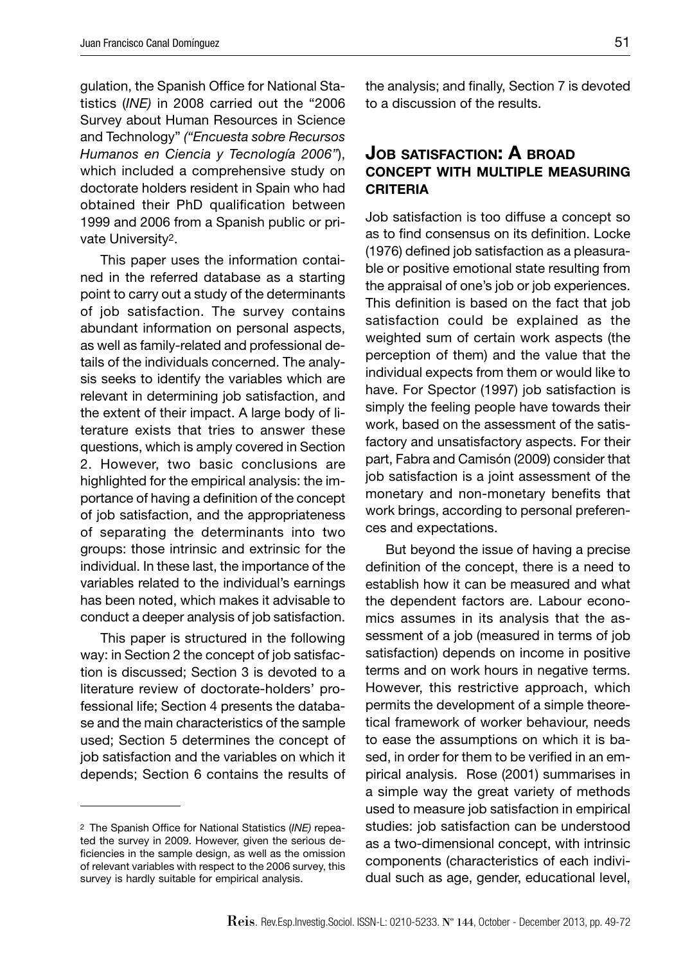gulation, the Spanish Office for National Statistics (*INE)* in 2008 carried out the "2006 Survey about Human Resources in Science and Technology" *("Encuesta sobre Recursos Humanos en Ciencia y Tecnología 2006"*), which included a comprehensive study on doctorate holders resident in Spain who had obtained their PhD qualification between 1999 and 2006 from a Spanish public or private University2.

This paper uses the information contained in the referred database as a starting point to carry out a study of the determinants of job satisfaction. The survey contains abundant information on personal aspects, as well as family-related and professional details of the individuals concerned. The analysis seeks to identify the variables which are relevant in determining job satisfaction, and the extent of their impact. A large body of literature exists that tries to answer these questions, which is amply covered in Section 2. However, two basic conclusions are highlighted for the empirical analysis: the importance of having a definition of the concept of job satisfaction, and the appropriateness of separating the determinants into two groups: those intrinsic and extrinsic for the individual. In these last, the importance of the variables related to the individual's earnings has been noted, which makes it advisable to conduct a deeper analysis of job satisfaction.

This paper is structured in the following way: in Section 2 the concept of job satisfaction is discussed; Section 3 is devoted to a literature review of doctorate-holders' professional life; Section 4 presents the database and the main characteristics of the sample used; Section 5 determines the concept of job satisfaction and the variables on which it depends; Section 6 contains the results of the analysis; and finally, Section 7 is devoted to a discussion of the results.

#### **JOB SATISFACTION: A BROAD CONCEPT WITH MULTIPLE MEASURING CRITERIA**

Job satisfaction is too diffuse a concept so as to find consensus on its definition. Locke  $(1976)$  defined job satisfaction as a pleasurable or positive emotional state resulting from the appraisal of one's job or job experiences. This definition is based on the fact that job satisfaction could be explained as the weighted sum of certain work aspects (the perception of them) and the value that the individual expects from them or would like to have. For Spector (1997) job satisfaction is simply the feeling people have towards their work, based on the assessment of the satisfactory and unsatisfactory aspects. For their part, Fabra and Camisón (2009) consider that job satisfaction is a joint assessment of the monetary and non-monetary benefits that work brings, according to personal preferences and expectations.

But beyond the issue of having a precise definition of the concept, there is a need to establish how it can be measured and what the dependent factors are. Labour economics assumes in its analysis that the assessment of a job (measured in terms of job satisfaction) depends on income in positive terms and on work hours in negative terms. However, this restrictive approach, which permits the development of a simple theoretical framework of worker behaviour, needs to ease the assumptions on which it is based, in order for them to be verified in an empirical analysis. Rose (2001) summarises in a simple way the great variety of methods used to measure job satisfaction in empirical studies: job satisfaction can be understood as a two-dimensional concept, with intrinsic components (characteristics of each individual such as age, gender, educational level,

<sup>&</sup>lt;sup>2</sup> The Spanish Office for National Statistics (INE) repeated the survey in 2009. However, given the serious deficiencies in the sample design, as well as the omission of relevant variables with respect to the 2006 survey, this survey is hardly suitable for empirical analysis.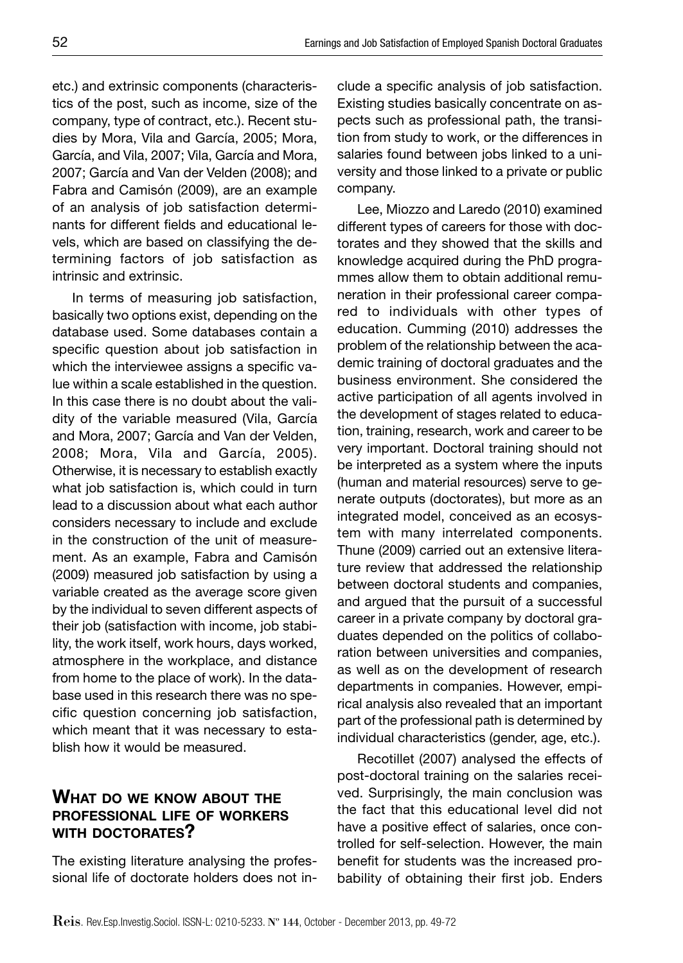etc.) and extrinsic components (characteristics of the post, such as income, size of the company, type of contract, etc.). Recent studies by Mora, Vila and García, 2005; Mora, García, and Vila, 2007; Vila, García and Mora, 2007; García and Van der Velden (2008); and Fabra and Camisón (2009), are an example of an analysis of job satisfaction determinants for different fields and educational levels, which are based on classifying the determining factors of job satisfaction as intrinsic and extrinsic.

In terms of measuring job satisfaction, basically two options exist, depending on the database used. Some databases contain a specific question about job satisfaction in which the interviewee assigns a specific value within a scale established in the question. In this case there is no doubt about the validity of the variable measured (Vila, García and Mora, 2007; García and Van der Velden, 2008; Mora, Vila and García, 2005). Otherwise, it is necessary to establish exactly what job satisfaction is, which could in turn lead to a discussion about what each author considers necessary to include and exclude in the construction of the unit of measurement. As an example, Fabra and Camisón (2009) measured job satisfaction by using a variable created as the average score given by the individual to seven different aspects of their job (satisfaction with income, job stability, the work itself, work hours, days worked, atmosphere in the workplace, and distance from home to the place of work). In the database used in this research there was no specific question concerning job satisfaction, which meant that it was necessary to establish how it would be measured.

#### **WHAT DO WE KNOW ABOUT THE PROFESSIONAL LIFE OF WORKERS WITH DOCTORATES?**

The existing literature analysing the professional life of doctorate holders does not include a specific analysis of job satisfaction. Existing studies basically concentrate on aspects such as professional path, the transition from study to work, or the differences in salaries found between jobs linked to a university and those linked to a private or public company.

Lee, Miozzo and Laredo (2010) examined different types of careers for those with doctorates and they showed that the skills and knowledge acquired during the PhD programmes allow them to obtain additional remuneration in their professional career compared to individuals with other types of education. Cumming (2010) addresses the problem of the relationship between the academic training of doctoral graduates and the business environment. She considered the active participation of all agents involved in the development of stages related to education, training, research, work and career to be very important. Doctoral training should not be interpreted as a system where the inputs (human and material resources) serve to generate outputs (doctorates), but more as an integrated model, conceived as an ecosystem with many interrelated components. Thune (2009) carried out an extensive literature review that addressed the relationship between doctoral students and companies, and argued that the pursuit of a successful career in a private company by doctoral graduates depended on the politics of collaboration between universities and companies, as well as on the development of research departments in companies. However, empirical analysis also revealed that an important part of the professional path is determined by individual characteristics (gender, age, etc.).

Recotillet (2007) analysed the effects of post-doctoral training on the salaries received. Surprisingly, the main conclusion was the fact that this educational level did not have a positive effect of salaries, once controlled for self-selection. However, the main benefit for students was the increased probability of obtaining their first job. Enders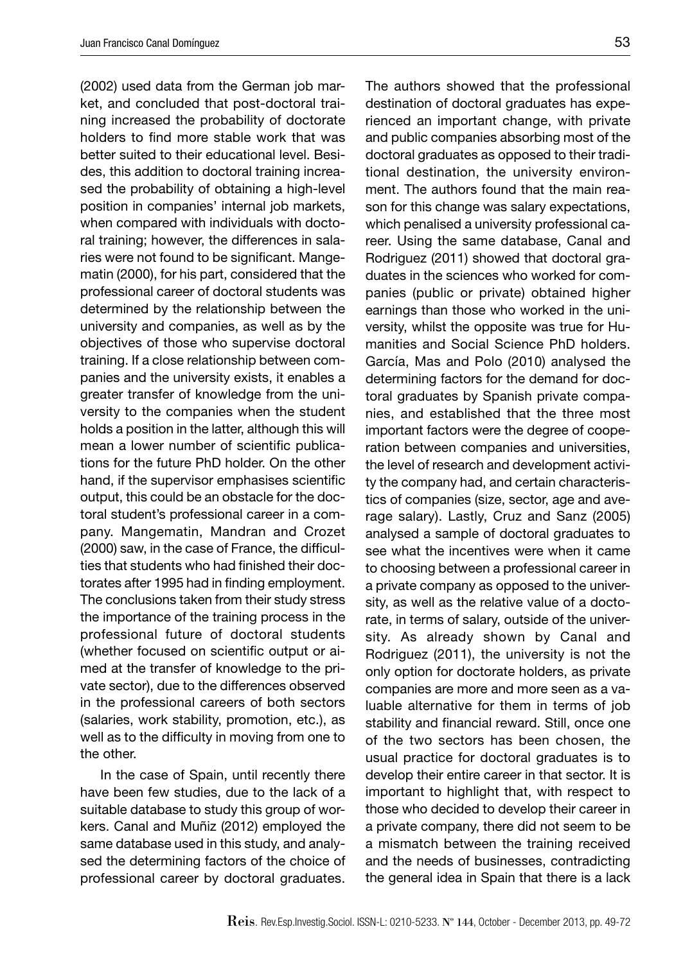(2002) used data from the German job market, and concluded that post-doctoral training increased the probability of doctorate holders to find more stable work that was better suited to their educational level. Besides, this addition to doctoral training increased the probability of obtaining a high-level position in companies' internal job markets, when compared with individuals with doctoral training; however, the differences in salaries were not found to be significant. Mangematin (2000), for his part, considered that the professional career of doctoral students was determined by the relationship between the university and companies, as well as by the objectives of those who supervise doctoral training. If a close relationship between companies and the university exists, it enables a greater transfer of knowledge from the university to the companies when the student holds a position in the latter, although this will mean a lower number of scientific publications for the future PhD holder. On the other hand, if the supervisor emphasises scientific output, this could be an obstacle for the doctoral student's professional career in a company. Mangematin, Mandran and Crozet (2000) saw, in the case of France, the difficulties that students who had finished their doctorates after 1995 had in finding employment. The conclusions taken from their study stress the importance of the training process in the professional future of doctoral students (whether focused on scientific output or aimed at the transfer of knowledge to the private sector), due to the differences observed in the professional careers of both sectors (salaries, work stability, promotion, etc.), as well as to the difficulty in moving from one to the other.

In the case of Spain, until recently there have been few studies, due to the lack of a suitable database to study this group of workers. Canal and Muñiz (2012) employed the same database used in this study, and analysed the determining factors of the choice of professional career by doctoral graduates.

The authors showed that the professional destination of doctoral graduates has experienced an important change, with private and public companies absorbing most of the doctoral graduates as opposed to their traditional destination, the university environment. The authors found that the main reason for this change was salary expectations, which penalised a university professional career. Using the same database, Canal and Rodriguez (2011) showed that doctoral graduates in the sciences who worked for companies (public or private) obtained higher earnings than those who worked in the university, whilst the opposite was true for Humanities and Social Science PhD holders. García, Mas and Polo (2010) analysed the determining factors for the demand for doctoral graduates by Spanish private companies, and established that the three most important factors were the degree of cooperation between companies and universities, the level of research and development activity the company had, and certain characteristics of companies (size, sector, age and average salary). Lastly, Cruz and Sanz (2005) analysed a sample of doctoral graduates to see what the incentives were when it came to choosing between a professional career in a private company as opposed to the university, as well as the relative value of a doctorate, in terms of salary, outside of the university. As already shown by Canal and Rodriguez (2011), the university is not the only option for doctorate holders, as private companies are more and more seen as a valuable alternative for them in terms of job stability and financial reward. Still, once one of the two sectors has been chosen, the usual practice for doctoral graduates is to develop their entire career in that sector. It is important to highlight that, with respect to those who decided to develop their career in a private company, there did not seem to be a mismatch between the training received and the needs of businesses, contradicting the general idea in Spain that there is a lack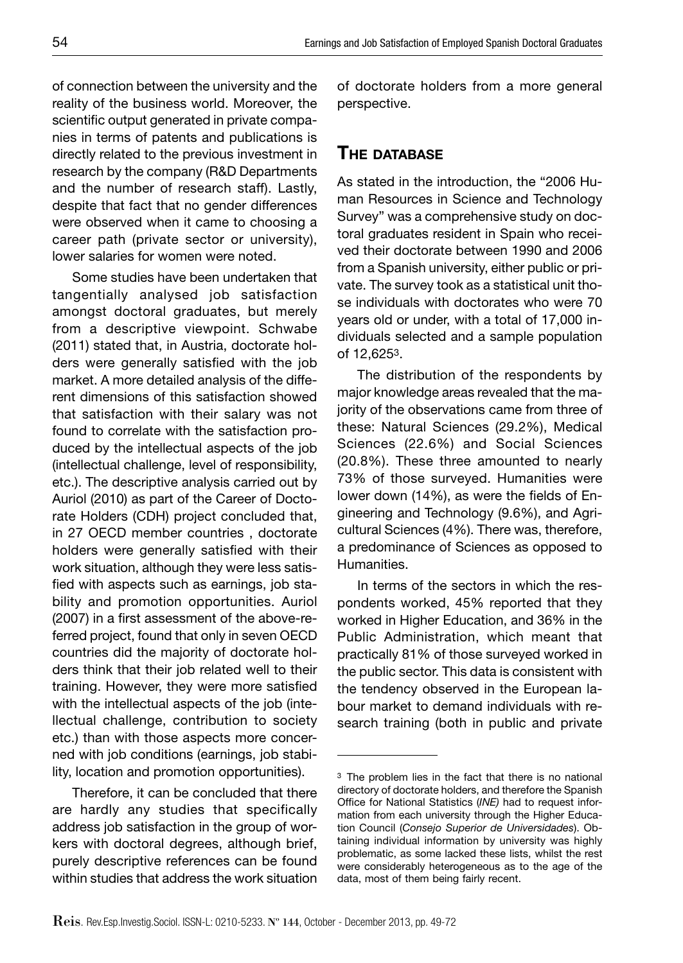of connection between the university and the reality of the business world. Moreover, the scientific output generated in private companies in terms of patents and publications is directly related to the previous investment in research by the company (R&D Departments and the number of research staff). Lastly, despite that fact that no gender differences were observed when it came to choosing a career path (private sector or university), lower salaries for women were noted.

Some studies have been undertaken that tangentially analysed job satisfaction amongst doctoral graduates, but merely from a descriptive viewpoint. Schwabe (2011) stated that, in Austria, doctorate holders were generally satisfied with the job market. A more detailed analysis of the different dimensions of this satisfaction showed that satisfaction with their salary was not found to correlate with the satisfaction produced by the intellectual aspects of the job (intellectual challenge, level of responsibility, etc.). The descriptive analysis carried out by Auriol (2010) as part of the Career of Doctorate Holders (CDH) project concluded that, in 27 OECD member countries , doctorate holders were generally satisfied with their work situation, although they were less satisfied with aspects such as earnings, job stability and promotion opportunities. Auriol (2007) in a first assessment of the above-referred project, found that only in seven OECD countries did the majority of doctorate holders think that their job related well to their training. However, they were more satisfied with the intellectual aspects of the job (intellectual challenge, contribution to society etc.) than with those aspects more concerned with job conditions (earnings, job stability, location and promotion opportunities).

Therefore, it can be concluded that there are hardly any studies that specifically address job satisfaction in the group of workers with doctoral degrees, although brief, purely descriptive references can be found within studies that address the work situation of doctorate holders from a more general perspective.

#### **THE DATABASE**

As stated in the introduction, the "2006 Human Resources in Science and Technology Survey" was a comprehensive study on doctoral graduates resident in Spain who received their doctorate between 1990 and 2006 from a Spanish university, either public or private. The survey took as a statistical unit those individuals with doctorates who were 70 years old or under, with a total of 17,000 individuals selected and a sample population of 12,6253.

The distribution of the respondents by major knowledge areas revealed that the majority of the observations came from three of these: Natural Sciences (29.2%), Medical Sciences (22.6%) and Social Sciences (20.8%). These three amounted to nearly 73% of those surveyed. Humanities were lower down (14%), as were the fields of Engineering and Technology (9.6%), and Agricultural Sciences (4%). There was, therefore, a predominance of Sciences as opposed to Humanities.

In terms of the sectors in which the respondents worked, 45% reported that they worked in Higher Education, and 36% in the Public Administration, which meant that practically 81% of those surveyed worked in the public sector. This data is consistent with the tendency observed in the European labour market to demand individuals with research training (both in public and private

<sup>3</sup> The problem lies in the fact that there is no national directory of doctorate holders, and therefore the Spanish Office for National Statistics (INE) had to request information from each university through the Higher Education Council (*Consejo Superior de Universidades*). Obtaining individual information by university was highly problematic, as some lacked these lists, whilst the rest were considerably heterogeneous as to the age of the data, most of them being fairly recent.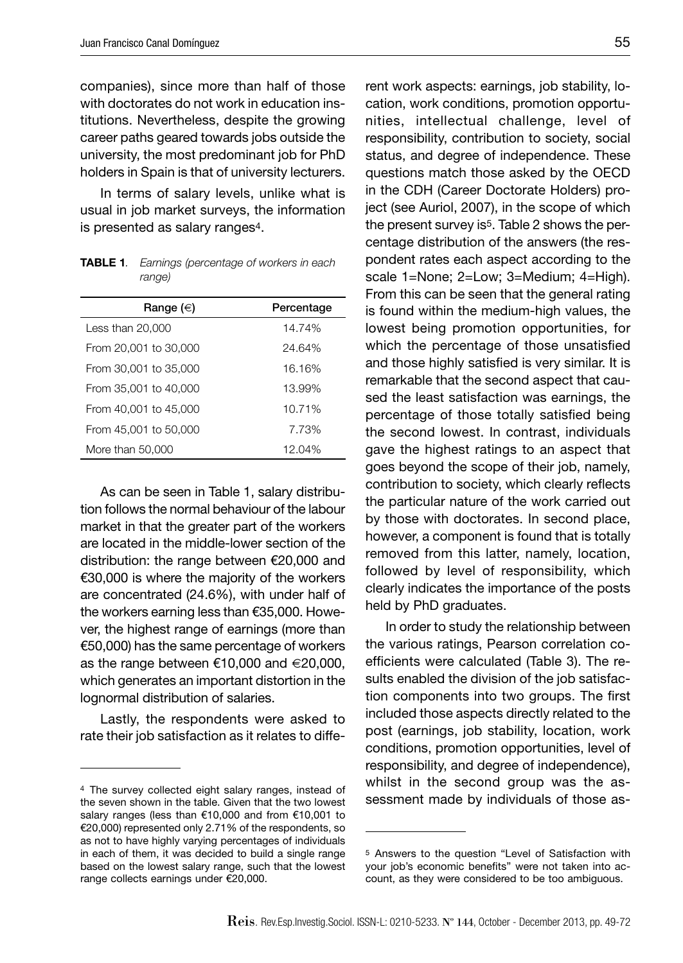companies), since more than half of those with doctorates do not work in education institutions. Nevertheless, despite the growing career paths geared towards jobs outside the university, the most predominant job for PhD holders in Spain is that of university lecturers.

In terms of salary levels, unlike what is usual in job market surveys, the information is presented as salary ranges4.

**TABLE 1***. Earnings (percentage of workers in each range)*

| Range $(\in)$         | Percentage |
|-----------------------|------------|
| Less than 20,000      | 14.74%     |
| From 20,001 to 30,000 | 24.64%     |
| From 30,001 to 35,000 | 16.16%     |
| From 35,001 to 40,000 | 13.99%     |
| From 40.001 to 45.000 | 10.71%     |
| From 45,001 to 50,000 | 7.73%      |
| More than 50,000      | 12.04%     |

As can be seen in Table 1, salary distribution follows the normal behaviour of the labour market in that the greater part of the workers are located in the middle-lower section of the distribution: the range between €20,000 and €30,000 is where the majority of the workers are concentrated (24.6%), with under half of the workers earning less than €35,000. However, the highest range of earnings (more than €50,000) has the same percentage of workers as the range between €10,000 and €20,000, which generates an important distortion in the lognormal distribution of salaries.

Lastly, the respondents were asked to rate their job satisfaction as it relates to different work aspects: earnings, job stability, location, work conditions, promotion opportunities, intellectual challenge, level of responsibility, contribution to society, social status, and degree of independence. These questions match those asked by the OECD in the CDH (Career Doctorate Holders) project (see Auriol, 2007), in the scope of which the present survey is<sup>5</sup>. Table 2 shows the percentage distribution of the answers (the respondent rates each aspect according to the scale 1=None; 2=Low; 3=Medium; 4=High). From this can be seen that the general rating is found within the medium-high values, the lowest being promotion opportunities, for which the percentage of those unsatisfied and those highly satisfied is very similar. It is remarkable that the second aspect that caused the least satisfaction was earnings, the percentage of those totally satisfied being the second lowest. In contrast, individuals gave the highest ratings to an aspect that goes beyond the scope of their job, namely, contribution to society, which clearly reflects the particular nature of the work carried out by those with doctorates. In second place, however, a component is found that is totally removed from this latter, namely, location, followed by level of responsibility, which clearly indicates the importance of the posts held by PhD graduates.

In order to study the relationship between the various ratings, Pearson correlation coefficients were calculated (Table 3). The results enabled the division of the job satisfaction components into two groups. The first included those aspects directly related to the post (earnings, job stability, location, work conditions, promotion opportunities, level of responsibility, and degree of independence), whilst in the second group was the assessment made by individuals of those as-

<sup>4</sup> The survey collected eight salary ranges, instead of the seven shown in the table. Given that the two lowest salary ranges (less than €10,000 and from €10,001 to €20,000) represented only 2.71% of the respondents, so as not to have highly varying percentages of individuals in each of them, it was decided to build a single range based on the lowest salary range, such that the lowest range collects earnings under €20,000.

<sup>5</sup> Answers to the question "Level of Satisfaction with your job's economic benefits" were not taken into account, as they were considered to be too ambiguous.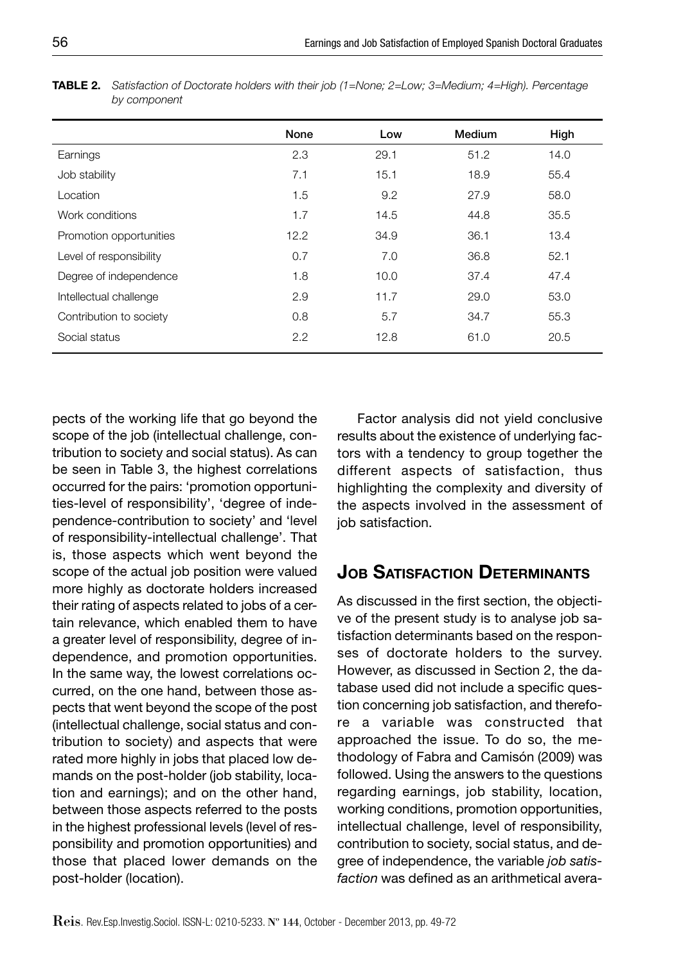|                         | None | Low  | Medium | High |
|-------------------------|------|------|--------|------|
|                         |      |      |        |      |
| Earnings                | 2.3  | 29.1 | 51.2   | 14.0 |
| Job stability           | 7.1  | 15.1 | 18.9   | 55.4 |
| Location                | 1.5  | 9.2  | 27.9   | 58.0 |
| Work conditions         | 1.7  | 14.5 | 44.8   | 35.5 |
| Promotion opportunities | 12.2 | 34.9 | 36.1   | 13.4 |
| Level of responsibility | 0.7  | 7.0  | 36.8   | 52.1 |
| Degree of independence  | 1.8  | 10.0 | 37.4   | 47.4 |
| Intellectual challenge  | 2.9  | 11.7 | 29.0   | 53.0 |
| Contribution to society | 0.8  | 5.7  | 34.7   | 55.3 |
| Social status           | 2.2  | 12.8 | 61.0   | 20.5 |
|                         |      |      |        |      |

**TABLE 2.** *Satisfaction of Doctorate holders with their job (1=None; 2=Low; 3=Medium; 4=High). Percentage by component*

pects of the working life that go beyond the scope of the job (intellectual challenge, contribution to society and social status). As can be seen in Table 3, the highest correlations occurred for the pairs: 'promotion opportunities-level of responsibility', 'degree of independence-contribution to society' and 'level of responsibility-intellectual challenge'. That is, those aspects which went beyond the scope of the actual job position were valued more highly as doctorate holders increased their rating of aspects related to jobs of a certain relevance, which enabled them to have a greater level of responsibility, degree of independence, and promotion opportunities. In the same way, the lowest correlations occurred, on the one hand, between those aspects that went beyond the scope of the post (intellectual challenge, social status and contribution to society) and aspects that were rated more highly in jobs that placed low demands on the post-holder (job stability, location and earnings); and on the other hand, between those aspects referred to the posts in the highest professional levels (level of responsibility and promotion opportunities) and those that placed lower demands on the post-holder (location).

Factor analysis did not yield conclusive results about the existence of underlying factors with a tendency to group together the different aspects of satisfaction, thus highlighting the complexity and diversity of the aspects involved in the assessment of iob satisfaction.

# **JOB SATISFACTION DETERMINANTS**

As discussed in the first section, the objective of the present study is to analyse job satisfaction determinants based on the responses of doctorate holders to the survey. However, as discussed in Section 2, the database used did not include a specific question concerning job satisfaction, and therefore a variable was constructed that approached the issue. To do so, the methodology of Fabra and Camisón (2009) was followed. Using the answers to the questions regarding earnings, job stability, location, working conditions, promotion opportunities, intellectual challenge, level of responsibility, contribution to society, social status, and degree of independence, the variable *job satisfaction* was defined as an arithmetical avera-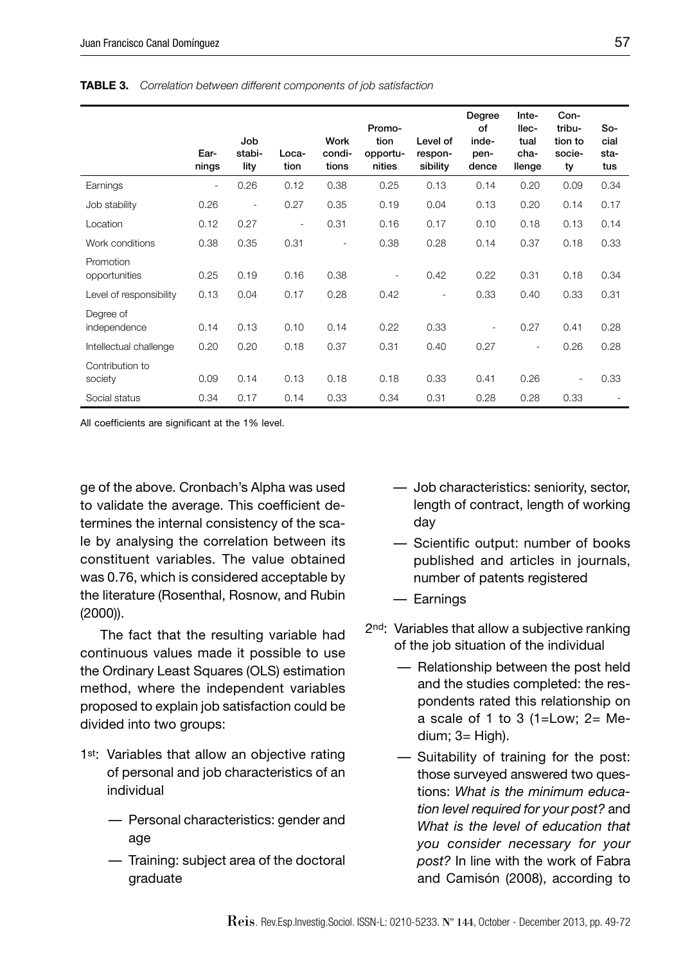|                            | Ear-<br>nings            | Job<br>stabi-<br>lity    | Loca-<br>tion            | Work<br>condi-<br>tions  | Promo-<br>tion<br>opportu-<br>nities | Level of<br>respon-<br>sibility | Degree<br>of<br>inde-<br>pen-<br>dence | Inte-<br>llec-<br>tual<br>cha-<br>llenge | Con-<br>tribu-<br>tion to<br>socie-<br>ty | So-<br>cial<br>sta-<br>tus |
|----------------------------|--------------------------|--------------------------|--------------------------|--------------------------|--------------------------------------|---------------------------------|----------------------------------------|------------------------------------------|-------------------------------------------|----------------------------|
| Earnings                   | $\overline{\phantom{a}}$ | 0.26                     | 0.12                     | 0.38                     | 0.25                                 | 0.13                            | 0.14                                   | 0.20                                     | 0.09                                      | 0.34                       |
| Job stability              | 0.26                     | $\overline{\phantom{a}}$ | 0.27                     | 0.35                     | 0.19                                 | 0.04                            | 0.13                                   | 0.20                                     | 0.14                                      | 0.17                       |
| Location                   | 0.12                     | 0.27                     | $\overline{\phantom{a}}$ | 0.31                     | 0.16                                 | 0.17                            | 0.10                                   | 0.18                                     | 0.13                                      | 0.14                       |
| Work conditions            | 0.38                     | 0.35                     | 0.31                     | $\overline{\phantom{a}}$ | 0.38                                 | 0.28                            | 0.14                                   | 0.37                                     | 0.18                                      | 0.33                       |
| Promotion<br>opportunities | 0.25                     | 0.19                     | 0.16                     | 0.38                     |                                      | 0.42                            | 0.22                                   | 0.31                                     | 0.18                                      | 0.34                       |
| Level of responsibility    | 0.13                     | 0.04                     | 0.17                     | 0.28                     | 0.42                                 | $\overline{\phantom{a}}$        | 0.33                                   | 0.40                                     | 0.33                                      | 0.31                       |
| Degree of<br>independence  | 0.14                     | 0.13                     | 0.10                     | 0.14                     | 0.22                                 | 0.33                            | $\overline{\phantom{a}}$               | 0.27                                     | 0.41                                      | 0.28                       |
| Intellectual challenge     | 0.20                     | 0.20                     | 0.18                     | 0.37                     | 0.31                                 | 0.40                            | 0.27                                   | $\overline{\phantom{a}}$                 | 0.26                                      | 0.28                       |
| Contribution to<br>society | 0.09                     | 0.14                     | 0.13                     | 0.18                     | 0.18                                 | 0.33                            | 0.41                                   | 0.26                                     | $\sim$                                    | 0.33                       |
| Social status              | 0.34                     | 0.17                     | 0.14                     | 0.33                     | 0.34                                 | 0.31                            | 0.28                                   | 0.28                                     | 0.33                                      |                            |

**TABLE 3.** *Correlation between different components of job satisfaction*

All coefficients are significant at the 1% level.

ge of the above. Cronbach's Alpha was used to validate the average. This coefficient determines the internal consistency of the scale by analysing the correlation between its constituent variables. The value obtained was 0.76, which is considered acceptable by the literature (Rosenthal, Rosnow, and Rubin (2000)).

The fact that the resulting variable had continuous values made it possible to use the Ordinary Least Squares (OLS) estimation method, where the independent variables proposed to explain job satisfaction could be divided into two groups:

- 1st: Variables that allow an objective rating of personal and job characteristics of an individual
	- Personal characteristics: gender and age
	- Training: subject area of the doctoral graduate
- Job characteristics: seniority, sector, length of contract, length of working day
- Scientific output: number of books published and articles in journals, number of patents registered
- Earnings
- 2nd: Variables that allow a subjective ranking of the job situation of the individual
	- Relationship between the post held and the studies completed: the respondents rated this relationship on a scale of 1 to 3 (1=Low;  $2=$  Medium; 3= High).
	- Suitability of training for the post: those surveyed answered two questions: *What is the minimum education level required for your post?* and *What is the level of education that you consider necessary for your post?* In line with the work of Fabra and Camisón (2008), according to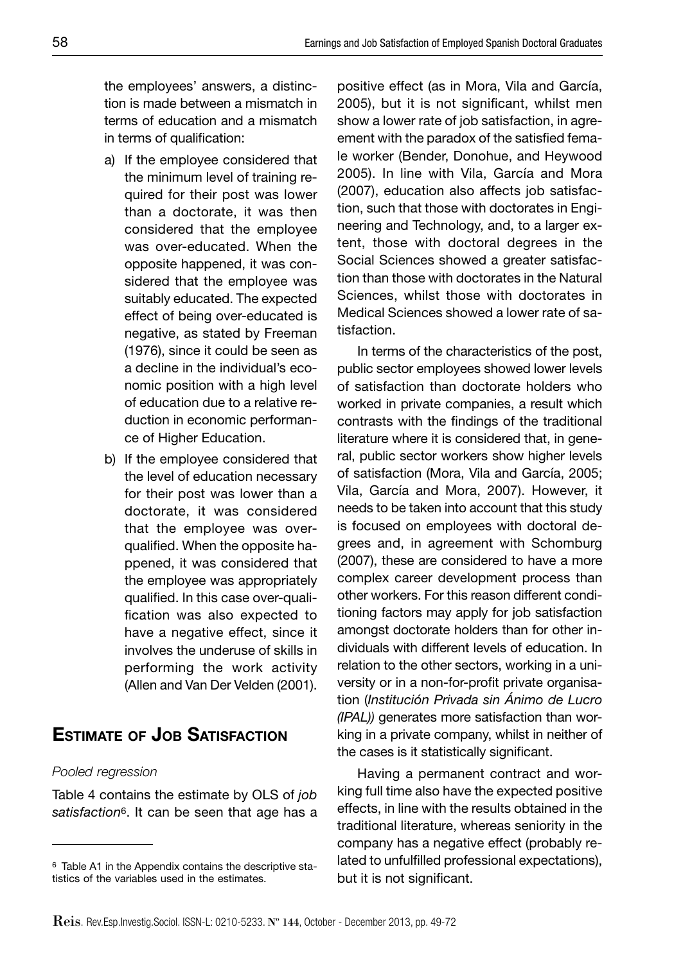the employees' answers, a distinction is made between a mismatch in terms of education and a mismatch in terms of qualification:

- a) If the employee considered that the minimum level of training required for their post was lower than a doctorate, it was then considered that the employee was over-educated. When the opposite happened, it was considered that the employee was suitably educated. The expected effect of being over-educated is negative, as stated by Freeman (1976), since it could be seen as a decline in the individual's economic position with a high level of education due to a relative reduction in economic performance of Higher Education.
- b) If the employee considered that the level of education necessary for their post was lower than a doctorate, it was considered that the employee was overqualified. When the opposite happened, it was considered that the employee was appropriately qualified. In this case over-qualification was also expected to have a negative effect, since it involves the underuse of skills in performing the work activity (Allen and Van Der Velden (2001).

# **ESTIMATE OF JOB SATISFACTION**

#### *Pooled regression*

Table 4 contains the estimate by OLS of *job satisfaction*6. It can be seen that age has a positive effect (as in Mora, Vila and García, 2005), but it is not significant, whilst men show a lower rate of job satisfaction, in agreement with the paradox of the satisfied female worker (Bender, Donohue, and Heywood 2005). In line with Vila, García and Mora (2007), education also affects job satisfaction, such that those with doctorates in Engineering and Technology, and, to a larger extent, those with doctoral degrees in the Social Sciences showed a greater satisfaction than those with doctorates in the Natural Sciences, whilst those with doctorates in Medical Sciences showed a lower rate of satisfaction.

In terms of the characteristics of the post, public sector employees showed lower levels of satisfaction than doctorate holders who worked in private companies, a result which contrasts with the findings of the traditional literature where it is considered that, in general, public sector workers show higher levels of satisfaction (Mora, Vila and García, 2005; Vila, García and Mora, 2007). However, it needs to be taken into account that this study is focused on employees with doctoral degrees and, in agreement with Schomburg (2007), these are considered to have a more complex career development process than other workers. For this reason different conditioning factors may apply for job satisfaction amongst doctorate holders than for other individuals with different levels of education. In relation to the other sectors, working in a university or in a non-for-profit private organisation (*Institución Privada sin Ánimo de Lucro (IPAL))* generates more satisfaction than working in a private company, whilst in neither of the cases is it statistically significant.

Having a permanent contract and working full time also have the expected positive effects, in line with the results obtained in the traditional literature, whereas seniority in the company has a negative effect (probably related to unfulfilled professional expectations), but it is not significant.

<sup>6</sup> Table A1 in the Appendix contains the descriptive statistics of the variables used in the estimates.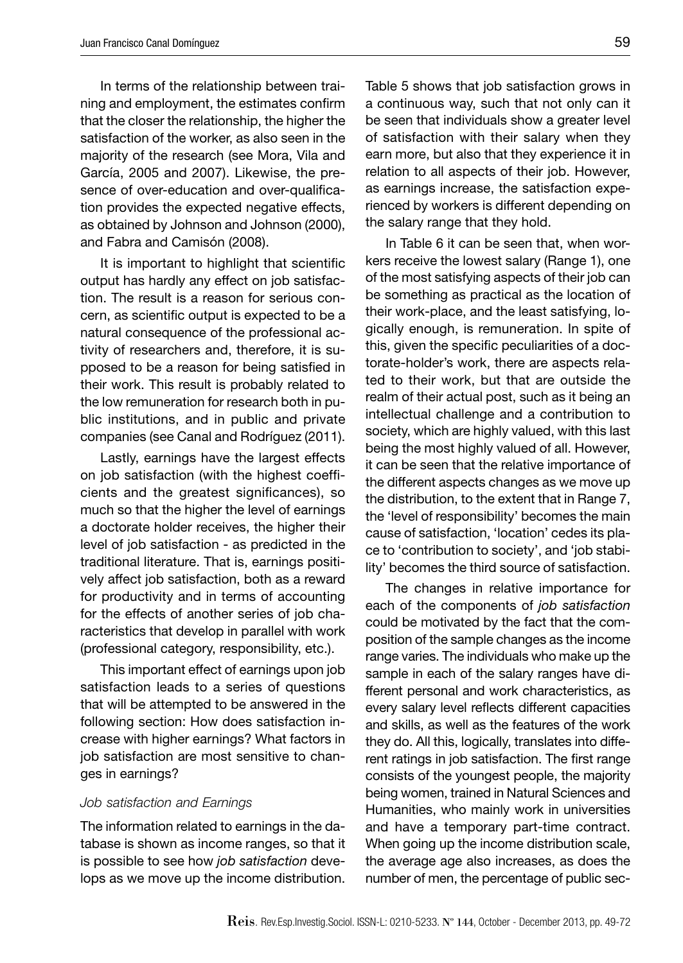In terms of the relationship between training and employment, the estimates confirm that the closer the relationship, the higher the satisfaction of the worker, as also seen in the majority of the research (see Mora, Vila and García, 2005 and 2007). Likewise, the presence of over-education and over-qualification provides the expected negative effects, as obtained by Johnson and Johnson (2000), and Fabra and Camisón (2008).

It is important to highlight that scientific output has hardly any effect on job satisfaction. The result is a reason for serious concern, as scientific output is expected to be a natural consequence of the professional activity of researchers and, therefore, it is supposed to be a reason for being satisfied in their work. This result is probably related to the low remuneration for research both in public institutions, and in public and private companies (see Canal and Rodríguez (2011).

Lastly, earnings have the largest effects on job satisfaction (with the highest coefficients and the greatest significances), so much so that the higher the level of earnings a doctorate holder receives, the higher their level of job satisfaction - as predicted in the traditional literature. That is, earnings positively affect job satisfaction, both as a reward for productivity and in terms of accounting for the effects of another series of job characteristics that develop in parallel with work (professional category, responsibility, etc.).

This important effect of earnings upon job satisfaction leads to a series of questions that will be attempted to be answered in the following section: How does satisfaction increase with higher earnings? What factors in job satisfaction are most sensitive to changes in earnings?

#### *Job satisfaction and Earnings*

The information related to earnings in the database is shown as income ranges, so that it is possible to see how *job satisfaction* develops as we move up the income distribution.

Table 5 shows that job satisfaction grows in a continuous way, such that not only can it be seen that individuals show a greater level of satisfaction with their salary when they earn more, but also that they experience it in relation to all aspects of their job. However, as earnings increase, the satisfaction experienced by workers is different depending on the salary range that they hold.

In Table 6 it can be seen that, when workers receive the lowest salary (Range 1), one of the most satisfying aspects of their job can be something as practical as the location of their work-place, and the least satisfying, logically enough, is remuneration. In spite of this, given the specific peculiarities of a doctorate-holder's work, there are aspects related to their work, but that are outside the realm of their actual post, such as it being an intellectual challenge and a contribution to society, which are highly valued, with this last being the most highly valued of all. However, it can be seen that the relative importance of the different aspects changes as we move up the distribution, to the extent that in Range 7, the 'level of responsibility' becomes the main cause of satisfaction, 'location' cedes its place to 'contribution to society', and 'job stability' becomes the third source of satisfaction.

The changes in relative importance for each of the components of *job satisfaction*  could be motivated by the fact that the composition of the sample changes as the income range varies. The individuals who make up the sample in each of the salary ranges have different personal and work characteristics, as every salary level reflects different capacities and skills, as well as the features of the work they do. All this, logically, translates into different ratings in job satisfaction. The first range consists of the youngest people, the majority being women, trained in Natural Sciences and Humanities, who mainly work in universities and have a temporary part-time contract. When going up the income distribution scale, the average age also increases, as does the number of men, the percentage of public sec-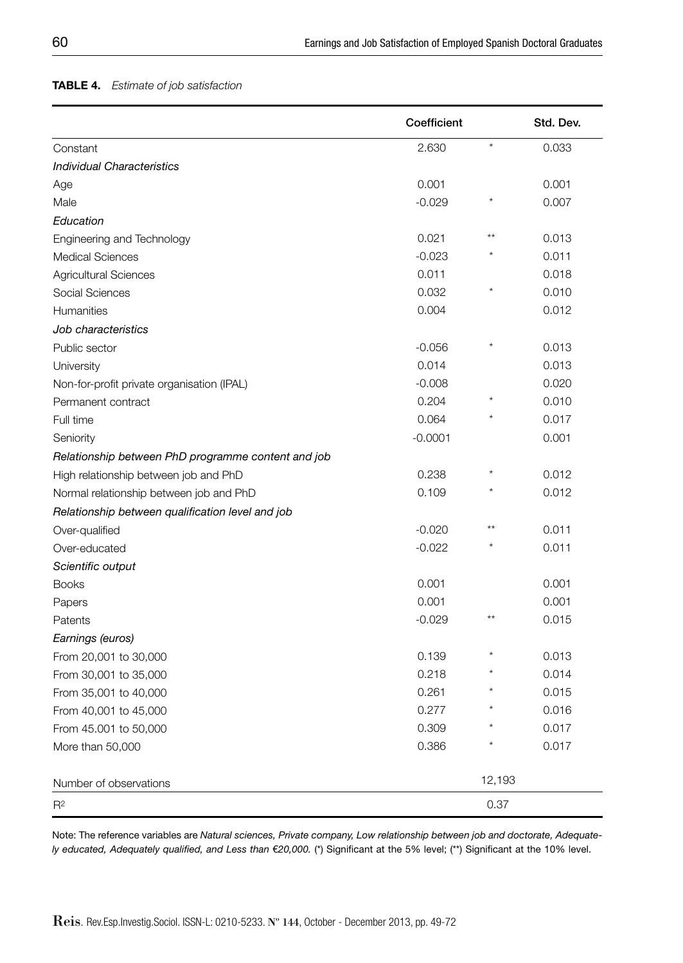#### **TABLE 4.** *Estimate of job satisfaction*

|                                                    | Coefficient |         | Std. Dev. |
|----------------------------------------------------|-------------|---------|-----------|
| Constant                                           | 2.630       | $\star$ | 0.033     |
| <b>Individual Characteristics</b>                  |             |         |           |
| Age                                                | 0.001       |         | 0.001     |
| Male                                               | $-0.029$    |         | 0.007     |
| Education                                          |             |         |           |
| Engineering and Technology                         | 0.021       | $***$   | 0.013     |
| <b>Medical Sciences</b>                            | $-0.023$    |         | 0.011     |
| <b>Agricultural Sciences</b>                       | 0.011       |         | 0.018     |
| Social Sciences                                    | 0.032       | $\star$ | 0.010     |
| <b>Humanities</b>                                  | 0.004       |         | 0.012     |
| Job characteristics                                |             |         |           |
| Public sector                                      | $-0.056$    | $\star$ | 0.013     |
| University                                         | 0.014       |         | 0.013     |
| Non-for-profit private organisation (IPAL)         | $-0.008$    |         | 0.020     |
| Permanent contract                                 | 0.204       |         | 0.010     |
| Full time                                          | 0.064       |         | 0.017     |
| Seniority                                          | $-0.0001$   |         | 0.001     |
| Relationship between PhD programme content and job |             |         |           |
| High relationship between job and PhD              | 0.238       |         | 0.012     |
| Normal relationship between job and PhD            | 0.109       |         | 0.012     |
| Relationship between qualification level and job   |             |         |           |
| Over-qualified                                     | $-0.020$    | $**$    | 0.011     |
| Over-educated                                      | $-0.022$    |         | 0.011     |
| Scientific output                                  |             |         |           |
| <b>Books</b>                                       | 0.001       |         | 0.001     |
| Papers                                             | 0.001       |         | 0.001     |
| Patents                                            | $-0.029$    |         | 0.015     |
| Earnings (euros)                                   |             |         |           |
| From 20,001 to 30,000                              | 0.139       |         | 0.013     |
| From 30,001 to 35,000                              | 0.218       |         | 0.014     |
| From 35,001 to 40,000                              | 0.261       |         | 0.015     |
| From 40,001 to 45,000                              | 0.277       |         | 0.016     |
| From 45.001 to 50,000                              | 0.309       |         | 0.017     |
| More than 50,000                                   | 0.386       |         | 0.017     |
| Number of observations                             |             | 12,193  |           |
| R <sup>2</sup>                                     |             | 0.37    |           |

Note: The reference variables are *Natural sciences, Private company, Low relationship between job and doctorate, Adequately educated, Adequately qualified, and Less than €20,000. (\*) Significant at the 5% level; (\*\*) Significant at the 10% level.*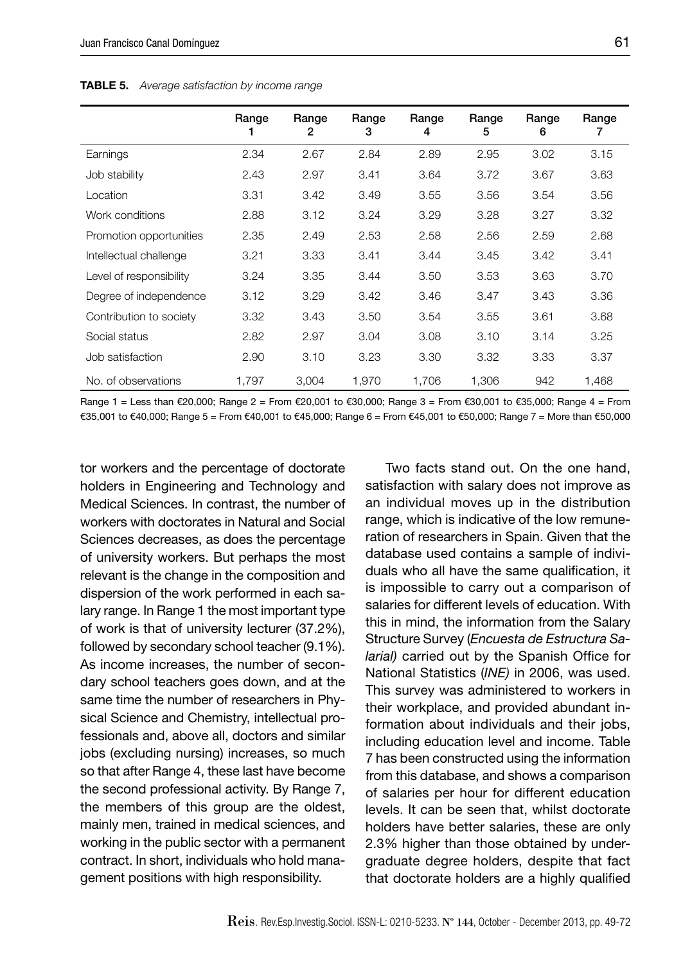|                         | Range | Range<br>2 | Range<br>3 | Range<br>4 | Range<br>5 | Range<br>6 | Range |
|-------------------------|-------|------------|------------|------------|------------|------------|-------|
| Earnings                | 2.34  | 2.67       | 2.84       | 2.89       | 2.95       | 3.02       | 3.15  |
| Job stability           | 2.43  | 2.97       | 3.41       | 3.64       | 3.72       | 3.67       | 3.63  |
| Location                | 3.31  | 3.42       | 3.49       | 3.55       | 3.56       | 3.54       | 3.56  |
| Work conditions         | 2.88  | 3.12       | 3.24       | 3.29       | 3.28       | 3.27       | 3.32  |
| Promotion opportunities | 2.35  | 2.49       | 2.53       | 2.58       | 2.56       | 2.59       | 2.68  |
| Intellectual challenge  | 3.21  | 3.33       | 3.41       | 3.44       | 3.45       | 3.42       | 3.41  |
| Level of responsibility | 3.24  | 3.35       | 3.44       | 3.50       | 3.53       | 3.63       | 3.70  |
| Degree of independence  | 3.12  | 3.29       | 3.42       | 3.46       | 3.47       | 3.43       | 3.36  |
| Contribution to society | 3.32  | 3.43       | 3.50       | 3.54       | 3.55       | 3.61       | 3.68  |
| Social status           | 2.82  | 2.97       | 3.04       | 3.08       | 3.10       | 3.14       | 3.25  |
| Job satisfaction        | 2.90  | 3.10       | 3.23       | 3.30       | 3.32       | 3.33       | 3.37  |
| No. of observations     | 1.797 | 3,004      | 1.970      | 1,706      | 1,306      | 942        | 1,468 |

**TABLE 5.** *Average satisfaction by income range*

Range 1 = Less than €20,000; Range 2 = From €20,001 to €30,000; Range 3 = From €30,001 to €35,000; Range 4 = From €35,001 to €40,000; Range 5 = From €40,001 to €45,000; Range 6 = From €45,001 to €50,000; Range 7 = More than €50,000

tor workers and the percentage of doctorate holders in Engineering and Technology and Medical Sciences. In contrast, the number of workers with doctorates in Natural and Social Sciences decreases, as does the percentage of university workers. But perhaps the most relevant is the change in the composition and dispersion of the work performed in each salary range. In Range 1 the most important type of work is that of university lecturer (37.2%), followed by secondary school teacher (9.1%). As income increases, the number of secondary school teachers goes down, and at the same time the number of researchers in Physical Science and Chemistry, intellectual professionals and, above all, doctors and similar jobs (excluding nursing) increases, so much so that after Range 4, these last have become the second professional activity. By Range 7, the members of this group are the oldest, mainly men, trained in medical sciences, and working in the public sector with a permanent contract. In short, individuals who hold management positions with high responsibility.

Two facts stand out. On the one hand, satisfaction with salary does not improve as an individual moves up in the distribution range, which is indicative of the low remuneration of researchers in Spain. Given that the database used contains a sample of individuals who all have the same qualification, it is impossible to carry out a comparison of salaries for different levels of education. With this in mind, the information from the Salary Structure Survey (*Encuesta de Estructura Salarial*) carried out by the Spanish Office for National Statistics (*INE)* in 2006, was used. This survey was administered to workers in their workplace, and provided abundant information about individuals and their jobs, including education level and income. Table 7 has been constructed using the information from this database, and shows a comparison of salaries per hour for different education levels. It can be seen that, whilst doctorate holders have better salaries, these are only 2.3% higher than those obtained by undergraduate degree holders, despite that fact that doctorate holders are a highly qualified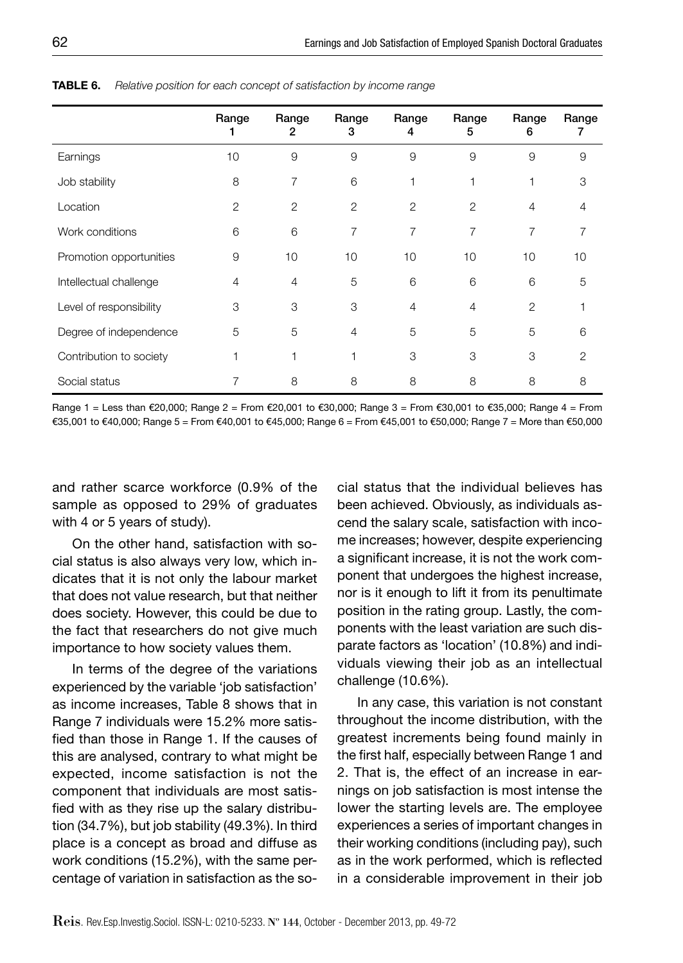|                         | Range          | Range<br>2     | Range<br>3     | Range<br>4 | Range<br>5 | Range<br>6 | Range<br>7     |
|-------------------------|----------------|----------------|----------------|------------|------------|------------|----------------|
| Earnings                | 10             | 9              | 9              | 9          | 9          | 9          | 9              |
| Job stability           | 8              | 7              | 6              |            |            |            | 3              |
| Location                | $\overline{2}$ | 2              | 2              | 2          | 2          | 4          | 4              |
| Work conditions         | 6              | 6              | 7              | 7          | 7          | 7          | 7              |
| Promotion opportunities | 9              | 10             | 10             | 10         | 10         | 10         | 10             |
| Intellectual challenge  | 4              | $\overline{4}$ | 5              | 6          | 6          | 6          | 5              |
| Level of responsibility | 3              | 3              | 3              | 4          | 4          | 2          |                |
| Degree of independence  | 5              | 5              | $\overline{4}$ | 5          | 5          | 5          | 6              |
| Contribution to society | 1              | 1              | 1              | 3          | 3          | 3          | $\overline{2}$ |
| Social status           |                | 8              | 8              | 8          | 8          | 8          | 8              |

**TABLE 6.** *Relative position for each concept of satisfaction by income range*

Range 1 = Less than €20,000; Range 2 = From €20,001 to €30,000; Range 3 = From €30,001 to €35,000; Range 4 = From €35,001 to €40,000; Range 5 = From €40,001 to €45,000; Range 6 = From €45,001 to €50,000; Range 7 = More than €50,000

and rather scarce workforce (0.9% of the sample as opposed to 29% of graduates with 4 or 5 years of study).

On the other hand, satisfaction with social status is also always very low, which indicates that it is not only the labour market that does not value research, but that neither does society. However, this could be due to the fact that researchers do not give much importance to how society values them.

In terms of the degree of the variations experienced by the variable 'job satisfaction' as income increases, Table 8 shows that in Range 7 individuals were 15.2% more satisfied than those in Range 1. If the causes of this are analysed, contrary to what might be expected, income satisfaction is not the component that individuals are most satisfied with as they rise up the salary distribution (34.7%), but job stability (49.3%). In third place is a concept as broad and diffuse as work conditions (15.2%), with the same percentage of variation in satisfaction as the social status that the individual believes has been achieved. Obviously, as individuals ascend the salary scale, satisfaction with income increases; however, despite experiencing a significant increase, it is not the work component that undergoes the highest increase, nor is it enough to lift it from its penultimate position in the rating group. Lastly, the components with the least variation are such disparate factors as 'location' (10.8%) and individuals viewing their job as an intellectual challenge (10.6%).

In any case, this variation is not constant throughout the income distribution, with the greatest increments being found mainly in the first half, especially between Range 1 and 2. That is, the effect of an increase in earnings on job satisfaction is most intense the lower the starting levels are. The employee experiences a series of important changes in their working conditions (including pay), such as in the work performed, which is reflected in a considerable improvement in their job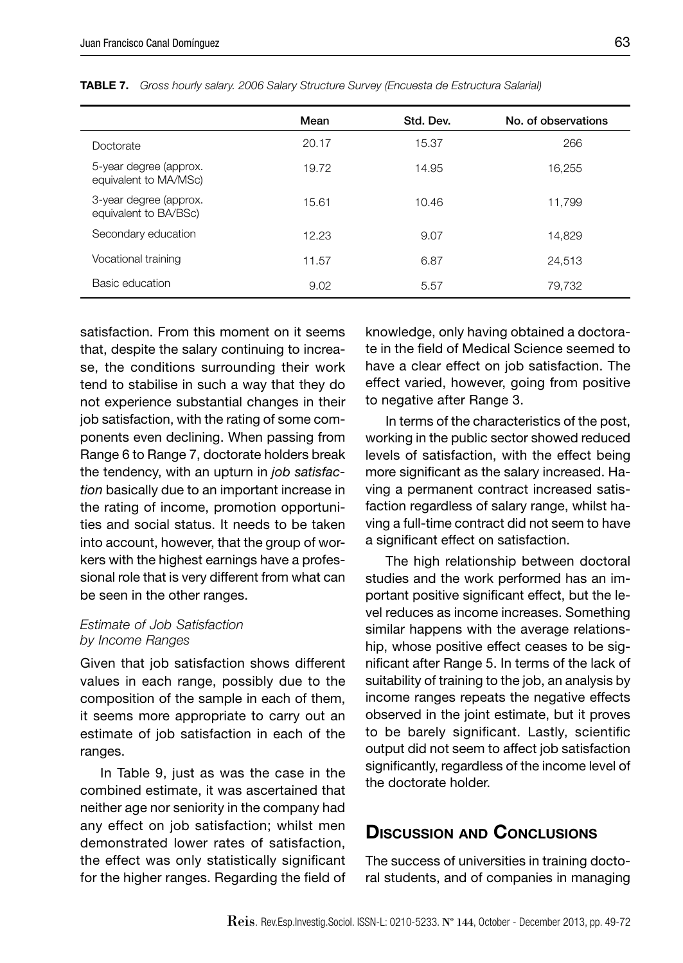|                                                 | Mean  | Std. Dev. | No. of observations |
|-------------------------------------------------|-------|-----------|---------------------|
| Doctorate                                       | 20.17 | 15.37     | 266                 |
| 5-year degree (approx.<br>equivalent to MA/MSc) | 19.72 | 14.95     | 16.255              |
| 3-year degree (approx.<br>equivalent to BA/BSc) | 15.61 | 10.46     | 11.799              |
| Secondary education                             | 12.23 | 9.07      | 14.829              |
| Vocational training                             | 11.57 | 6.87      | 24.513              |
| Basic education                                 | 9.02  | 5.57      | 79,732              |

**TABLE 7.** *Gross hourly salary. 2006 Salary Structure Survey (Encuesta de Estructura Salarial)*

satisfaction. From this moment on it seems that, despite the salary continuing to increase, the conditions surrounding their work tend to stabilise in such a way that they do not experience substantial changes in their job satisfaction, with the rating of some components even declining. When passing from Range 6 to Range 7, doctorate holders break the tendency, with an upturn in *job satisfaction* basically due to an important increase in the rating of income, promotion opportunities and social status. It needs to be taken into account, however, that the group of workers with the highest earnings have a professional role that is very different from what can be seen in the other ranges.

#### *Estimate of Job Satisfaction by Income Ranges*

Given that job satisfaction shows different values in each range, possibly due to the composition of the sample in each of them, it seems more appropriate to carry out an estimate of job satisfaction in each of the ranges.

In Table 9, just as was the case in the combined estimate, it was ascertained that neither age nor seniority in the company had any effect on job satisfaction; whilst men demonstrated lower rates of satisfaction, the effect was only statistically significant for the higher ranges. Regarding the field of knowledge, only having obtained a doctorate in the field of Medical Science seemed to have a clear effect on job satisfaction. The effect varied, however, going from positive to negative after Range 3.

In terms of the characteristics of the post, working in the public sector showed reduced levels of satisfaction, with the effect being more significant as the salary increased. Having a permanent contract increased satisfaction regardless of salary range, whilst having a full-time contract did not seem to have a significant effect on satisfaction.

The high relationship between doctoral studies and the work performed has an important positive significant effect, but the level reduces as income increases. Something similar happens with the average relationship, whose positive effect ceases to be significant after Range 5. In terms of the lack of suitability of training to the job, an analysis by income ranges repeats the negative effects observed in the joint estimate, but it proves to be barely significant. Lastly, scientific output did not seem to affect job satisfaction significantly, regardless of the income level of the doctorate holder.

# **DISCUSSION AND CONCLUSIONS**

The success of universities in training doctoral students, and of companies in managing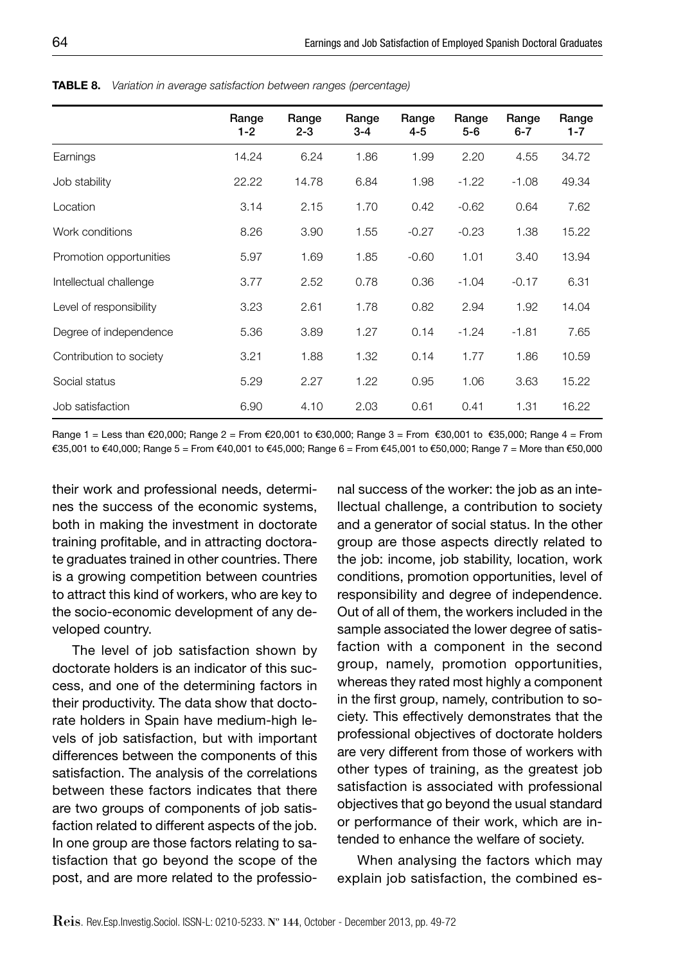|                         | Range<br>$1 - 2$ | Range<br>$2 - 3$ | Range<br>3-4 | Range<br>4-5 | Range<br>5-6 | Range<br>6-7 | Range<br>$1 - 7$ |
|-------------------------|------------------|------------------|--------------|--------------|--------------|--------------|------------------|
| Earnings                | 14.24            | 6.24             | 1.86         | 1.99         | 2.20         | 4.55         | 34.72            |
| Job stability           | 22.22            | 14.78            | 6.84         | 1.98         | $-1.22$      | $-1.08$      | 49.34            |
| Location                | 3.14             | 2.15             | 1.70         | 0.42         | $-0.62$      | 0.64         | 7.62             |
| Work conditions         | 8.26             | 3.90             | 1.55         | $-0.27$      | $-0.23$      | 1.38         | 15.22            |
| Promotion opportunities | 5.97             | 1.69             | 1.85         | $-0.60$      | 1.01         | 3.40         | 13.94            |
| Intellectual challenge  | 3.77             | 2.52             | 0.78         | 0.36         | $-1.04$      | $-0.17$      | 6.31             |
| Level of responsibility | 3.23             | 2.61             | 1.78         | 0.82         | 2.94         | 1.92         | 14.04            |
| Degree of independence  | 5.36             | 3.89             | 1.27         | 0.14         | $-1.24$      | $-1.81$      | 7.65             |
| Contribution to society | 3.21             | 1.88             | 1.32         | 0.14         | 1.77         | 1.86         | 10.59            |
| Social status           | 5.29             | 2.27             | 1.22         | 0.95         | 1.06         | 3.63         | 15.22            |
| Job satisfaction        | 6.90             | 4.10             | 2.03         | 0.61         | 0.41         | 1.31         | 16.22            |

**TABLE 8.** *Variation in average satisfaction between ranges (percentage)*

Range 1 = Less than €20,000; Range 2 = From €20,001 to €30,000; Range 3 = From €30,001 to €35,000; Range 4 = From €35,001 to €40,000; Range 5 = From €40,001 to €45,000; Range 6 = From €45,001 to €50,000; Range 7 = More than €50,000

their work and professional needs, determines the success of the economic systems, both in making the investment in doctorate training profitable, and in attracting doctorate graduates trained in other countries. There is a growing competition between countries to attract this kind of workers, who are key to the socio-economic development of any developed country.

The level of job satisfaction shown by doctorate holders is an indicator of this success, and one of the determining factors in their productivity. The data show that doctorate holders in Spain have medium-high levels of job satisfaction, but with important differences between the components of this satisfaction. The analysis of the correlations between these factors indicates that there are two groups of components of job satisfaction related to different aspects of the job. In one group are those factors relating to satisfaction that go beyond the scope of the post, and are more related to the professional success of the worker: the job as an intellectual challenge, a contribution to society and a generator of social status. In the other group are those aspects directly related to the job: income, job stability, location, work conditions, promotion opportunities, level of responsibility and degree of independence. Out of all of them, the workers included in the sample associated the lower degree of satisfaction with a component in the second group, namely, promotion opportunities, whereas they rated most highly a component in the first group, namely, contribution to society. This effectively demonstrates that the professional objectives of doctorate holders are very different from those of workers with other types of training, as the greatest job satisfaction is associated with professional objectives that go beyond the usual standard or performance of their work, which are intended to enhance the welfare of society.

When analysing the factors which may explain job satisfaction, the combined es-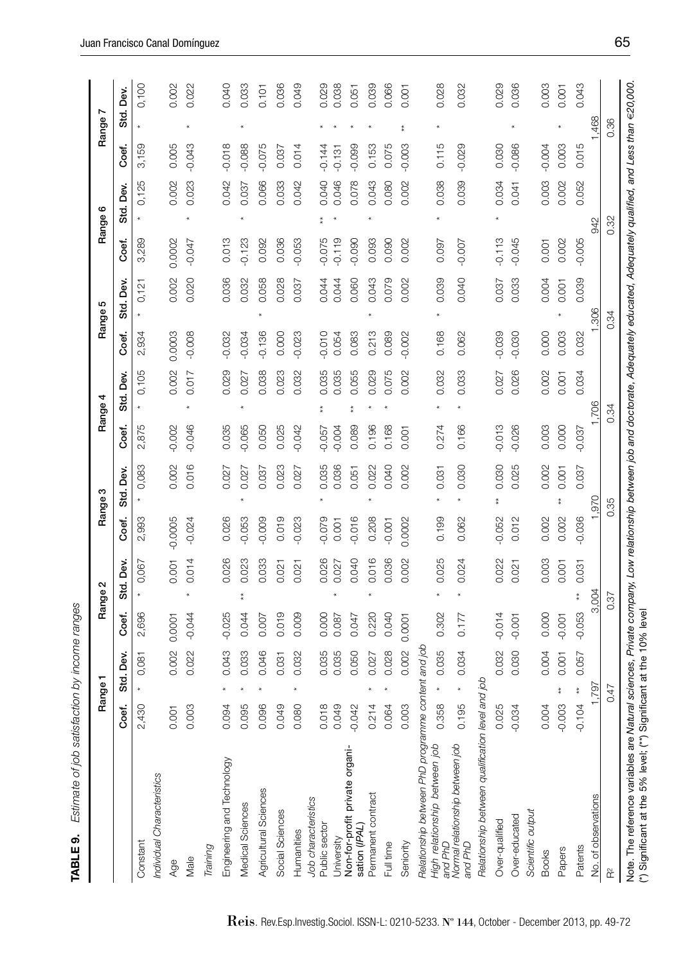| j<br>איה היה הי<br>١<br>١<br>ה המה ה |
|--------------------------------------|
|                                      |
| $\ddot{\phantom{a}}$<br>י<br>י<br>I  |
| S                                    |
| ١                                    |
|                                      |
| י<br>י                               |
| ١                                    |
|                                      |
| j<br>ć                               |
|                                      |
|                                      |
|                                      |
|                                      |
|                                      |

|                                                                                                                                                                                   |                   | Range           |       |               | Range 2    |           | Range 3    |          | 4<br>Range <sup>,</sup> |          | ю<br>Range!     |          | Range 6   |       |          | Range 7 |       |
|-----------------------------------------------------------------------------------------------------------------------------------------------------------------------------------|-------------------|-----------------|-------|---------------|------------|-----------|------------|----------|-------------------------|----------|-----------------|----------|-----------|-------|----------|---------|-------|
|                                                                                                                                                                                   | Coef.             | Std. Dev.       |       | Coef.         | Š.<br>Std. | Coef.     | Dev.<br>್ಯ | Coef.    | Std. Dev.               | Coef,    | Dev.<br>ಕ<br>ಬರ | Coef.    | Std. Dev. |       | Coef,    | ಕ<br>ಬರ | Dev.  |
| Constant                                                                                                                                                                          | Q<br>2,43         |                 | 0,081 | 696<br>$\sim$ | 0,067      | 2,993     | 0,083      | 2,875    | 0,105                   | 2,934    | 0,121           | 3,289    |           | 0,125 | 3,159    |         | 0,100 |
| Individual Characteristics                                                                                                                                                        |                   |                 |       |               |            |           |            |          |                         |          |                 |          |           |       |          |         |       |
| Age                                                                                                                                                                               | 0.001             |                 | 0.002 | 0.0001        | 0.001      | $-0.0005$ | 0.002      | $-0.002$ | 0.002                   | 0.0003   | 0.002           | 0.0002   |           | 0.002 | 0.005    |         | 0.002 |
| Male                                                                                                                                                                              | S<br>0.00         |                 | 0.022 | $-0.044$      | 0.014      | $-0.024$  | 0.016      | $-0.046$ | 0.017                   | $-0.008$ | 0.020           | $-0.047$ |           | 0.023 | $-0.043$ |         | 0.022 |
| Training                                                                                                                                                                          |                   |                 |       |               |            |           |            |          |                         |          |                 |          |           |       |          |         |       |
| Engineering and Technology                                                                                                                                                        | 0.09              |                 | 0.043 | $-0.025$      | 0.026      | 0.026     | 0.027      | 0.035    | 0.029                   | 0.032    | 0.036           | 0.013    |           | 0.042 | $-0.018$ |         | 0.040 |
| Medical Sciences                                                                                                                                                                  | 5<br>0.09         |                 | 0.033 | 0.044         | 0.023      | $-0.053$  | 0.027      | 0.065    | 0.027                   | $-0.034$ | 0.032           | 0.123    |           | 0.037 | $-0.088$ |         | 0.033 |
| Agricultural Sciences                                                                                                                                                             | $\circ$<br>0.09   |                 | 0.046 | 0.007         | 0.033      | $-0.009$  | 0.037      | 0.050    | 0.038                   | $-0.136$ | 0.058           | 0.092    |           | 0.066 | $-0.075$ |         | 0.101 |
| Social Sciences                                                                                                                                                                   | တ<br>0.04         |                 | 0.031 | 0.019         | 0.021      | 0.019     | 0.023      | 0.025    | 0.023                   | 0.000    | 0.028           | 0.036    |           | 0.033 | 0.037    |         | 0.036 |
| Humanities                                                                                                                                                                        | ◠<br>0.08         |                 | 0.032 | 0.009         | 0.021      | $-0.023$  | 0.027      | $-0.042$ | 0.032                   | $-0.023$ | 0.037           | 0.053    |           | 0.042 | 0.014    |         | 0.049 |
| Job characteristics                                                                                                                                                               |                   |                 |       |               |            |           |            |          |                         |          |                 |          |           |       |          |         |       |
| Public sector                                                                                                                                                                     | $\infty$<br>0.01  |                 | 0.035 | 0.000         | 0.026      | $-0.079$  | 0.035      | $-0.057$ | 0.035                   | $-0.010$ | 0.044           | $-0.075$ |           | 0.040 | $-0.144$ |         | 0.029 |
| University                                                                                                                                                                        | $\circ$<br>0.04   |                 | 0.035 | 0.087         | 0.027      | 0.001     | 0.036      | 0.004    | 0.035                   | 0.054    | 0.044           | 0.119    |           | 0.046 | $-0.131$ |         | 0.038 |
| Non-for-profit private organi-<br>sation (IPAL)                                                                                                                                   | $\sim$<br>$-0.04$ |                 | 0.050 | 0.047         | 0.040      | $-0.016$  | 0.051      | 0.089    | 0.055                   | 0.083    | 0.060           | 0.090    |           | 0.078 | $-0.099$ |         | 0.051 |
| Permanent contract                                                                                                                                                                | 0.21              |                 | 0.027 | 0.220         | 0.016      | 0.208     | 0.022      | 0.196    | 0.029                   | 0.213    | 0.043           | 0.093    |           | 0.043 | 0.153    |         | 0.039 |
| Full time                                                                                                                                                                         | 0.06              |                 | 0.028 | 0.040         | 0.036      | $-0.001$  | 0.040      | 0.168    | 0.075                   | 0.089    | 0.079           | 0.090    |           | 0.080 | 0.075    |         | 0.066 |
| Seniority                                                                                                                                                                         | S<br>0.00         |                 | 0.002 | 0.0001        | 0.002      | 0.0002    | 0.002      | 0.001    | 0.002                   | $-0.002$ | 0.002           | 0.002    |           | 0.002 | $-0.003$ |         | 0.001 |
| Relationship between PhD programme                                                                                                                                                |                   | content and job |       |               |            |           |            |          |                         |          |                 |          |           |       |          |         |       |
| High relationship between job<br>and PhD                                                                                                                                          | $\infty$<br>0.35  |                 | 0.035 | 0.302         | 0.025      | 0.199     | 0.031      | 0.274    | 0.032                   | 0.168    | 0.039           | 0.097    |           | 0.038 | 0.115    |         | 0.028 |
| Normal relationship between job<br>and PhD                                                                                                                                        | LO<br>0.19        |                 | 0.034 | 0.177         | 0.024      | 0.062     | 0.030      | 0.166    | 0.033                   | 0.062    | 0.040           | $-0.007$ |           | 0.039 | $-0.029$ |         | 0.032 |
| Relationship between qualification level                                                                                                                                          |                   | doj pue         |       |               |            |           |            |          |                         |          |                 |          |           |       |          |         |       |
| Over-qualified                                                                                                                                                                    | 5<br>0.02         |                 | 0.032 | $-0.014$      | 0.022      | $-0.052$  | 0.030      | 0.013    | 0.027                   | $-0.039$ | 0.037           | 0.113    |           | 0.034 | 0.030    |         | 0.029 |
| Over-educated                                                                                                                                                                     | $-0.03$           |                 | 0.030 | $-0.001$      | 0.021      | 0.012     | 0.025      | $-0.026$ | 0.026                   | $-0.030$ | 0.033           | $-0.045$ |           | 0.041 | $-0.086$ |         | 0.036 |
| Scientific output                                                                                                                                                                 |                   |                 |       |               |            |           |            |          |                         |          |                 |          |           |       |          |         |       |
| <b>Books</b>                                                                                                                                                                      | 4<br>0.00         |                 | 0.004 | 0.000         | 0.003      | 0.002     | 0.002      | 0.003    | 0.002                   | 0.000    | 0.004           | 0.001    |           | 0.003 | $-0.004$ |         | 0.003 |
| Papers                                                                                                                                                                            | S<br>$-0.00$      |                 | 0.001 | $-0.001$      | 0.001      | 0.002     | 0.001      | 0.000    | 0.001                   | 0.003    | 0.001           | 0.002    |           | 0.002 | 0.003    |         | 0.001 |
| Patents                                                                                                                                                                           | 4<br>$-0.10$      |                 | 0.057 | $-0.053$      | 0.031      | $-0.036$  | 0.037      | $-0.037$ | 0.034                   | 0.032    | 0.039           | $-0.005$ |           | 0.052 | 0.015    |         | 0.043 |
| No. of observations                                                                                                                                                               |                   | 1,797           |       | 3,004         |            |           | 970        |          |                         |          | 306             |          | 942       |       |          | 468     |       |
| $\approx$                                                                                                                                                                         |                   | 0.47            |       | 0.37          |            |           | 0.35       |          | 0.34                    |          | 0.34            |          | 0.32      |       |          | 0.36    |       |
| Note. The reference variables are Natural sciences, Private company, Low relationship between job and doctorate, Adequately educated, Adequately qualified, and Less than €20,000 |                   |                 |       |               |            |           |            |          |                         |          |                 |          |           |       |          |         |       |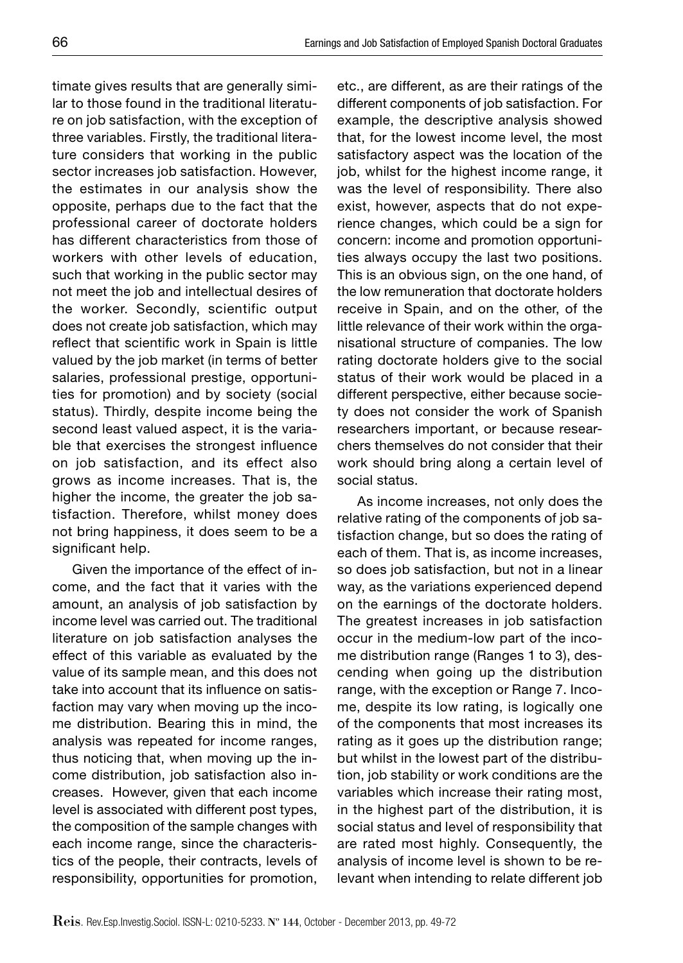timate gives results that are generally similar to those found in the traditional literature on job satisfaction, with the exception of three variables. Firstly, the traditional literature considers that working in the public sector increases job satisfaction. However, the estimates in our analysis show the opposite, perhaps due to the fact that the professional career of doctorate holders has different characteristics from those of workers with other levels of education, such that working in the public sector may not meet the job and intellectual desires of the worker. Secondly, scientific output does not create job satisfaction, which may reflect that scientific work in Spain is little valued by the job market (in terms of better salaries, professional prestige, opportunities for promotion) and by society (social status). Thirdly, despite income being the second least valued aspect, it is the variable that exercises the strongest influence on job satisfaction, and its effect also grows as income increases. That is, the higher the income, the greater the job satisfaction. Therefore, whilst money does not bring happiness, it does seem to be a significant help.

Given the importance of the effect of income, and the fact that it varies with the amount, an analysis of job satisfaction by income level was carried out. The traditional literature on job satisfaction analyses the effect of this variable as evaluated by the value of its sample mean, and this does not take into account that its influence on satisfaction may vary when moving up the income distribution. Bearing this in mind, the analysis was repeated for income ranges, thus noticing that, when moving up the income distribution, job satisfaction also increases. However, given that each income level is associated with different post types, the composition of the sample changes with each income range, since the characteristics of the people, their contracts, levels of responsibility, opportunities for promotion,

etc., are different, as are their ratings of the different components of job satisfaction. For example, the descriptive analysis showed that, for the lowest income level, the most satisfactory aspect was the location of the job, whilst for the highest income range, it was the level of responsibility. There also exist, however, aspects that do not experience changes, which could be a sign for concern: income and promotion opportunities always occupy the last two positions. This is an obvious sign, on the one hand, of the low remuneration that doctorate holders receive in Spain, and on the other, of the little relevance of their work within the organisational structure of companies. The low rating doctorate holders give to the social status of their work would be placed in a different perspective, either because society does not consider the work of Spanish researchers important, or because researchers themselves do not consider that their work should bring along a certain level of social status.

As income increases, not only does the relative rating of the components of job satisfaction change, but so does the rating of each of them. That is, as income increases, so does job satisfaction, but not in a linear way, as the variations experienced depend on the earnings of the doctorate holders. The greatest increases in job satisfaction occur in the medium-low part of the income distribution range (Ranges 1 to 3), descending when going up the distribution range, with the exception or Range 7. Income, despite its low rating, is logically one of the components that most increases its rating as it goes up the distribution range; but whilst in the lowest part of the distribution, job stability or work conditions are the variables which increase their rating most, in the highest part of the distribution, it is social status and level of responsibility that are rated most highly. Consequently, the analysis of income level is shown to be relevant when intending to relate different job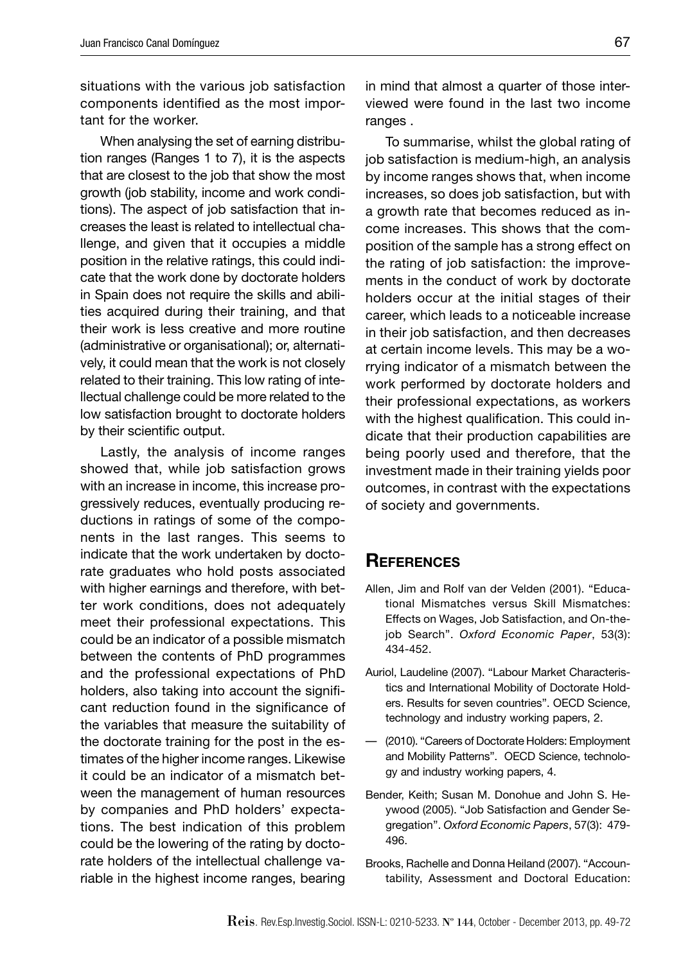situations with the various job satisfaction components identified as the most important for the worker.

When analysing the set of earning distribution ranges (Ranges 1 to 7), it is the aspects that are closest to the job that show the most growth (job stability, income and work conditions). The aspect of job satisfaction that increases the least is related to intellectual challenge, and given that it occupies a middle position in the relative ratings, this could indicate that the work done by doctorate holders in Spain does not require the skills and abilities acquired during their training, and that their work is less creative and more routine (administrative or organisational); or, alternatively, it could mean that the work is not closely related to their training. This low rating of intellectual challenge could be more related to the low satisfaction brought to doctorate holders by their scientific output.

Lastly, the analysis of income ranges showed that, while job satisfaction grows with an increase in income, this increase progressively reduces, eventually producing reductions in ratings of some of the components in the last ranges. This seems to indicate that the work undertaken by doctorate graduates who hold posts associated with higher earnings and therefore, with better work conditions, does not adequately meet their professional expectations. This could be an indicator of a possible mismatch between the contents of PhD programmes and the professional expectations of PhD holders, also taking into account the significant reduction found in the significance of the variables that measure the suitability of the doctorate training for the post in the estimates of the higher income ranges. Likewise it could be an indicator of a mismatch between the management of human resources by companies and PhD holders' expectations. The best indication of this problem could be the lowering of the rating by doctorate holders of the intellectual challenge variable in the highest income ranges, bearing in mind that almost a quarter of those interviewed were found in the last two income ranges.

To summarise, whilst the global rating of job satisfaction is medium-high, an analysis by income ranges shows that, when income increases, so does job satisfaction, but with a growth rate that becomes reduced as income increases. This shows that the composition of the sample has a strong effect on the rating of job satisfaction: the improvements in the conduct of work by doctorate holders occur at the initial stages of their career, which leads to a noticeable increase in their job satisfaction, and then decreases at certain income levels. This may be a worrying indicator of a mismatch between the work performed by doctorate holders and their professional expectations, as workers with the highest qualification. This could indicate that their production capabilities are being poorly used and therefore, that the investment made in their training yields poor outcomes, in contrast with the expectations of society and governments.

## **REFERENCES**

- Allen, Jim and Rolf van der Velden (2001). "Educational Mismatches versus Skill Mismatches: Effects on Wages, Job Satisfaction, and On-thejob Search". *Oxford Economic Paper*, 53(3): 434-452.
- Auriol, Laudeline (2007). "Labour Market Characteristics and International Mobility of Doctorate Holders. Results for seven countries". OECD Science, technology and industry working papers, 2.
- (2010). "Careers of Doctorate Holders: Employment and Mobility Patterns". OECD Science, technology and industry working papers, 4.
- Bender, Keith; Susan M. Donohue and John S. Heywood (2005). "Job Satisfaction and Gender Segregation". *Oxford Economic Papers*, 57(3): 479- 496.
- Brooks, Rachelle and Donna Heiland (2007). "Accountability, Assessment and Doctoral Education: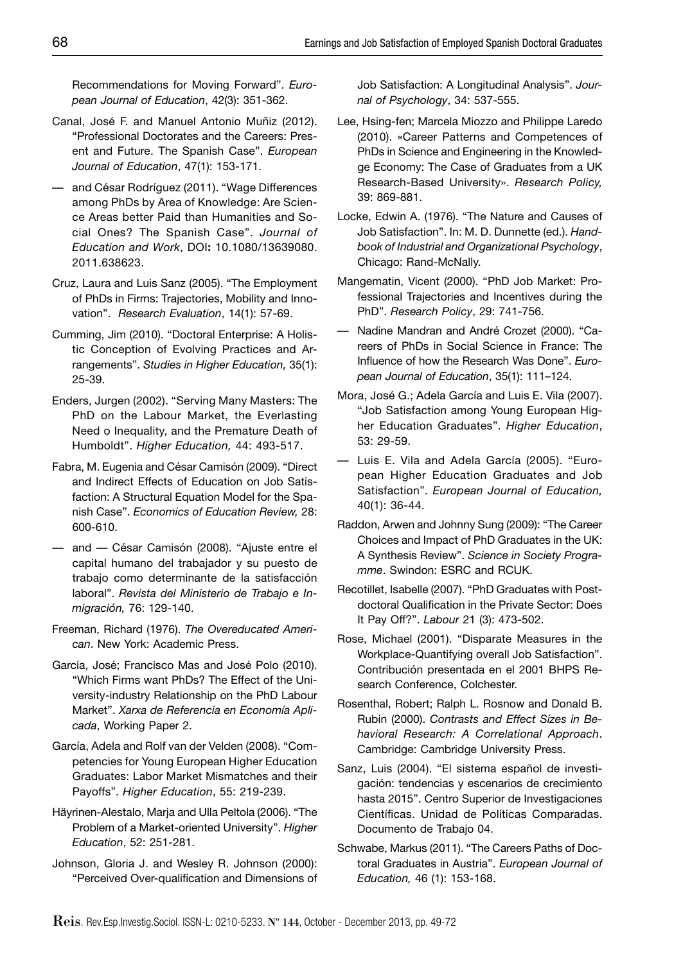Recommendations for Moving Forward". *European Journal of Education*, 42(3): 351-362.

- Canal, José F. and Manuel Antonio Muñiz (2012). "Professional Doctorates and the Careers: Present and Future. The Spanish Case". *European Journal of Education*, 47(1): 153-171.
- and César Rodríguez (2011). "Wage Differences among PhDs by Area of Knowledge: Are Science Areas better Paid than Humanities and Social Ones? The Spanish Case". *Journal of Education and Work*, DOI**:** 10.1080/13639080. 2011.638623.
- Cruz, Laura and Luis Sanz (2005). "The Employment of PhDs in Firms: Trajectories, Mobility and Innovation". *Research Evaluation*, 14(1): 57-69.
- Cumming, Jim (2010). "Doctoral Enterprise: A Holistic Conception of Evolving Practices and Arrangements". *Studies in Higher Education,* 35(1): 25-39.
- Enders, Jurgen (2002). "Serving Many Masters: The PhD on the Labour Market, the Everlasting Need o Inequality, and the Premature Death of Humboldt". *Higher Education,* 44: 493-517.
- Fabra, M. Eugenia and César Camisón (2009). "Direct and Indirect Effects of Education on Job Satisfaction: A Structural Equation Model for the Spanish Case". *Economics of Education Review,* 28: 600-610.
- and César Camisón (2008). "Ajuste entre el capital humano del trabajador y su puesto de trabajo como determinante de la satisfacción laboral". *Revista del Ministerio de Trabajo e Inmigración,* 76: 129-140.
- Freeman, Richard (1976). *The Overeducated American*. New York: Academic Press.
- García, José; Francisco Mas and José Polo (2010). "Which Firms want PhDs? The Effect of the University-industry Relationship on the PhD Labour Market". *Xarxa de Referencia en Economía Aplicada*, Working Paper 2.
- García, Adela and Rolf van der Velden (2008). "Competencies for Young European Higher Education Graduates: Labor Market Mismatches and their Payoffs". *Higher Education*, 55: 219-239.
- Häyrinen-Alestalo, Marja and Ulla Peltola (2006). "The Problem of a Market-oriented University". *Higher Education*, 52: 251-281.
- Johnson, Gloria J. and Wesley R. Johnson (2000): "Perceived Over-qualification and Dimensions of

Job Satisfaction: A Longitudinal Analysis". *Journal of Psychology*, 34: 537-555.

- Lee, Hsing-fen; Marcela Miozzo and Philippe Laredo (2010). «Career Patterns and Competences of PhDs in Science and Engineering in the Knowledge Economy: The Case of Graduates from a UK Research-Based University». *Research Policy,* 39: 869-881.
- Locke, Edwin A. (1976). "The Nature and Causes of Job Satisfaction". In: M. D. Dunnette (ed.). *Handbook of Industrial and Organizational Psychology*, Chicago: Rand-McNally.
- Mangematin, Vicent (2000). "PhD Job Market: Professional Trajectories and Incentives during the PhD". *Research Policy*, 29: 741-756.
- Nadine Mandran and André Crozet (2000). "Careers of PhDs in Social Science in France: The Influence of how the Research Was Done". *European Journal of Education*, 35(1): 111–124.
- Mora, José G.; Adela García and Luis E. Vila (2007). "Job Satisfaction among Young European Higher Education Graduates". *Higher Education*, 53: 29-59.
- Luis E. Vila and Adela García (2005). "European Higher Education Graduates and Job Satisfaction". *European Journal of Education,* 40(1): 36-44.
- Raddon, Arwen and Johnny Sung (2009): "The Career Choices and Impact of PhD Graduates in the UK: A Synthesis Review". *Science in Society Programme*. Swindon: ESRC and RCUK.
- Recotillet, Isabelle (2007). "PhD Graduates with Postdoctoral Qualification in the Private Sector: Does It Pay Off?". *Labour* 21 (3): 473-502.
- Rose, Michael (2001). "Disparate Measures in the Workplace-Quantifying overall Job Satisfaction". Contribución presentada en el 2001 BHPS Research Conference, Colchester.
- Rosenthal, Robert; Ralph L. Rosnow and Donald B. Rubin (2000). *Contrasts and Effect Sizes in Behavioral Research: A Correlational Approach*. Cambridge: Cambridge University Press.
- Sanz, Luis (2004). "El sistema español de investigación: tendencias y escenarios de crecimiento hasta 2015". Centro Superior de Investigaciones Científicas. Unidad de Políticas Comparadas. Documento de Trabajo 04.
- Schwabe, Markus (2011). "The Careers Paths of Doctoral Graduates in Austria". *European Journal of Education,* 46 (1): 153-168.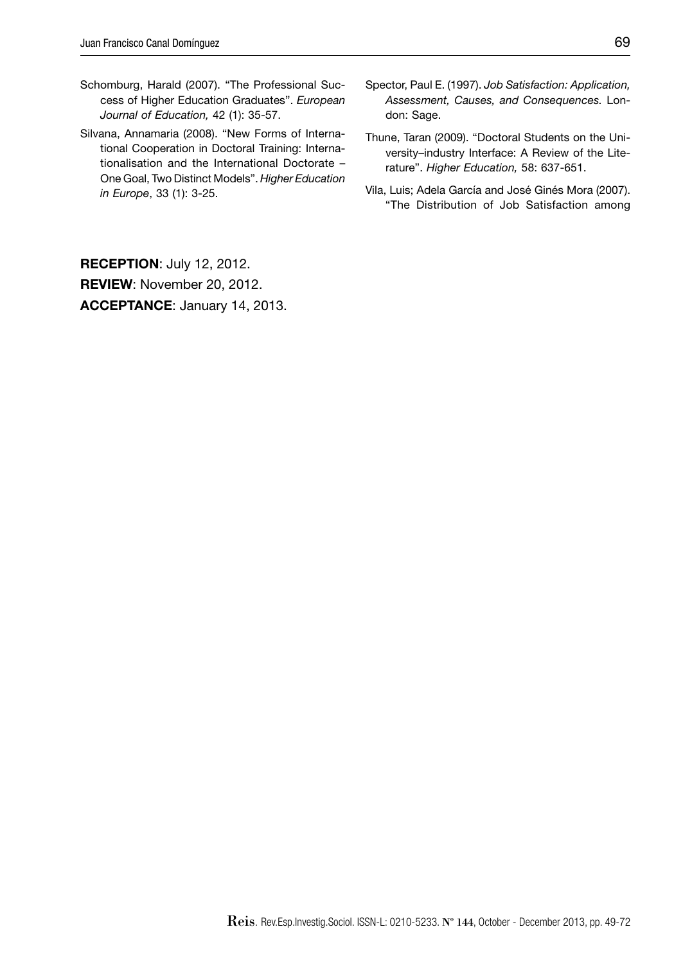- Schomburg, Harald (2007). "The Professional Success of Higher Education Graduates". *European Journal of Education,* 42 (1): 35-57.
- Silvana, Annamaria (2008). "New Forms of International Cooperation in Doctoral Training: Internationalisation and the International Doctorate – One Goal, Two Distinct Models". *Higher Education in Europe*, 33 (1): 3-25.
- Spector, Paul E. (1997). *Job Satisfaction: Application, Assessment, Causes, and Consequences.* London: Sage.
- Thune, Taran (2009). "Doctoral Students on the University–industry Interface: A Review of the Literature". *Higher Education,* 58: 637-651.
- Vila, Luis; Adela García and José Ginés Mora (2007). "The Distribution of Job Satisfaction among

**RECEPTION**: July 12, 2012. **REVIEW**: November 20, 2012. **ACCEPTANCE**: January 14, 2013.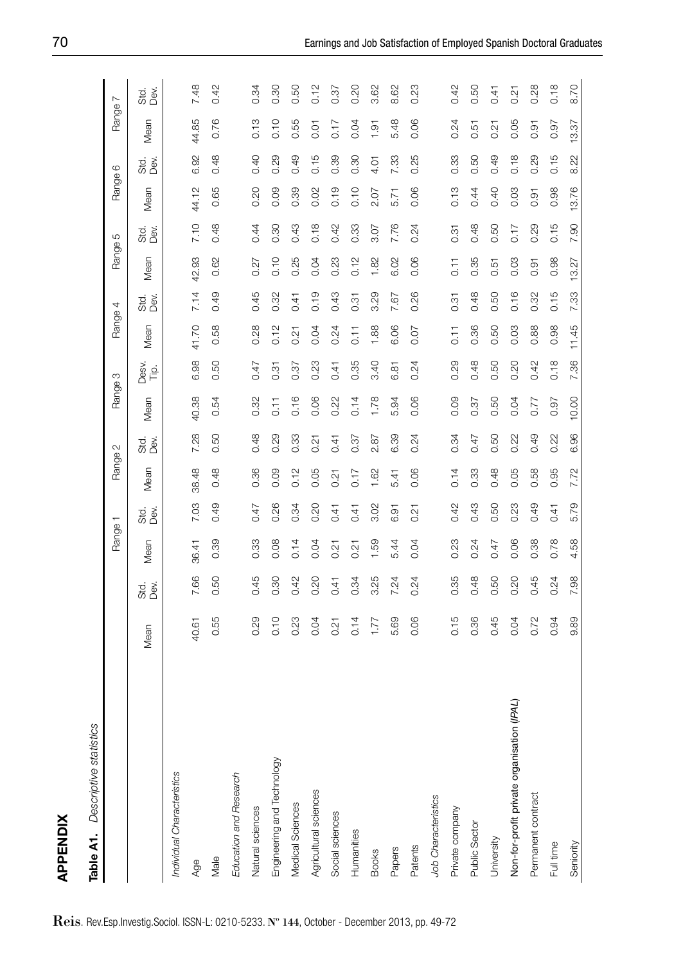| ٦<br>٦ |  |  |
|--------|--|--|
|        |  |  |
|        |  |  |
|        |  |  |
| ï      |  |  |

|   | S ATA'          |
|---|-----------------|
|   |                 |
|   |                 |
| ċ | Š               |
|   |                 |
|   | г               |
|   | Ď               |
| í | Ē               |
|   | statr<br>ומפראז |

| <b>APPENDIX</b>                            |       |            |                    |              |                    |                   |                    |                 |                     |              |                  |          |         |           |                    |              |
|--------------------------------------------|-------|------------|--------------------|--------------|--------------------|-------------------|--------------------|-----------------|---------------------|--------------|------------------|----------|---------|-----------|--------------------|--------------|
| Table A1. Descriptive statistics           |       |            |                    |              |                    |                   |                    |                 |                     |              |                  |          |         |           |                    |              |
|                                            |       |            | Range <sup>-</sup> | ┯            | Range <sup>?</sup> | $\mathbf{\Omega}$ | Range 3            |                 | Range 4             |              | Range!           | Ю        | Range f | ဖ         | Range <sup>-</sup> | $\sim$       |
|                                            | Mean  | sta<br>Dev | Mean               | std.<br>Dev. | Mean               | ದ<br>ದಿ<br>ದಿ     | Mean               | Desv.<br>غ<br>آ | Mean                | stal<br>Devi | Mean             | te<br>Se | Mean    | te<br>Seò | Mean               | stal<br>Devi |
| Individual Characteristics                 |       |            |                    |              |                    |                   |                    |                 |                     |              |                  |          |         |           |                    |              |
| Age                                        | 40.61 | 7.66       | 36.41              | 7.03         | 38.48              | 7.28              | 40.38              | 6.98            | 41.70               | 7.14         | 42.93            | 7.10     | 44.12   | 6.92      | 44.85              | 7.48         |
| Male                                       | 0.55  | 0.50       | 0.39               | 0.49         | 0.48               | 0.50              | 0.54               | 0.50            | 0.58                | 0.49         | 0.62             | 0.48     | 0.65    | 0.48      | 0.76               | 0.42         |
| Education and Research                     |       |            |                    |              |                    |                   |                    |                 |                     |              |                  |          |         |           |                    |              |
| Natural sciences                           | 0.29  | 0.45       | 0.33               | 0.47         | 0.36               | 0.48              | 0.32               | 0.47            | 0.28                | 0.45         | 0.27             | 0.44     | 0.20    | 0.40      | 0.13               | 0.34         |
| Engineering and Technology                 | 0.10  | 0.30       | 0.08               | 0.26         | 0.09               | 0.29              | $\overline{0}$ .11 | 0.31            | 0.12                | 0.32         | 0.10             | 0.30     | 0.09    | 0.29      | 0.10               | 0.30         |
| Medical Sciences                           | 0.23  | 0.42       | 0.14               | 0.34         | 0.12               | 0.33              | 0.16               | 0.37            | 0.21                | 0.41         | 0.25             | 0.43     | 0.39    | 0.49      | 0.55               | 0.50         |
| Agricultural sciences                      | 0.04  | 0.20       | 0.04               | 0.20         | 0.05               | 0.21              | 0.06               | 0.23            | 0.04                | 0.19         | 0.04             | 0.18     | 0.02    | 0.15      | 0.01               | 0.12         |
| Social sciences                            | 0.21  | 0.41       | 2<br>ö             | 0.41         | 0.21               | 0.41              | 0.22               | 0.41            | 0.24                | 0.43         | 0.23             | 0.42     | 0.19    | 0.39      | 0.17               | 0.37         |
| Humanities                                 | 0.14  | 0.34       | 0.21               | 0.41         | 0.17               | 0.37              | 0.14               | 0.35            | $\overline{0}$ . 11 | 0.31         | 0.12             | 0.33     | 0.10    | 0.30      | 0.04               | 0.20         |
| <b>Books</b>                               | 1.77  | 3.25       | 1.59               | 3.02         | 1.62               | 2.87              | 1.78               | 3.40            | 1.88                | 3.29         | 1.82             | 3.07     | 2.07    | 4.01      | 1.91               | 3.62         |
| Papers                                     | 5.69  | 7.24       | 5.44               | 6.91         | 5.41               | 6.39              | 5.94               | 6.81            | 6.06                | 7.67         | 6.02             | 7.76     | 5.71    | 7.33      | 5.48               | 8.62         |
| Patents                                    | 0.06  | 0.24       | 0.04               | 0.21         | 0.06               | 0.24              | 0.06               | 0.24            | 0.07                | 0.26         | 0.06             | 0.24     | 0.06    | 0.25      | 0.06               | 0.23         |
| Job Characteristics                        |       |            |                    |              |                    |                   |                    |                 |                     |              |                  |          |         |           |                    |              |
| Private company                            | 0.15  | 0.35       | 0.23               | 0.42         | 0.14               | 0.34              | 0.09               | 0.29            | $\overline{0}$ . 11 | 0.31         | $\overline{0}$ . | 0.31     | 0.13    | 0.33      | 0.24               | 0.42         |
| <b>Public Sector</b>                       | 0.36  | 0.48       | 0.24               | 0.43         | 0.33               | 0.47              | 0.37               | 0.48            | 0.36                | 0.48         | 0.35             | 0.48     | 0.44    | 0.50      | 0.51               | 0.50         |
| University                                 | 0.45  | 0.50       | 0.47               | 0.50         | 0.48               | 0.50              | 0.50               | 0.50            | 0.50                | 0.50         | 5<br>ö           | 0.50     | 0.40    | 0.49      | 0.21               | 0.41         |
| Non-for-profit private organisation (IPAL) | 0.04  | 0.20       | 0.06               | 0.23         | 0.05               | 0.22              | 0.04               | 0.20            | 0.03                | 0.16         | 0.03             | 0.17     | 0.03    | 0.18      | 0.05               | 0.21         |
| Permanent contract                         | 0.72  | 0.45       | 0.38               | 0.49         | 0.58               | 0.49              | 0.77               | 0.42            | 0.88                | 0.32         | 0.91             | 0.29     | 0.91    | 0.29      | 0.91               | 0.28         |
| Full time                                  | 0.94  | 0.24       | 0.78               | 0.41         | 0.95               | 0.22              | 0.97               | 0.18            | 0.98                | 0.15         | 0.98             | 0.15     | 0.98    | 0.15      | 0.97               | 0.18         |
| Seniority                                  | 9.89  | 7.98       | 4.58               | 5.79         | 7.72               | 6.96              | 10.00              | 7.36            | 11.45               | 7.33         | 13.27            | 7.90     | 13.76   | 8.22      | 13.37              | 8.70         |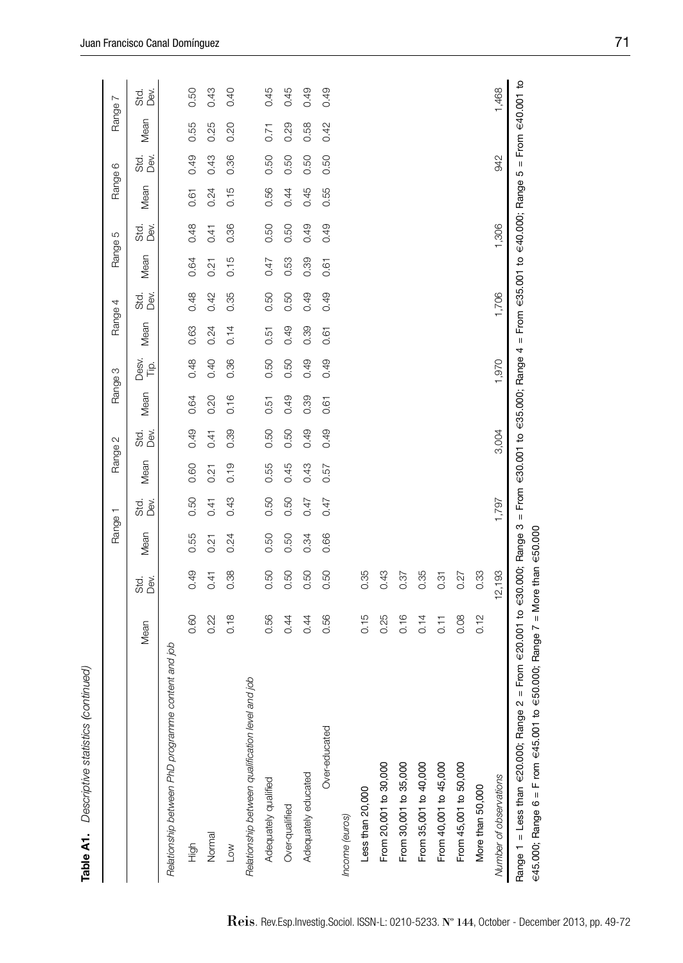| i |
|---|
|   |
|   |
| ١ |

|                                                       |                                 |            | Range 1 |            |      | Range 2    |      | Range 3       |      | Range 4  | Range 5 |              | Range 6 |            | Range <sup>7</sup> | $\sim$       |
|-------------------------------------------------------|---------------------------------|------------|---------|------------|------|------------|------|---------------|------|----------|---------|--------------|---------|------------|--------------------|--------------|
|                                                       | Mean                            | sta<br>Dev | Mean    | sta<br>Dev | Mean | sta<br>Dev | Mean | Desv.<br>Tip: | Mean | 3<br>De∖ | Mean    | stai<br>Devi | Mean    | sta<br>Dev | Mean               | std.<br>Dev. |
| content and job<br>Relationship between PhD programme |                                 |            |         |            |      |            |      |               |      |          |         |              |         |            |                    |              |
| High                                                  | 0.60                            | 0.49       | 0.55    | 0.50       | 0.60 | 0.49       | 0.64 | 0.48          | 0.63 | 0.48     | 0.64    | 0.48         | 0.61    | 0.49       | 0.55               | 0.50         |
| Normal                                                | 0.22                            | 0.41       | 0.21    | 0.41       | 0.21 | 0.41       | 0.20 | 0.40          | 0.24 | 0.42     | 0.21    | 0.41         | 0.24    | 0.43       | 0.25               | 0.43         |
| Low                                                   | 0.18                            | 0.38       | 0.24    | 0.43       | 0.19 | 0.39       | 0.16 | 0.36          | 0.14 | 0.35     | 0.15    | 0.36         | 0.15    | 0.36       | 0.20               | 0.40         |
| and job<br>Relationship between qualification level   |                                 |            |         |            |      |            |      |               |      |          |         |              |         |            |                    |              |
| Adequately qualified                                  | 0.56                            | 0.50       | 0.50    | 0.50       | 0.55 | 0.50       | 0.51 | 0.50          | 0.51 | 0.50     | 0.47    | 0.50         | 0.56    | 0.50       | 0.71               | 0.45         |
| Over-qualified                                        | 0.44                            | 0.50       | 0.50    | 0.50       | 0.45 | 0.50       | 0.49 | 0.50          | 0.49 | 0.50     | 0.53    | 0.50         | 0.44    | 0.50       | 0.29               | 0.45         |
| Adequately educated                                   | 0.44                            | 0.50       | 0.34    | 0.47       | 0.43 | 0.49       | 0.39 | 0.49          | 0.39 | 0.49     | 0.39    | 0.49         | 0.45    | 0.50       | 0.58               | 0.49         |
| Over-educated                                         | 0.56                            | 0.50       | 0.66    | 0.47       | 0.57 | 0.49       | 0.61 | 0.49          | 0.61 | 0.49     | 0.61    | 0.49         | 0.55    | 0.50       | 0.42               | 0.49         |
| Income (euros)                                        |                                 |            |         |            |      |            |      |               |      |          |         |              |         |            |                    |              |
| Less than 20,000                                      | 0.15                            | 0.35       |         |            |      |            |      |               |      |          |         |              |         |            |                    |              |
| From 20,001 to 30,000                                 | 0.25                            | 0.43       |         |            |      |            |      |               |      |          |         |              |         |            |                    |              |
| From 30,001 to 35,000                                 | 0.16                            | 0.37       |         |            |      |            |      |               |      |          |         |              |         |            |                    |              |
| From 35,001 to 40,000                                 | 0.14                            | 0.35       |         |            |      |            |      |               |      |          |         |              |         |            |                    |              |
| From 40,001 to 45,000                                 | $\overline{0}$ . $\overline{1}$ | 0.31       |         |            |      |            |      |               |      |          |         |              |         |            |                    |              |
| From 45,001 to 50,000                                 | 0.08                            | 0.27       |         |            |      |            |      |               |      |          |         |              |         |            |                    |              |
| More than 50,000                                      | 0.12                            | 0.33       |         |            |      |            |      |               |      |          |         |              |         |            |                    |              |
| Number of observations                                |                                 | 12,193     |         | 1,797      |      | 3,004      |      | 1,970         |      | 1,706    |         | 1,306        |         | 942        |                    | 1,468        |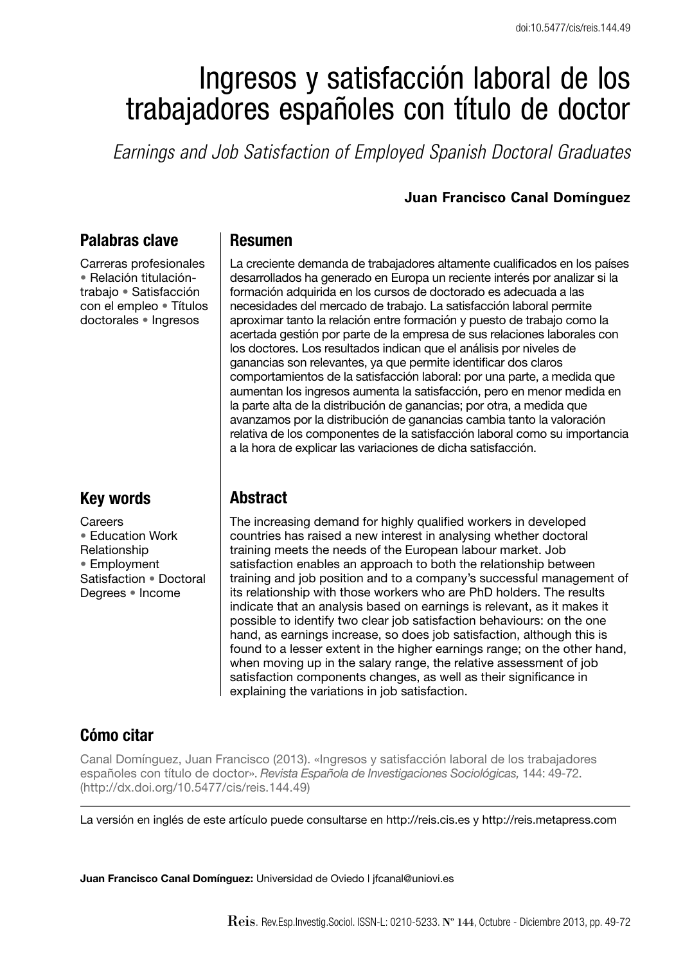# Ingresos y satisfacción laboral de los trabajadores españoles con título de doctor

*Earnings and Job Satisfaction of Employed Spanish Doctoral Graduates*

#### **Juan Francisco Canal Domínguez**

# **Palabras clave**

Carreras profesionales • Relación titulacióntrabajo • Satisfacción con el empleo • Títulos doctorales • Ingresos

# **Key words**

**Careers** • Education Work Relationship • Employment Satisfaction • Doctoral Degrees • Income

#### **Resumen**

La creciente demanda de trabajadores altamente cualificados en los países desarrollados ha generado en Europa un reciente interés por analizar si la form ación adquirida en los cursos de doctorado es adecuada a las necesidades del mercado de trabajo. La satisfacción laboral permite aproximar tanto la relación entre formación y puesto de trabajo como la acertada gestión por parte de la empresa de sus relaciones laborales con los doctores. Los resultados indican que el análisis por niveles de ganancias son relevantes, ya que permite identificar dos claros comportamientos de la satisfacción laboral: por una parte, a medida que aumentan los ingresos aumenta la satisfacción, pero en menor medida en la parte alta de la distribución de ganancias; por otra, a medida que avanzamos por la distribución de ganancias cambia tanto la valoración relativa de los componentes de la satisfacción laboral como su importancia a la hora de explicar las variaciones de dicha satisfacción.

# **Abstract**

The increasing demand for highly qualified workers in developed countries has raised a new interest in analysing whether doctoral training meets the needs of the European labour market. Job satisfaction enables an approach to both the relationship between training and job position and to a company's successful management of its relationship with those workers who are PhD holders. The results indicate that an analysis based on earnings is relevant, as it makes it possible to identify two clear job satisfaction behaviours: on the one hand, as earnings increase, so does job satisfaction, although this is found to a lesser extent in the higher earnings range; on the other hand, when moving up in the salary range, the relative assessment of job satisfaction components changes, as well as their significance in explaining the variations in job satisfaction.

# **Cómo citar**

Canal Domínguez, Juan Francisco (2013). «Ingresos y satisfacción laboral de los trabajadores españoles con título de doctor». *Revista Española de Investigaciones Sociológicas,* 144: 49-72. (http://dx.doi.org/10.5477/cis/reis.144.49)

La versión en inglés de este artículo puede consultarse en http://reis.cis.es y http://reis.metapress.com

**Juan Francisco Canal Domínguez:** Universidad de Oviedo | jfcanal@uniovi.es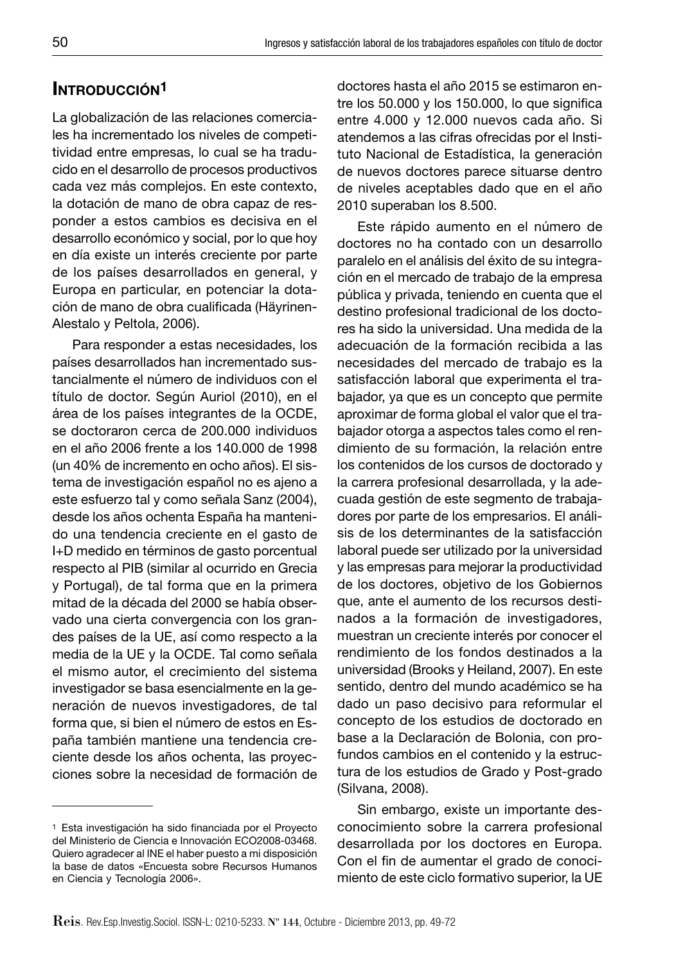# **INTRODUCCIÓN1**

La globalización de las relaciones comerciales ha incrementado los niveles de competitividad entre empresas, lo cual se ha traducido en el desarrollo de procesos productivos cada vez más complejos. En este contexto, la dotación de mano de obra capaz de responder a estos cambios es decisiva en el desarrollo económico y social, por lo que hoy en día existe un interés creciente por parte de los países desarrollados en general, y Europa en particular, en potenciar la dotación de mano de obra cualificada (Häyrinen-Alestalo y Peltola, 2006).

Para responder a estas necesidades, los países desarrollados han incrementado sustancialmente el número de individuos con el título de doctor. Según Auriol (2010), en el área de los países integrantes de la OCDE, se doctoraron cerca de 200.000 individuos en el año 2006 frente a los 140.000 de 1998 (un 40% de incremento en ocho años). El sistema de investigación español no es ajeno a este esfuerzo tal y como señala Sanz (2004), desde los años ochenta España ha mantenido una tendencia creciente en el gasto de I+D medido en términos de gasto porcentual respecto al PIB (similar al ocurrido en Grecia y Portugal), de tal forma que en la primera mitad de la década del 2000 se había observado una cierta convergencia con los grandes países de la UE, así como respecto a la media de la UE y la OCDE. Tal como señala el mismo autor, el crecimiento del sistema investigador se basa esencialmente en la generación de nuevos investigadores, de tal forma que, si bien el número de estos en España también mantiene una tendencia creciente desde los años ochenta, las proyecciones sobre la necesidad de formación de doctores hasta el año 2015 se estimaron entre los  $50.000$  y los  $150.000$ , lo que significa entre 4.000 y 12.000 nuevos cada año. Si atendemos a las cifras ofrecidas por el Instituto Nacional de Estadística, la generación de nuevos doctores parece situarse dentro de niveles aceptables dado que en el año 2010 superaban los 8.500.

Este rápido aumento en el número de doctores no ha contado con un desarrollo paralelo en el análisis del éxito de su integración en el mercado de trabajo de la empresa pública y privada, teniendo en cuenta que el destino profesional tradicional de los doctores ha sido la universidad. Una medida de la adecuación de la formación recibida a las necesidades del mercado de trabajo es la satisfacción laboral que experimenta el trabajador, ya que es un concepto que permite aproximar de forma global el valor que el trabajador otorga a aspectos tales como el rendimiento de su formación, la relación entre los contenidos de los cursos de doctorado y la carrera profesional desarrollada, y la adecuada gestión de este segmento de trabajadores por parte de los empresarios. El análisis de los determinantes de la satisfacción laboral puede ser utilizado por la universidad y las empresas para mejorar la productividad de los doctores, objetivo de los Gobiernos que, ante el aumento de los recursos destinados a la formación de investigadores, muestran un creciente interés por conocer el rendimiento de los fondos destinados a la universidad (Brooks y Heiland, 2007). En este sentido, dentro del mundo académico se ha dado un paso decisivo para reformular el concepto de los estudios de doctorado en base a la Declaración de Bolonia, con profundos cambios en el contenido y la estructura de los estudios de Grado y Post-grado (Silvana, 2008).

Sin embargo, existe un importante desconocimiento sobre la carrera profesional desarrollada por los doctores en Europa. Con el fin de aumentar el grado de conocimiento de este ciclo formativo superior, la UE

<sup>&</sup>lt;sup>1</sup> Esta investigación ha sido financiada por el Proyecto del Ministerio de Ciencia e Innovación ECO2008-03468. Quiero agradecer al INE el haber puesto a mi disposición la base de datos «Encuesta sobre Recursos Humanos en Ciencia y Tecnología 2006».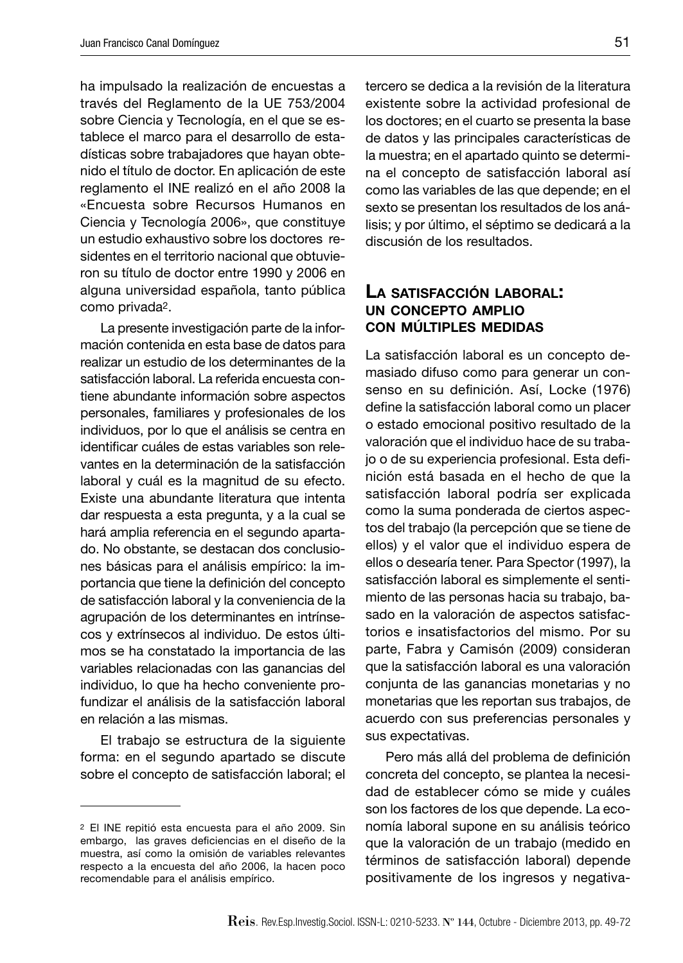ha impulsado la realización de encuestas a través del Reglamento de la UE 753/2004 sobre Ciencia y Tecnología, en el que se establece el marco para el desarrollo de estadísticas sobre trabajadores que hayan obtenido el título de doctor. En aplicación de este reglamento el INE realizó en el año 2008 la «Encuesta sobre Recursos Humanos en Ciencia y Tecnología 2006», que constituye un estudio exhaustivo sobre los doctores residentes en el territorio nacional que obtuvieron su título de doctor entre 1990 y 2006 en alguna universidad española, tanto pública como privada2.

La presente investigación parte de la información contenida en esta base de datos para realizar un estudio de los determinantes de la satisfacción laboral. La referida encuesta contiene abundante información sobre aspectos personales, familiares y profesionales de los individuos, por lo que el análisis se centra en identificar cuáles de estas variables son relevantes en la determinación de la satisfacción laboral y cuál es la magnitud de su efecto. Existe una abundante literatura que intenta dar respuesta a esta pregunta, y a la cual se hará amplia referencia en el segundo apartado. No obstante, se destacan dos conclusiones básicas para el análisis empírico: la importancia que tiene la definición del concepto de satisfacción laboral y la conveniencia de la agrupación de los determinantes en intrínsecos y extrínsecos al individuo. De estos últimos se ha constatado la importancia de las variables relacionadas con las ganancias del individuo, lo que ha hecho conveniente profundizar el análisis de la satisfacción laboral en relación a las mismas.

El trabajo se estructura de la siguiente forma: en el segundo apartado se discute sobre el concepto de satisfacción laboral; el tercero se dedica a la revisión de la literatura existente sobre la actividad profesional de los doctores; en el cuarto se presenta la base de datos y las principales características de la muestra; en el apartado quinto se determina el concepto de satisfacción laboral así como las variables de las que depende; en el sexto se presentan los resultados de los análisis; y por último, el séptimo se dedicará a la discusión de los resultados.

#### **LA SATISFACCIÓN LABORAL: UN CONCEPTO AMPLIO CON MÚLTIPLES MEDIDAS**

La satisfacción laboral es un concepto demasiado difuso como para generar un consenso en su definición. Así, Locke (1976) define la satisfacción laboral como un placer o estado emocional positivo resultado de la valoración que el individuo hace de su trabajo o de su experiencia profesional. Esta defi nición está basada en el hecho de que la satisfacción laboral podría ser explicada como la suma ponderada de ciertos aspectos del trabajo (la percepción que se tiene de ellos) y el valor que el individuo espera de ellos o desearía tener. Para Spector (1997), la satisfacción laboral es simplemente el sentimiento de las personas hacia su trabajo, basado en la valoración de aspectos satisfactorios e insatisfactorios del mismo. Por su parte, Fabra y Camisón (2009) consideran que la satisfacción laboral es una valoración conjunta de las ganancias monetarias y no monetarias que les reportan sus trabajos, de acuerdo con sus preferencias personales y sus expectativas.

Pero más allá del problema de definición concreta del concepto, se plantea la necesidad de establecer cómo se mide y cuáles son los factores de los que depende. La economía laboral supone en su análisis teórico que la valoración de un trabajo (medido en términos de satisfacción laboral) depende positivamente de los ingresos y negativa-

<sup>2</sup> El INE repitió esta encuesta para el año 2009. Sin embargo, las graves deficiencias en el diseño de la muestra, así como la omisión de variables relevantes respecto a la encuesta del año 2006, la hacen poco recomendable para el análisis empírico.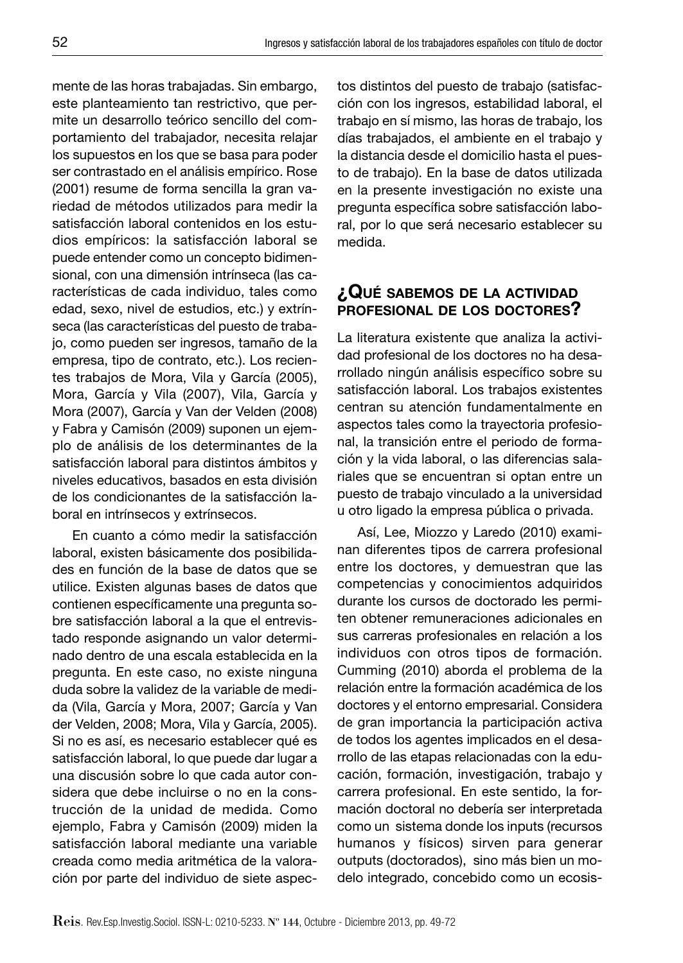mente de las horas trabajadas. Sin embargo, este planteamiento tan restrictivo, que permite un desarrollo teórico sencillo del comportamiento del trabajador, necesita relajar los supuestos en los que se basa para poder ser contrastado en el análisis empírico. Rose (2001) resume de forma sencilla la gran variedad de métodos utilizados para medir la satisfacción laboral contenidos en los estudios empíricos: la satisfacción laboral se puede entender como un concepto bidimensional, con una dimensión intrínseca (las características de cada individuo, tales como edad, sexo, nivel de estudios, etc.) y extrínseca (las características del puesto de trabajo, como pueden ser ingresos, tamaño de la empresa, tipo de contrato, etc.). Los recientes trabajos de Mora, Vila y García (2005), Mora, García y Vila (2007), Vila, García y Mora (2007), García y Van der Velden (2008) y Fabra y Camisón (2009) suponen un ejemplo de análisis de los determinantes de la satisfacción laboral para distintos ámbitos y niveles educativos, basados en esta división de los condicionantes de la satisfacción laboral en intrínsecos y extrínsecos.

En cuanto a cómo medir la satisfacción laboral, existen básicamente dos posibilidades en función de la base de datos que se utilice. Existen algunas bases de datos que contienen específicamente una pregunta sobre satisfacción laboral a la que el entrevistado responde asignando un valor determinado dentro de una escala establecida en la pregunta. En este caso, no existe ninguna duda sobre la validez de la variable de medida (Vila, García y Mora, 2007; García y Van der Velden, 2008; Mora, Vila y García, 2005). Si no es así, es necesario establecer qué es satisfacción laboral, lo que puede dar lugar a una discusión sobre lo que cada autor considera que debe incluirse o no en la construcción de la unidad de medida. Como ejemplo, Fabra y Camisón (2009) miden la satisfacción laboral mediante una variable creada como media aritmética de la valoración por parte del individuo de siete aspectos distintos del puesto de trabajo (satisfacción con los ingresos, estabilidad laboral, el trabajo en sí mismo, las horas de trabajo, los días trabajados, el ambiente en el trabajo y la distancia desde el domicilio hasta el puesto de trabajo). En la base de datos utilizada en la presente investigación no existe una pregunta específica sobre satisfacción laboral, por lo que será necesario establecer su medida.

## **¿QUÉ SABEMOS DE LA ACTIVIDAD PROFESIONAL DE LOS DOCTORES?**

La literatura existente que analiza la actividad profesional de los doctores no ha desarrollado ningún análisis específico sobre su satisfacción laboral. Los trabajos existentes centran su atención fundamentalmente en aspectos tales como la trayectoria profesional, la transición entre el periodo de formación y la vida laboral, o las diferencias salariales que se encuentran si optan entre un puesto de trabajo vinculado a la universidad u otro ligado la empresa pública o privada.

Así, Lee, Miozzo y Laredo (2010) examinan diferentes tipos de carrera profesional entre los doctores, y demuestran que las competencias y conocimientos adquiridos durante los cursos de doctorado les permiten obtener remuneraciones adicionales en sus carreras profesionales en relación a los individuos con otros tipos de formación. Cumming (2010) aborda el problema de la relación entre la formación académica de los doctores y el entorno empresarial. Considera de gran importancia la participación activa de todos los agentes implicados en el desarrollo de las etapas relacionadas con la educación, formación, investigación, trabajo y carrera profesional. En este sentido, la formación doctoral no debería ser interpretada como un sistema donde los inputs (recursos humanos y físicos) sirven para generar outputs (doctorados), sino más bien un modelo integrado, concebido como un ecosis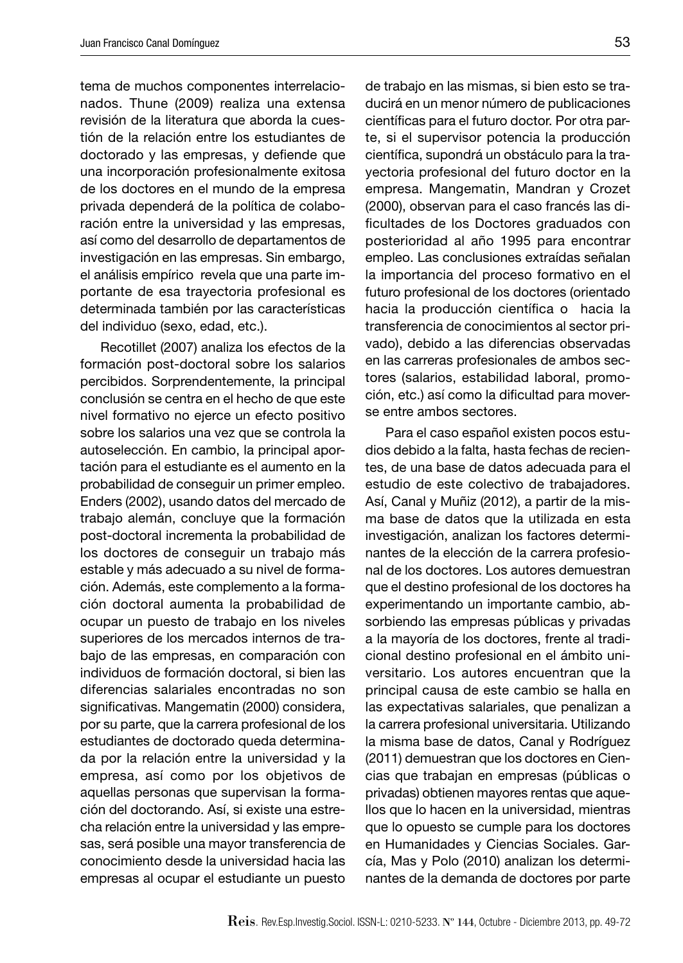tema de muchos componentes interrelacionados. Thune (2009) realiza una extensa revisión de la literatura que aborda la cuestión de la relación entre los estudiantes de doctorado y las empresas, y defiende que una incorporación profesionalmente exitosa de los doctores en el mundo de la empresa privada dependerá de la política de colaboración entre la universidad y las empresas, así como del desarrollo de departamentos de investigación en las empresas. Sin embargo, el análisis empírico revela que una parte importante de esa trayectoria profesional es determinada también por las características del individuo (sexo, edad, etc.).

Recotillet (2007) analiza los efectos de la formación post-doctoral sobre los salarios percibidos. Sorprendentemente, la principal conclusión se centra en el hecho de que este nivel formativo no ejerce un efecto positivo sobre los salarios una vez que se controla la autoselección. En cambio, la principal aportación para el estudiante es el aumento en la probabilidad de conseguir un primer empleo. Enders (2002), usando datos del mercado de trabajo alemán, concluye que la formación post-doctoral incrementa la probabilidad de los doctores de conseguir un trabajo más estable y más adecuado a su nivel de formación. Además, este complemento a la formación doctoral aumenta la probabilidad de ocupar un puesto de trabajo en los niveles superiores de los mercados internos de trabajo de las empresas, en comparación con individuos de formación doctoral, si bien las diferencias salariales encontradas no son significativas. Mangematin (2000) considera, por su parte, que la carrera profesional de los estudiantes de doctorado queda determinada por la relación entre la universidad y la empresa, así como por los objetivos de aquellas personas que supervisan la formación del doctorando. Así, si existe una estrecha relación entre la universidad y las empresas, será posible una mayor transferencia de conocimiento desde la universidad hacia las empresas al ocupar el estudiante un puesto de trabajo en las mismas, si bien esto se traducirá en un menor número de publicaciones científicas para el futuro doctor. Por otra parte, si el supervisor potencia la producción científica, supondrá un obstáculo para la trayectoria profesional del futuro doctor en la empresa. Mangematin, Mandran y Crozet (2000), observan para el caso francés las dificultades de los Doctores graduados con posterioridad al año 1995 para encontrar empleo. Las conclusiones extraídas señalan la importancia del proceso formativo en el futuro profesional de los doctores (orientado hacia la producción científica o hacia la transferencia de conocimientos al sector privado), debido a las diferencias observadas en las carreras profesionales de ambos sectores (salarios, estabilidad laboral, promoción, etc.) así como la dificultad para moverse entre ambos sectores.

Para el caso español existen pocos estudios debido a la falta, hasta fechas de recientes, de una base de datos adecuada para el estudio de este colectivo de trabajadores. Así, Canal y Muñiz (2012), a partir de la misma base de datos que la utilizada en esta investigación, analizan los factores determinantes de la elección de la carrera profesional de los doctores. Los autores demuestran que el destino profesional de los doctores ha experimentando un importante cambio, absorbiendo las empresas públicas y privadas a la mayoría de los doctores, frente al tradicional destino profesional en el ámbito universitario. Los autores encuentran que la principal causa de este cambio se halla en las expectativas salariales, que penalizan a la carrera profesional universitaria. Utilizando la misma base de datos, Canal y Rodríguez (2011) demuestran que los doctores en Ciencias que trabajan en empresas (públicas o privadas) obtienen mayores rentas que aquellos que lo hacen en la universidad, mientras que lo opuesto se cumple para los doctores en Humanidades y Ciencias Sociales. García, Mas y Polo (2010) analizan los determinantes de la demanda de doctores por parte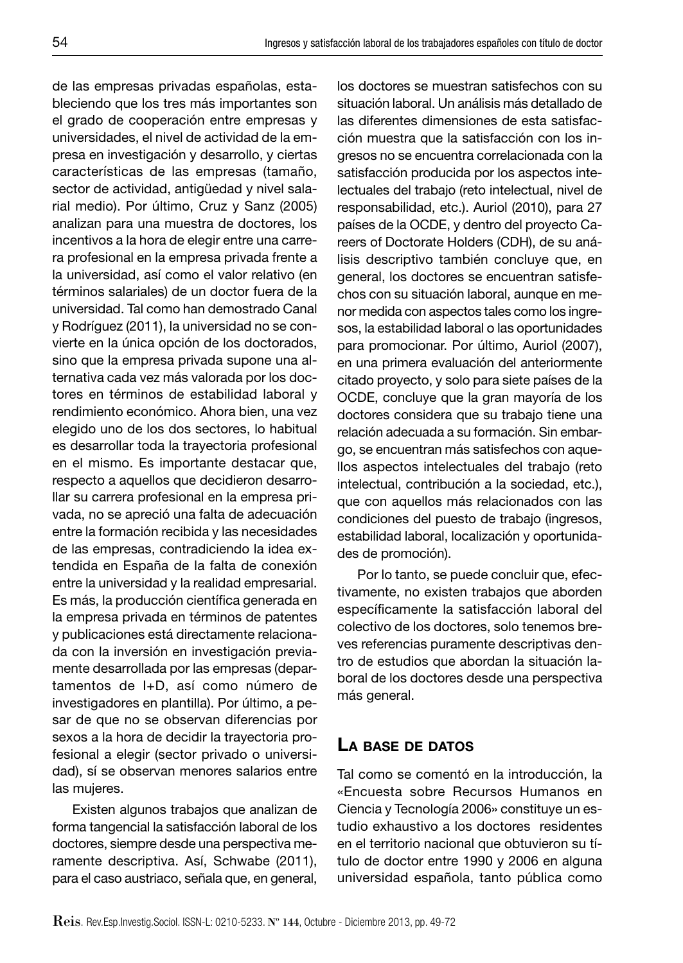de las empresas privadas españolas, estableciendo que los tres más importantes son el grado de cooperación entre empresas y universidades, el nivel de actividad de la empresa en investigación y desarrollo, y ciertas características de las empresas (tamaño, sector de actividad, antigüedad y nivel salarial medio). Por último, Cruz y Sanz (2005) analizan para una muestra de doctores, los incentivos a la hora de elegir entre una carrera profesional en la empresa privada frente a la universidad, así como el valor relativo (en términos salariales) de un doctor fuera de la universidad. Tal como han demostrado Canal y Rodríguez (2011), la universidad no se convierte en la única opción de los doctorados, sino que la empresa privada supone una alternativa cada vez más valorada por los doctores en términos de estabilidad laboral y rendimiento económico. Ahora bien, una vez elegido uno de los dos sectores, lo habitual es desarrollar toda la trayectoria profesional en el mismo. Es importante destacar que, respecto a aquellos que decidieron desarrollar su carrera profesional en la empresa privada, no se apreció una falta de adecuación entre la formación recibida y las necesidades de las empresas, contradiciendo la idea extendida en España de la falta de conexión entre la universidad y la realidad empresarial. Es más, la producción científica generada en la empresa privada en términos de patentes y publicaciones está directamente relacionada con la inversión en investigación previamente desarrollada por las empresas (departamentos de I+D, así como número de investigadores en plantilla). Por último, a pesar de que no se observan diferencias por sexos a la hora de decidir la trayectoria profesional a elegir (sector privado o universidad), sí se observan menores salarios entre las mujeres.

Existen algunos trabajos que analizan de forma tangencial la satisfacción laboral de los doctores, siempre desde una perspectiva meramente descriptiva. Así, Schwabe (2011), para el caso austriaco, señala que, en general, los doctores se muestran satisfechos con su situación laboral. Un análisis más detallado de las diferentes dimensiones de esta satisfacción muestra que la satisfacción con los ingresos no se encuentra correlacionada con la satisfacción producida por los aspectos intelectuales del trabajo (reto intelectual, nivel de responsabilidad, etc.). Auriol (2010), para 27 países de la OCDE, y dentro del proyecto Careers of Doctorate Holders (CDH), de su análisis descriptivo también concluye que, en general, los doctores se encuentran satisfechos con su situación laboral, aunque en menor medida con aspectos tales como los ingresos, la estabilidad laboral o las oportunidades para promocionar. Por último, Auriol (2007), en una primera evaluación del anteriormente citado proyecto, y solo para siete países de la OCDE, concluye que la gran mayoría de los doctores considera que su trabajo tiene una relación adecuada a su formación. Sin embargo, se encuentran más satisfechos con aquellos aspectos intelectuales del trabajo (reto intelectual, contribución a la sociedad, etc.), que con aquellos más relacionados con las condiciones del puesto de trabajo (ingresos, estabilidad laboral, localización y oportunidades de promoción).

Por lo tanto, se puede concluir que, efectivamente, no existen trabajos que aborden específicamente la satisfacción laboral del colectivo de los doctores, solo tenemos breves referencias puramente descriptivas dentro de estudios que abordan la situación laboral de los doctores desde una perspectiva más general.

#### **LA BASE DE DATOS**

Tal como se comentó en la introducción, la «Encuesta sobre Recursos Humanos en Ciencia y Tecnología 2006» constituye un estudio exhaustivo a los doctores residentes en el territorio nacional que obtuvieron su título de doctor entre 1990 y 2006 en alguna universidad española, tanto pública como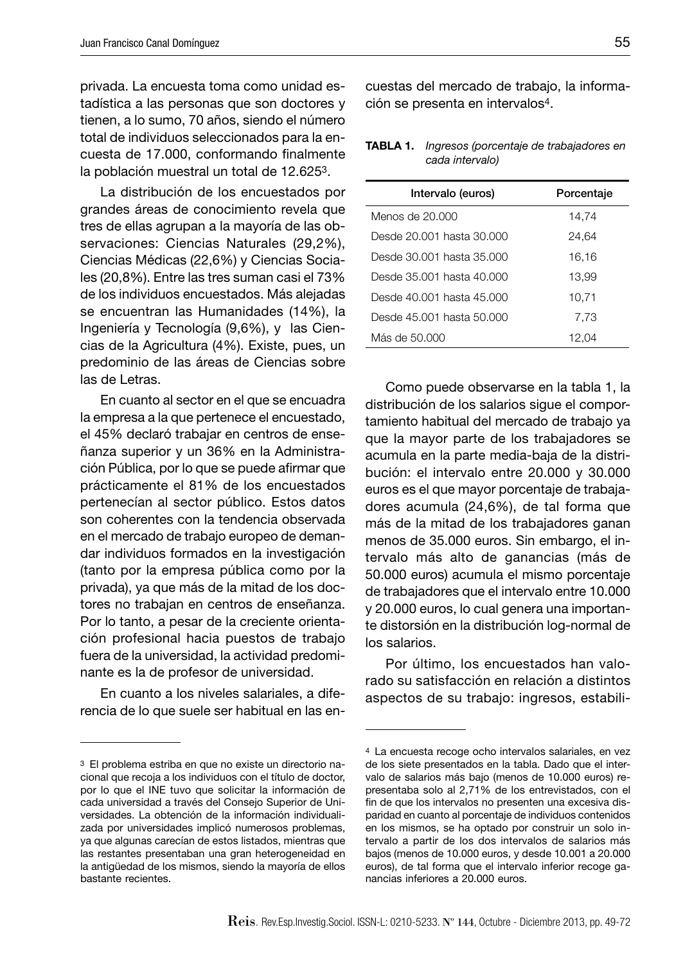privada. La encuesta toma como unidad estadística a las personas que son doctores y tienen, a lo sumo, 70 años, siendo el número total de individuos seleccionados para la encuesta de 17.000, conformando finalmente la población muestral un total de 12.6253.

La distribución de los encuestados por grandes áreas de conocimiento revela que tres de ellas agrupan a la mayoría de las observaciones: Ciencias Naturales (29,2%), Ciencias Médicas (22,6%) y Ciencias Sociales (20,8%). Entre las tres suman casi el 73% de los individuos encuestados. Más alejadas se encuentran las Humanidades (14%), la Ingeniería y Tecnología (9,6%), y las Ciencias de la Agricultura (4%). Existe, pues, un predominio de las áreas de Ciencias sobre las de Letras.

En cuanto al sector en el que se encuadra la empresa a la que pertenece el encuestado, el 45% declaró trabajar en centros de enseñanza superior y un 36% en la Administración Pública, por lo que se puede afirmar que prácticamente el 81% de los encuestados pertenecían al sector público. Estos datos son coherentes con la tendencia observada en el mercado de trabajo europeo de demandar individuos formados en la investigación (tanto por la empresa pública como por la privada), ya que más de la mitad de los doctores no trabajan en centros de enseñanza. Por lo tanto, a pesar de la creciente orientación profesional hacia puestos de trabajo fuera de la universidad, la actividad predominante es la de profesor de universidad.

En cuanto a los niveles salariales, a diferencia de lo que suele ser habitual en las encuestas del mercado de trabajo, la información se presenta en intervalos4.

#### **TABLA 1.** *Ingresos (porcentaje de trabajadores en cada intervalo)*

| Intervalo (euros)         | Porcentaje |
|---------------------------|------------|
| Menos de 20.000           | 14,74      |
| Desde 20.001 hasta 30.000 | 24,64      |
| Desde 30.001 hasta 35.000 | 16,16      |
| Desde 35.001 hasta 40.000 | 13,99      |
| Desde 40.001 hasta 45.000 | 10,71      |
| Desde 45.001 hasta 50.000 | 7,73       |
| Más de 50.000             | 12,04      |

Como puede observarse en la tabla 1, la distribución de los salarios sigue el comportamiento habitual del mercado de trabajo ya que la mayor parte de los trabajadores se acumula en la parte media-baja de la distribución: el intervalo entre 20.000 y 30.000 euros es el que mayor porcentaje de trabajadores acumula (24,6%), de tal forma que más de la mitad de los trabajadores ganan menos de 35.000 euros. Sin embargo, el intervalo más alto de ganancias (más de 50.000 euros) acumula el mismo porcentaje de trabajadores que el intervalo entre 10.000 y 20.000 euros, lo cual genera una importante distorsión en la distribución log-normal de los salarios.

Por último, los encuestados han valorado su satisfacción en relación a distintos aspectos de su trabajo: ingresos, estabili-

<sup>3</sup> El problema estriba en que no existe un directorio nacional que recoja a los individuos con el título de doctor, por lo que el INE tuvo que solicitar la información de cada universidad a través del Consejo Superior de Universidades. La obtención de la información individualizada por universidades implicó numerosos problemas, ya que algunas carecían de estos listados, mientras que las restantes presentaban una gran heterogeneidad en la antigüedad de los mismos, siendo la mayoría de ellos bastante recientes.

<sup>4</sup> La encuesta recoge ocho intervalos salariales, en vez de los siete presentados en la tabla. Dado que el intervalo de salarios más bajo (menos de 10.000 euros) representaba solo al 2,71% de los entrevistados, con el fin de que los intervalos no presenten una excesiva disparidad en cuanto al porcentaje de individuos contenidos en los mismos, se ha optado por construir un solo intervalo a partir de los dos intervalos de salarios más bajos (menos de 10.000 euros, y desde 10.001 a 20.000 euros), de tal forma que el intervalo inferior recoge ganancias inferiores a 20.000 euros.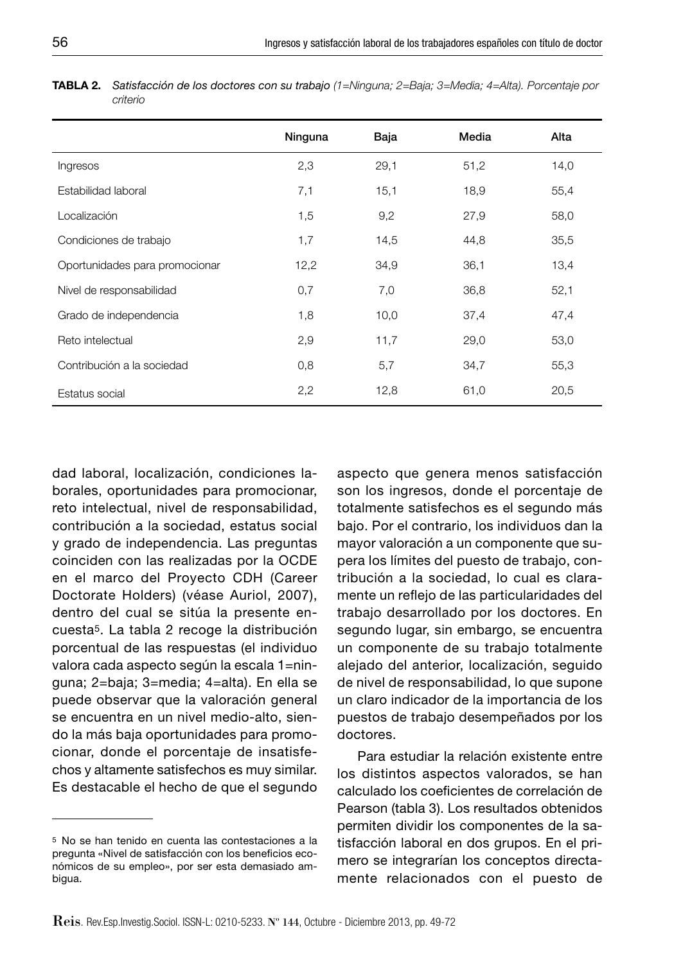|                                | Ninguna | Baja | Media | Alta |
|--------------------------------|---------|------|-------|------|
| Ingresos                       | 2,3     | 29,1 | 51,2  | 14,0 |
| Estabilidad laboral            | 7,1     | 15,1 | 18,9  | 55,4 |
| Localización                   | 1,5     | 9,2  | 27,9  | 58,0 |
| Condiciones de trabajo         | 1,7     | 14,5 | 44,8  | 35,5 |
| Oportunidades para promocionar | 12,2    | 34,9 | 36,1  | 13,4 |
| Nivel de responsabilidad       | 0,7     | 7,0  | 36,8  | 52,1 |
| Grado de independencia         | 1,8     | 10,0 | 37,4  | 47,4 |
| Reto intelectual               | 2,9     | 11,7 | 29,0  | 53,0 |
| Contribución a la sociedad     | 0,8     | 5,7  | 34,7  | 55,3 |
| Estatus social                 | 2,2     | 12,8 | 61,0  | 20,5 |

**TABLA 2.** *Satisfacción de los doctores con su trabajo (1=Ninguna; 2=Baja; 3=Media; 4=Alta). Porcentaje por criterio*

dad laboral, localización, condiciones laborales, oportunidades para promocionar, reto intelectual, nivel de responsabilidad, contribución a la sociedad, estatus social y grado de independencia. Las preguntas coinciden con las realizadas por la OCDE en el marco del Proyecto CDH (Career Doctorate Holders) (véase Auriol, 2007), dentro del cual se sitúa la presente encuesta5. La tabla 2 recoge la distribución porcentual de las respuestas (el individuo valora cada aspecto según la escala 1=ninguna; 2=baja; 3=media; 4=alta). En ella se puede observar que la valoración general se encuentra en un nivel medio-alto, siendo la más baja oportunidades para promocionar, donde el porcentaje de insatisfechos y altamente satisfechos es muy similar. Es destacable el hecho de que el segundo

aspecto que genera menos satisfacción son los ingresos, donde el porcentaje de totalmente satisfechos es el segundo más bajo. Por el contrario, los individuos dan la mayor valoración a un componente que supera los límites del puesto de trabajo, contribución a la sociedad, lo cual es claramente un reflejo de las particularidades del trabajo desarrollado por los doctores. En segundo lugar, sin embargo, se encuentra un componente de su trabajo totalmente alejado del anterior, localización, seguido de nivel de responsabilidad, lo que supone un claro indicador de la importancia de los puestos de trabajo desempeñados por los doctores.

Para estudiar la relación existente entre los distintos aspectos valorados, se han calculado los coeficientes de correlación de Pearson (tabla 3). Los resultados obtenidos permiten dividir los componentes de la satisfacción laboral en dos grupos. En el primero se integrarían los conceptos directamente relacionados con el puesto de

<sup>5</sup> No se han tenido en cuenta las contestaciones a la pregunta «Nivel de satisfacción con los beneficios económicos de su empleo», por ser esta demasiado ambigua.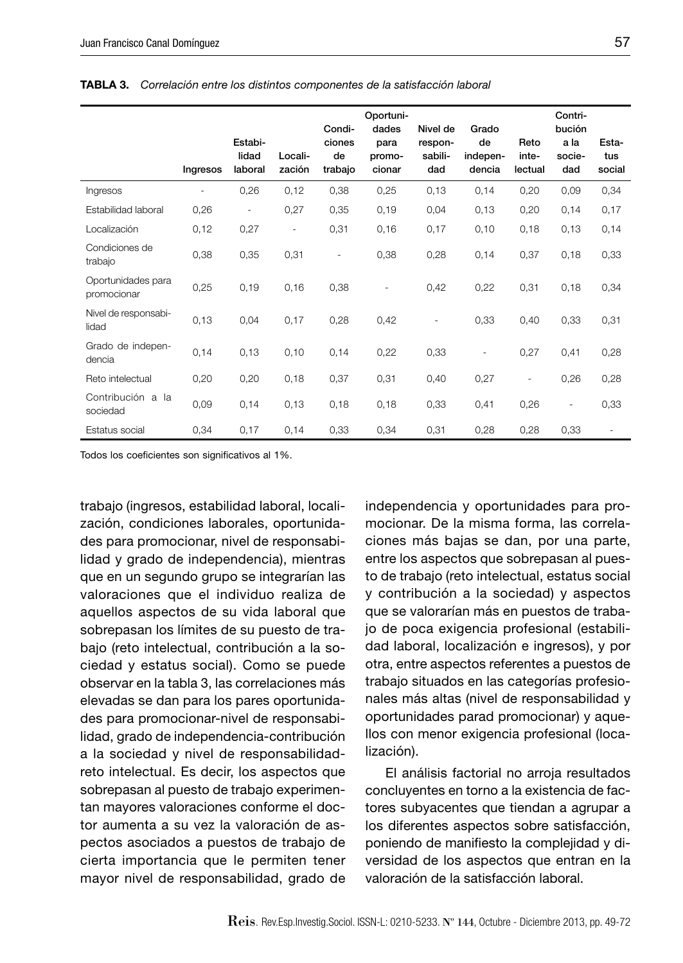|                                   | Ingresos                 | Estabi-<br>lidad<br>laboral | Locali-<br>zación | Condi-<br>ciones<br>de<br>trabajo | Oportuni-<br>dades<br>para<br>promo-<br>cionar | Nivel de<br>respon-<br>sabili-<br>dad | Grado<br>de<br>indepen-<br>dencia | Reto<br>inte-<br>lectual | Contri-<br>bución<br>a la<br>socie-<br>dad | Esta-<br>tus<br>social |
|-----------------------------------|--------------------------|-----------------------------|-------------------|-----------------------------------|------------------------------------------------|---------------------------------------|-----------------------------------|--------------------------|--------------------------------------------|------------------------|
| Ingresos                          | $\overline{\phantom{a}}$ | 0,26                        | 0,12              | 0,38                              | 0,25                                           | 0,13                                  | 0,14                              | 0,20                     | 0,09                                       | 0,34                   |
| Estabilidad laboral               | 0,26                     | ÷,                          | 0,27              | 0,35                              | 0,19                                           | 0,04                                  | 0,13                              | 0,20                     | 0,14                                       | 0,17                   |
| Localización                      | 0,12                     | 0,27                        | $\bar{ }$         | 0,31                              | 0,16                                           | 0,17                                  | 0,10                              | 0,18                     | 0,13                                       | 0,14                   |
| Condiciones de<br>trabajo         | 0,38                     | 0,35                        | 0,31              | $\overline{\phantom{0}}$          | 0,38                                           | 0,28                                  | 0,14                              | 0,37                     | 0,18                                       | 0,33                   |
| Oportunidades para<br>promocionar | 0,25                     | 0,19                        | 0,16              | 0,38                              | ۰                                              | 0,42                                  | 0,22                              | 0,31                     | 0,18                                       | 0,34                   |
| Nivel de responsabi-<br>lidad     | 0,13                     | 0,04                        | 0,17              | 0,28                              | 0,42                                           | $\overline{\phantom{a}}$              | 0,33                              | 0,40                     | 0,33                                       | 0,31                   |
| Grado de indepen-<br>dencia       | 0,14                     | 0,13                        | 0,10              | 0,14                              | 0,22                                           | 0,33                                  |                                   | 0,27                     | 0,41                                       | 0,28                   |
| Reto intelectual                  | 0,20                     | 0,20                        | 0,18              | 0,37                              | 0,31                                           | 0,40                                  | 0,27                              | ÷,                       | 0,26                                       | 0,28                   |
| Contribución a la<br>sociedad     | 0,09                     | 0,14                        | 0,13              | 0,18                              | 0,18                                           | 0,33                                  | 0,41                              | 0,26                     | $\overline{\phantom{a}}$                   | 0,33                   |
| Estatus social                    | 0,34                     | 0,17                        | 0,14              | 0,33                              | 0,34                                           | 0,31                                  | 0,28                              | 0,28                     | 0,33                                       |                        |

**TABLA 3.** *Correlación entre los distintos componentes de la satisfacción laboral*

Todos los coeficientes son significativos al 1%.

trabajo (ingresos, estabilidad laboral, localización, condiciones laborales, oportunidades para promocionar, nivel de responsabilidad y grado de independencia), mientras que en un segundo grupo se integrarían las valoraciones que el individuo realiza de aquellos aspectos de su vida laboral que sobrepasan los límites de su puesto de trabajo (reto intelectual, contribución a la sociedad y estatus social). Como se puede observar en la tabla 3, las correlaciones más elevadas se dan para los pares oportunidades para promocionar-nivel de responsabilidad, grado de independencia-contribución a la sociedad y nivel de responsabilidadreto intelectual. Es decir, los aspectos que sobrepasan al puesto de trabajo experimentan mayores valoraciones conforme el doctor aumenta a su vez la valoración de aspectos asociados a puestos de trabajo de cierta importancia que le permiten tener mayor nivel de responsabilidad, grado de independencia y oportunidades para promocionar. De la misma forma, las correlaciones más bajas se dan, por una parte, entre los aspectos que sobrepasan al puesto de trabajo (reto intelectual, estatus social y contribución a la sociedad) y aspectos que se valorarían más en puestos de trabajo de poca exigencia profesional (estabilidad laboral, localización e ingresos), y por otra, entre aspectos referentes a puestos de trabajo situados en las categorías profesionales más altas (nivel de responsabilidad y oportunidades parad promocionar) y aquellos con menor exigencia profesional (localización).

El análisis factorial no arroja resultados concluyentes en torno a la existencia de factores subyacentes que tiendan a agrupar a los diferentes aspectos sobre satisfacción, poniendo de manifiesto la complejidad y diversidad de los aspectos que entran en la valoración de la satisfacción laboral.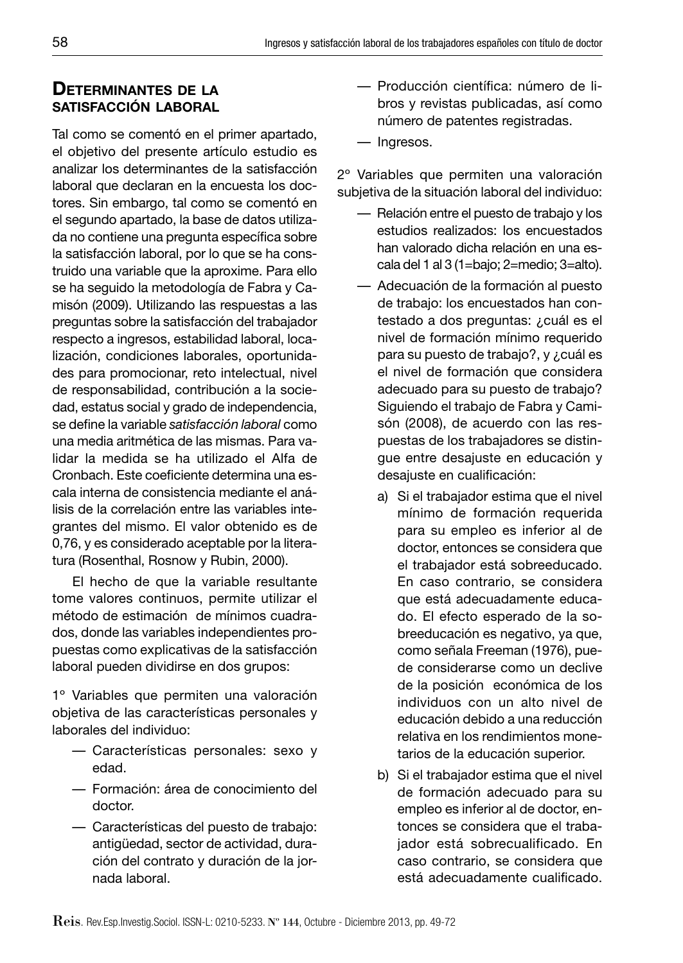# **DETERMINANTES DE LA SATISFACCIÓN LABORAL**

Tal como se comentó en el primer apartado, el objetivo del presente artículo estudio es analizar los determinantes de la satisfacción laboral que declaran en la encuesta los doctores. Sin embargo, tal como se comentó en el segundo apartado, la base de datos utilizada no contiene una pregunta específica sobre la satisfacción laboral, por lo que se ha construido una variable que la aproxime. Para ello se ha seguido la metodología de Fabra y Camisón (2009). Utilizando las respuestas a las preguntas sobre la satisfacción del trabajador respecto a ingresos, estabilidad laboral, localización, condiciones laborales, oportunidades para promocionar, reto intelectual, nivel de responsabilidad, contribución a la sociedad, estatus social y grado de independencia, se define la variable *satisfacción laboral* como una media aritmética de las mismas. Para validar la medida se ha utilizado el Alfa de Cronbach. Este coeficiente determina una escala interna de consistencia mediante el análisis de la correlación entre las variables integrantes del mismo. El valor obtenido es de 0,76, y es considerado aceptable por la literatura (Rosenthal, Rosnow y Rubin, 2000).

El hecho de que la variable resultante tome valores continuos, permite utilizar el método de estimación de mínimos cuadrados, donde las variables independientes propuestas como explicativas de la satisfacción laboral pueden dividirse en dos grupos:

1º Variables que permiten una valoración objetiva de las características personales y laborales del individuo:

- Características personales: sexo y edad.
- Formación: área de conocimiento del doctor.
- Características del puesto de trabajo: antigüedad, sector de actividad, duración del contrato y duración de la jornada laboral.
- Producción científica: número de libros y revistas publicadas, así como número de patentes registradas.
- Ingresos.

2º Variables que permiten una valoración subjetiva de la situación laboral del individuo:

- Relación entre el puesto de trabajo y los estudios realizados: los encuestados han valorado dicha relación en una escala del 1 al 3 (1=bajo; 2=medio; 3=alto).
- Adecuación de la formación al puesto de trabajo: los encuestados han contestado a dos preguntas: ¿cuál es el nivel de formación mínimo requerido para su puesto de trabajo?, y ¿cuál es el nivel de formación que considera adecuado para su puesto de trabajo? Siguiendo el trabajo de Fabra y Camisón (2008), de acuerdo con las respuestas de los trabajadores se distingue entre desajuste en educación y desajuste en cualificación:
	- a) Si el trabajador estima que el nivel mínimo de formación requerida para su empleo es inferior al de doctor, entonces se considera que el trabajador está sobreeducado. En caso contrario, se considera que está adecuadamente educado. El efecto esperado de la sobreeducación es negativo, ya que, como señala Freeman (1976), puede considerarse como un declive de la posición económica de los individuos con un alto nivel de educación debido a una reducción relativa en los rendimientos monetarios de la educación superior.
	- b) Si el trabajador estima que el nivel de formación adecuado para su empleo es inferior al de doctor, entonces se considera que el trabajador está sobrecualificado. En caso contrario, se considera que está adecuadamente cualificado.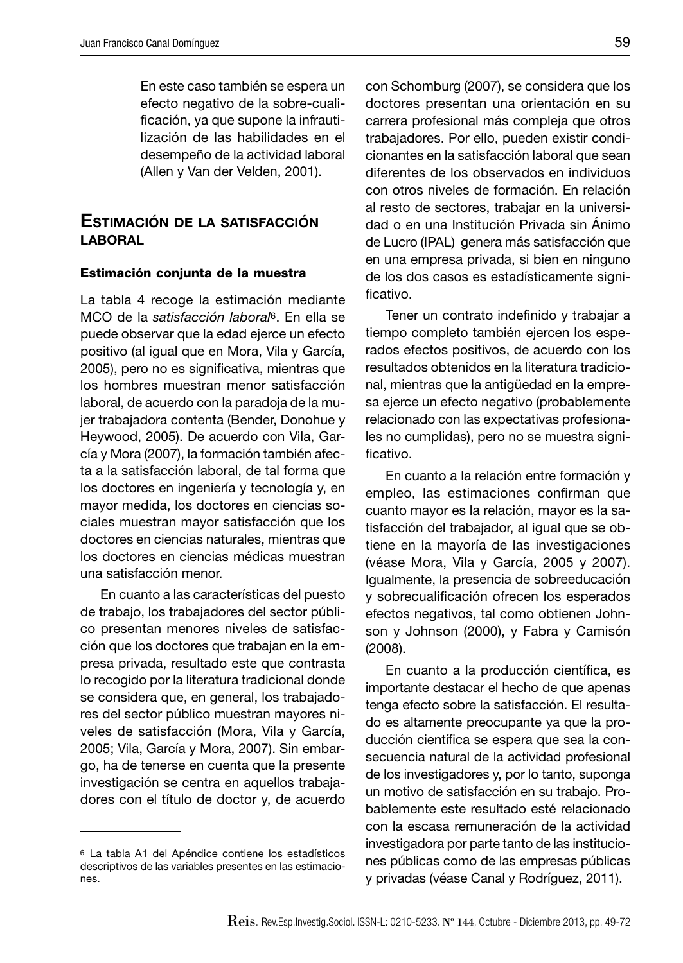En este caso también se espera un efecto negativo de la sobre-cualificación, ya que supone la infrautilización de las habilidades en el desempeño de la actividad laboral (Allen y Van der Velden, 2001).

#### **ESTIMACIÓN DE LA SATISFACCIÓN LABORAL**

#### **Estimación conjunta de la muestra**

La tabla 4 recoge la estimación mediante MCO de la *satisfacción laboral*6. En ella se puede observar que la edad ejerce un efecto positivo (al igual que en Mora, Vila y García, 2005), pero no es significativa, mientras que los hombres muestran menor satisfacción laboral, de acuerdo con la paradoja de la mujer trabajadora contenta (Bender, Donohue y Heywood, 2005). De acuerdo con Vila, García y Mora (2007), la formación también afecta a la satisfacción laboral, de tal forma que los doctores en ingeniería y tecnología y, en mayor medida, los doctores en ciencias sociales muestran mayor satisfacción que los doctores en ciencias naturales, mientras que los doctores en ciencias médicas muestran una satisfacción menor.

En cuanto a las características del puesto de trabajo, los trabajadores del sector público presentan menores niveles de satisfacción que los doctores que trabajan en la empresa privada, resultado este que contrasta lo recogido por la literatura tradicional donde se considera que, en general, los trabajadores del sector público muestran mayores niveles de satisfacción (Mora, Vila y García, 2005; Vila, García y Mora, 2007). Sin embargo, ha de tenerse en cuenta que la presente investigación se centra en aquellos trabajadores con el título de doctor y, de acuerdo

con Schomburg (2007), se considera que los doctores presentan una orientación en su carrera profesional más compleja que otros trabajadores. Por ello, pueden existir condicionantes en la satisfacción laboral que sean diferentes de los observados en individuos con otros niveles de formación. En relación al resto de sectores, trabajar en la universidad o en una Institución Privada sin Ánimo de Lucro (IPAL) genera más satisfacción que en una empresa privada, si bien en ninguno de los dos casos es estadísticamente significativo.

Tener un contrato indefinido y trabajar a tiempo completo también ejercen los esperados efectos positivos, de acuerdo con los resultados obtenidos en la literatura tradicional, mientras que la antigüedad en la empresa ejerce un efecto negativo (probablemente relacionado con las expectativas profesionales no cumplidas), pero no se muestra significativo.

En cuanto a la relación entre formación y empleo, las estimaciones confirman que cuanto mayor es la relación, mayor es la satisfacción del trabajador, al igual que se obtiene en la mayoría de las investigaciones (véase Mora, Vila y García, 2005 y 2007). Igualmente, la presencia de sobreeducación y sobrecualificación ofrecen los esperados efectos negativos, tal como obtienen Johnson y Johnson (2000), y Fabra y Camisón (2008).

En cuanto a la producción científica, es importante destacar el hecho de que apenas tenga efecto sobre la satisfacción. El resultado es altamente preocupante ya que la producción científica se espera que sea la consecuencia natural de la actividad profesional de los investigadores y, por lo tanto, suponga un motivo de satisfacción en su trabajo. Probablemente este resultado esté relacionado con la escasa remuneración de la actividad investigadora por parte tanto de las instituciones públicas como de las empresas públicas y privadas (véase Canal y Rodríguez, 2011).

<sup>6</sup> La tabla A1 del Apéndice contiene los estadísticos descriptivos de las variables presentes en las estimaciones.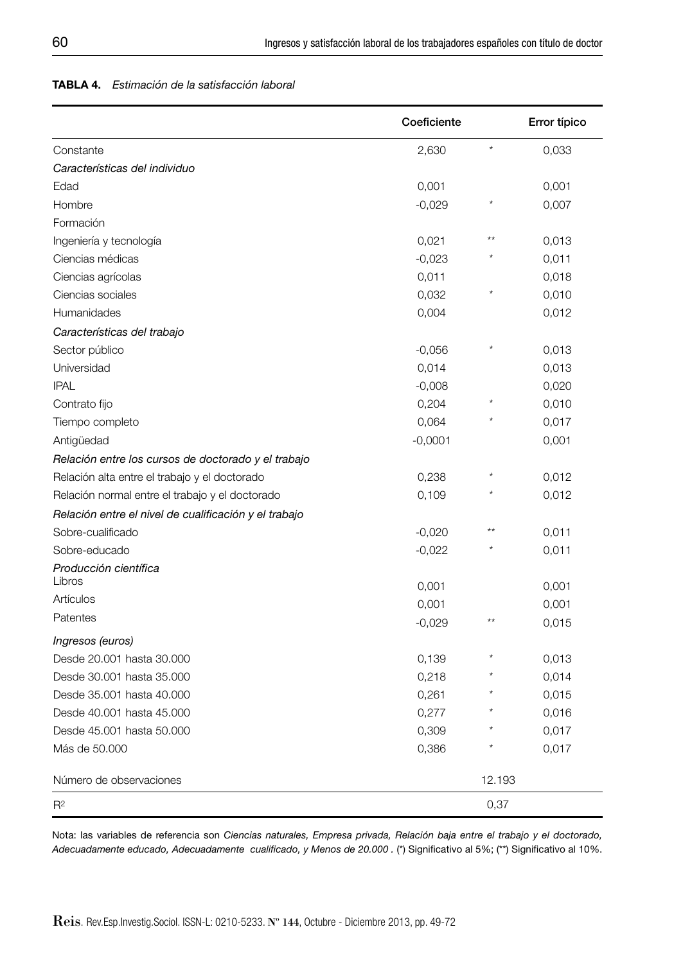#### **TABLA 4.** *Estimación de la satisfacción laboral*

|                                                       | Coeficiente |         | Error típico |
|-------------------------------------------------------|-------------|---------|--------------|
| Constante                                             | 2,630       | $\star$ | 0,033        |
| Características del individuo                         |             |         |              |
| Edad                                                  | 0,001       |         | 0,001        |
| Hombre                                                | $-0.029$    |         | 0,007        |
| Formación                                             |             |         |              |
| Ingeniería y tecnología                               | 0,021       |         | 0,013        |
| Ciencias médicas                                      | $-0,023$    |         | 0,011        |
| Ciencias agrícolas                                    | 0,011       |         | 0,018        |
| Ciencias sociales                                     | 0,032       |         | 0,010        |
| Humanidades                                           | 0,004       |         | 0,012        |
| Características del trabajo                           |             |         |              |
| Sector público                                        | $-0,056$    |         | 0,013        |
| Universidad                                           | 0,014       |         | 0,013        |
| <b>IPAL</b>                                           | $-0,008$    |         | 0,020        |
| Contrato fijo                                         | 0,204       |         | 0,010        |
| Tiempo completo                                       | 0,064       |         | 0,017        |
| Antigüedad                                            | $-0,0001$   |         | 0,001        |
| Relación entre los cursos de doctorado y el trabajo   |             |         |              |
| Relación alta entre el trabajo y el doctorado         | 0,238       |         | 0,012        |
| Relación normal entre el trabajo y el doctorado       | 0,109       |         | 0,012        |
| Relación entre el nivel de cualificación y el trabajo |             |         |              |
| Sobre-cualificado                                     | $-0,020$    | $***$   | 0,011        |
| Sobre-educado                                         | $-0,022$    |         | 0,011        |
| Producción científica                                 |             |         |              |
| Libros                                                | 0,001       |         | 0,001        |
| Artículos                                             | 0,001       |         | 0,001        |
| Patentes                                              | $-0,029$    | $***$   | 0,015        |
| Ingresos (euros)                                      |             |         |              |
| Desde 20.001 hasta 30.000                             | 0,139       |         | 0,013        |
| Desde 30.001 hasta 35.000                             | 0,218       |         | 0,014        |
| Desde 35.001 hasta 40.000                             | 0,261       |         | 0,015        |
| Desde 40.001 hasta 45.000                             | 0,277       |         | 0,016        |
| Desde 45.001 hasta 50.000                             | 0,309       |         | 0,017        |
| Más de 50,000                                         | 0,386       |         | 0,017        |
| Número de observaciones                               |             | 12.193  |              |
| $R^2$                                                 |             | 0,37    |              |

Nota: las variables de referencia son *Ciencias naturales, Empresa privada, Relación baja entre el trabajo y el doctorado,*  Adecuadamente educado, Adecuadamente cualificado, y Menos de 20.000 . (\*) Significativo al 5%; (\*\*) Significativo al 10%.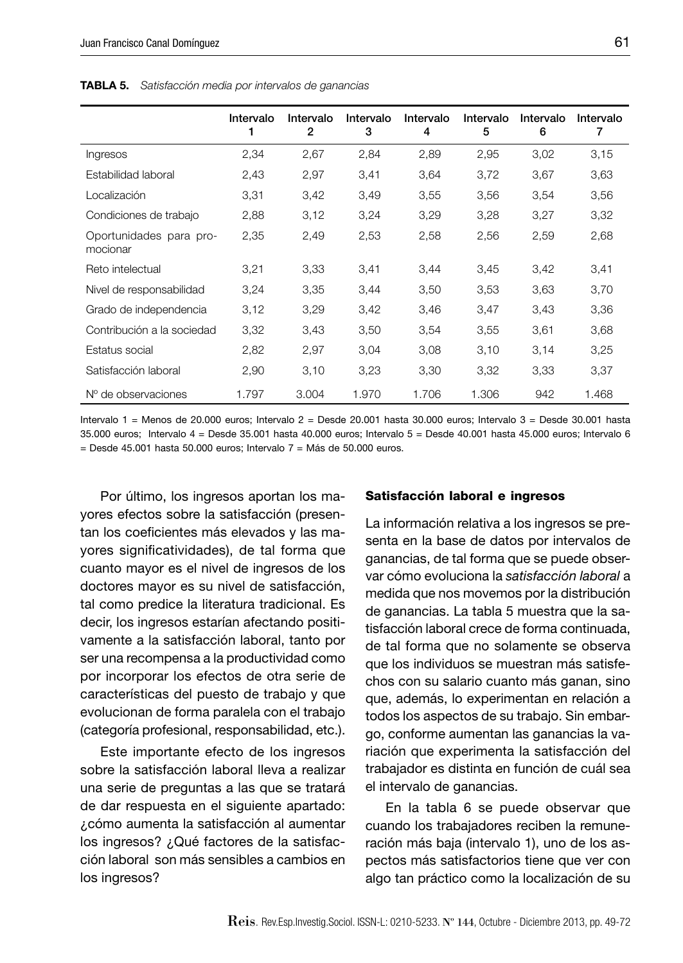**Intervalo 1 Intervalo 2 Intervalo 3 Intervalo 4 Intervalo 5 Intervalo Intervalo 6 7** Ingresos 2,34 2,67 2,84 2,89 2,95 3,02 3,15 Estabilidad laboral 2,43 2,97 3,41 3,64 3,72 3,67 3,63 Localización 3,31 3,42 3,49 3,55 3,56 3,54 3,56 Condiciones de trabajo 2,88 3,12 3,24 3,29 3,28 3,27 3,32 Oportunidades para promocionar 2,35 2,49 2,53 2,58 2,56 2,59 2,68 Reto intelectual 3,21 3,33 3,41 3,44 3,45 3,42 3,41 Nivel de responsabilidad 3,24 3,35 3,44 3,50 3,53 3,63 3,70 Grado de independencia 3,12 3,29 3,42 3,46 3,47 3,43 3,36 Contribución a la sociedad 3,32 3,43 3,50 3,54 3,55 3,61 3,68 Estatus social 2,82 2,97 3,04 3,08 3,10 3,14 3,25 Satisfacción laboral 2,90 3,10 3,23 3,30 3,32 3,33 3,37 Nº de observaciones 1.797 3.004 1.970 1.706 1.306 942 1.468

**TABLA 5.** *Satisfacción media por intervalos de ganancias*

Intervalo 1 = Menos de 20.000 euros; Intervalo 2 = Desde 20.001 hasta 30.000 euros; Intervalo 3 = Desde 30.001 hasta 35.000 euros; Intervalo 4 = Desde 35.001 hasta 40.000 euros; Intervalo 5 = Desde 40.001 hasta 45.000 euros; Intervalo 6  $=$  Desde 45.001 hasta 50.000 euros; Intervalo 7  $=$  Más de 50.000 euros.

Por último, los ingresos aportan los mayores efectos sobre la satisfacción (presentan los coeficientes más elevados y las mayores significatividades), de tal forma que cuanto mayor es el nivel de ingresos de los doctores mayor es su nivel de satisfacción, tal como predice la literatura tradicional. Es decir, los ingresos estarían afectando positivamente a la satisfacción laboral, tanto por ser una recompensa a la productividad como por incorporar los efectos de otra serie de características del puesto de trabajo y que evolucionan de forma paralela con el trabajo (categoría profesional, responsabilidad, etc.).

Este importante efecto de los ingresos sobre la satisfacción laboral lleva a realizar una serie de preguntas a las que se tratará de dar respuesta en el siguiente apartado: ¿cómo aumenta la satisfacción al aumentar los ingresos? ¿Qué factores de la satisfacción laboral son más sensibles a cambios en los ingresos?

#### **Satisfacción laboral e ingresos**

La información relativa a los ingresos se presenta en la base de datos por intervalos de ganancias, de tal forma que se puede observar cómo evoluciona la *satisfacción laboral* a medida que nos movemos por la distribución de ganancias. La tabla 5 muestra que la satisfacción laboral crece de forma continuada, de tal forma que no solamente se observa que los individuos se muestran más satisfechos con su salario cuanto más ganan, sino que, además, lo experimentan en relación a todos los aspectos de su trabajo. Sin embargo, conforme aumentan las ganancias la variación que experimenta la satisfacción del trabajador es distinta en función de cuál sea el intervalo de ganancias.

En la tabla 6 se puede observar que cuando los trabajadores reciben la remuneración más baja (intervalo 1), uno de los aspectos más satisfactorios tiene que ver con algo tan práctico como la localización de su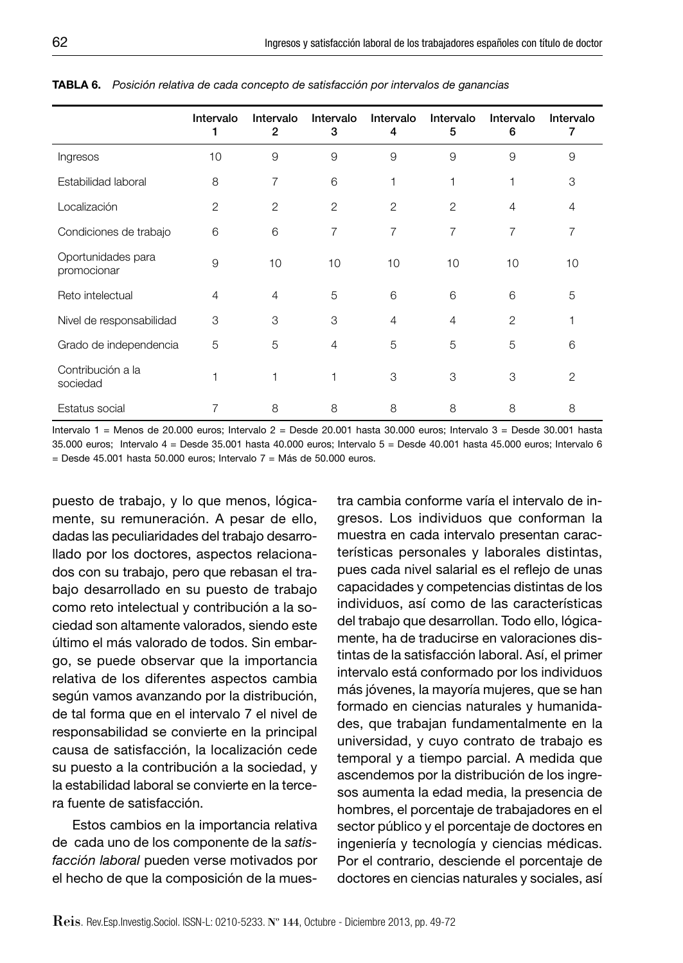|                                   | Intervalo<br>1 | Intervalo<br>$\overline{2}$ | Intervalo<br>3 | Intervalo<br>4 | Intervalo<br>5 | Intervalo<br>6 | Intervalo<br>7 |
|-----------------------------------|----------------|-----------------------------|----------------|----------------|----------------|----------------|----------------|
| Ingresos                          | 10             | 9                           | 9              | 9              | 9              | 9              | 9              |
| Estabilidad laboral               | 8              | 7                           | 6              | 1              | 1              | 1              | 3              |
| Localización                      | $\overline{2}$ | 2                           | 2              | 2              | $\overline{2}$ | $\overline{4}$ | 4              |
| Condiciones de trabajo            | 6              | 6                           | 7              | 7              | 7              | 7              | 7              |
| Oportunidades para<br>promocionar | 9              | 10                          | 10             | 10             | 10             | 10             | 10             |
| Reto intelectual                  | 4              | 4                           | 5              | 6              | 6              | 6              | 5              |
| Nivel de responsabilidad          | 3              | 3                           | 3              | $\overline{4}$ | $\overline{4}$ | $\overline{2}$ | 1              |
| Grado de independencia            | 5              | 5                           | 4              | 5              | 5              | 5              | 6              |
| Contribución a la<br>sociedad     |                |                             |                | 3              | 3              | 3              | $\overline{2}$ |
| Estatus social                    |                | 8                           | 8              | 8              | 8              | 8              | 8              |

**TABLA 6.** *Posición relativa de cada concepto de satisfacción por intervalos de ganancias*

Intervalo 1 = Menos de 20.000 euros; Intervalo 2 = Desde 20.001 hasta 30.000 euros; Intervalo 3 = Desde 30.001 hasta 35.000 euros; Intervalo 4 = Desde 35.001 hasta 40.000 euros; Intervalo 5 = Desde 40.001 hasta 45.000 euros; Intervalo 6  $=$  Desde 45.001 hasta 50.000 euros; Intervalo 7 = Más de 50.000 euros.

puesto de trabajo, y lo que menos, lógicamente, su remuneración. A pesar de ello, dadas las peculiaridades del trabajo desarrollado por los doctores, aspectos relacionados con su trabajo, pero que rebasan el trabajo desarrollado en su puesto de trabajo como reto intelectual y contribución a la sociedad son altamente valorados, siendo este último el más valorado de todos. Sin embargo, se puede observar que la importancia relativa de los diferentes aspectos cambia según vamos avanzando por la distribución, de tal forma que en el intervalo 7 el nivel de responsabilidad se convierte en la principal causa de satisfacción, la localización cede su puesto a la contribución a la sociedad, y la estabilidad laboral se convierte en la tercera fuente de satisfacción.

Estos cambios en la importancia relativa de cada uno de los componente de la *satisfacción laboral* pueden verse motivados por el hecho de que la composición de la muestra cambia conforme varía el intervalo de ingresos. Los individuos que conforman la muestra en cada intervalo presentan características personales y laborales distintas, pues cada nivel salarial es el reflejo de unas capacidades y competencias distintas de los individuos, así como de las características del trabajo que desarrollan. Todo ello, lógicamente, ha de traducirse en valoraciones distintas de la satisfacción laboral. Así, el primer intervalo está conformado por los individuos más jóvenes, la mayoría mujeres, que se han formado en ciencias naturales y humanidades, que trabajan fundamentalmente en la universidad, y cuyo contrato de trabajo es temporal y a tiempo parcial. A medida que ascendemos por la distribución de los ingresos aumenta la edad media, la presencia de hombres, el porcentaje de trabajadores en el sector público y el porcentaje de doctores en ingeniería y tecnología y ciencias médicas. Por el contrario, desciende el porcentaje de doctores en ciencias naturales y sociales, así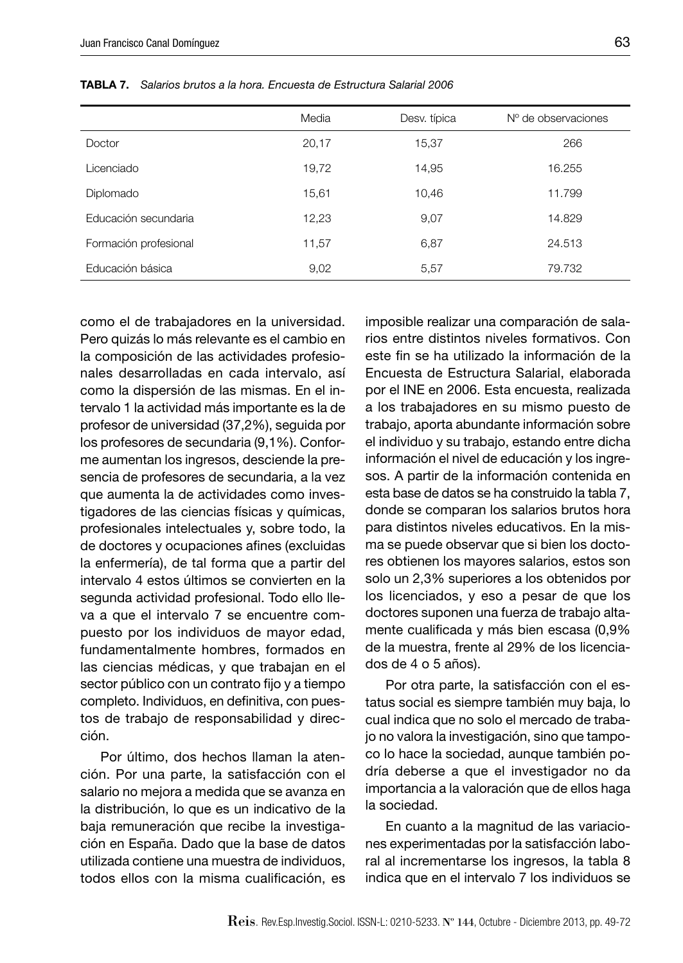|                       | Media | Desv. típica | N° de observaciones |
|-----------------------|-------|--------------|---------------------|
| Doctor                | 20,17 | 15,37        | 266                 |
| Licenciado            | 19,72 | 14,95        | 16.255              |
| Diplomado             | 15,61 | 10,46        | 11.799              |
| Educación secundaria  | 12,23 | 9,07         | 14.829              |
| Formación profesional | 11,57 | 6,87         | 24.513              |
| Educación básica      | 9,02  | 5,57         | 79.732              |

**TABLA 7.** *Salarios brutos a la hora. Encuesta de Estructura Salarial 2006*

como el de trabajadores en la universidad. Pero quizás lo más relevante es el cambio en la composición de las actividades profesionales desarrolladas en cada intervalo, así como la dispersión de las mismas. En el intervalo 1 la actividad más importante es la de profesor de universidad (37,2%), seguida por los profesores de secundaria (9,1%). Conforme aumentan los ingresos, desciende la presencia de profesores de secundaria, a la vez que aumenta la de actividades como investigadores de las ciencias físicas y químicas, profesionales intelectuales y, sobre todo, la de doctores y ocupaciones afines (excluidas la enfermería), de tal forma que a partir del intervalo 4 estos últimos se convierten en la segunda actividad profesional. Todo ello lleva a que el intervalo 7 se encuentre compuesto por los individuos de mayor edad, fundamentalmente hombres, formados en las ciencias médicas, y que trabajan en el sector público con un contrato fijo y a tiempo completo. Individuos, en definitiva, con puestos de trabajo de responsabilidad y dirección.

Por último, dos hechos llaman la atención. Por una parte, la satisfacción con el salario no mejora a medida que se avanza en la distribución, lo que es un indicativo de la baja remuneración que recibe la investigación en España. Dado que la base de datos utilizada contiene una muestra de individuos, todos ellos con la misma cualificación, es

imposible realizar una comparación de salarios entre distintos niveles formativos. Con este fin se ha utilizado la información de la Encuesta de Estructura Salarial, elaborada por el INE en 2006. Esta encuesta, realizada a los trabajadores en su mismo puesto de trabajo, aporta abundante información sobre el individuo y su trabajo, estando entre dicha información el nivel de educación y los ingresos. A partir de la información contenida en esta base de datos se ha construido la tabla 7, donde se comparan los salarios brutos hora para distintos niveles educativos. En la misma se puede observar que si bien los doctores obtienen los mayores salarios, estos son solo un 2,3% superiores a los obtenidos por los licenciados, y eso a pesar de que los doctores suponen una fuerza de trabajo altamente cualificada y más bien escasa (0,9% de la muestra, frente al 29% de los licenciados de 4 o 5 años).

Por otra parte, la satisfacción con el estatus social es siempre también muy baja, lo cual indica que no solo el mercado de trabajo no valora la investigación, sino que tampoco lo hace la sociedad, aunque también podría deberse a que el investigador no da importancia a la valoración que de ellos haga la sociedad.

En cuanto a la magnitud de las variaciones experimentadas por la satisfacción laboral al incrementarse los ingresos, la tabla 8 indica que en el intervalo 7 los individuos se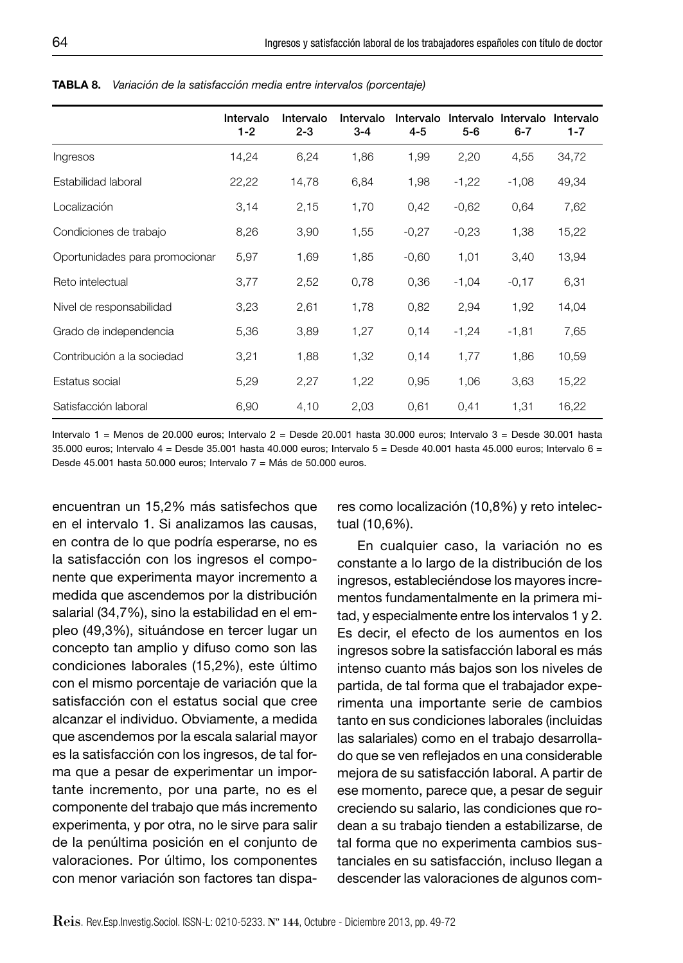|                                | Intervalo<br>$1-2$ | Intervalo<br>$2 - 3$ | Intervalo<br>$3 - 4$ | Intervalo<br>$4 - 5$ | Intervalo<br>$5 - 6$ | Intervalo<br>$6 - 7$ | Intervalo<br>$1 - 7$ |
|--------------------------------|--------------------|----------------------|----------------------|----------------------|----------------------|----------------------|----------------------|
| Ingresos                       | 14,24              | 6,24                 | 1,86                 | 1,99                 | 2,20                 | 4,55                 | 34,72                |
| Estabilidad laboral            | 22,22              | 14,78                | 6,84                 | 1,98                 | $-1,22$              | $-1,08$              | 49,34                |
| Localización                   | 3,14               | 2,15                 | 1,70                 | 0,42                 | $-0.62$              | 0.64                 | 7,62                 |
| Condiciones de trabajo         | 8,26               | 3,90                 | 1,55                 | $-0,27$              | $-0,23$              | 1,38                 | 15,22                |
| Oportunidades para promocionar | 5,97               | 1,69                 | 1,85                 | $-0.60$              | 1,01                 | 3,40                 | 13,94                |
| Reto intelectual               | 3,77               | 2,52                 | 0,78                 | 0,36                 | $-1,04$              | $-0,17$              | 6,31                 |
| Nivel de responsabilidad       | 3,23               | 2,61                 | 1,78                 | 0,82                 | 2,94                 | 1,92                 | 14,04                |
| Grado de independencia         | 5,36               | 3,89                 | 1,27                 | 0,14                 | $-1,24$              | $-1,81$              | 7,65                 |
| Contribución a la sociedad     | 3,21               | 1,88                 | 1,32                 | 0,14                 | 1,77                 | 1,86                 | 10,59                |
| Estatus social                 | 5,29               | 2,27                 | 1,22                 | 0,95                 | 1,06                 | 3,63                 | 15,22                |
| Satisfacción laboral           | 6,90               | 4,10                 | 2,03                 | 0,61                 | 0,41                 | 1,31                 | 16,22                |

**TABLA 8.** *Variación de la satisfacción media entre intervalos (porcentaje)*

Intervalo 1 = Menos de 20.000 euros; Intervalo 2 = Desde 20.001 hasta 30.000 euros; Intervalo 3 = Desde 30.001 hasta 35.000 euros; Intervalo 4 = Desde 35.001 hasta 40.000 euros; Intervalo 5 = Desde 40.001 hasta 45.000 euros; Intervalo 6 = Desde 45.001 hasta 50.000 euros; Intervalo 7 = Más de 50.000 euros.

encuentran un 15,2% más satisfechos que en el intervalo 1. Si analizamos las causas, en contra de lo que podría esperarse, no es la satisfacción con los ingresos el componente que experimenta mayor incremento a medida que ascendemos por la distribución salarial (34,7%), sino la estabilidad en el empleo (49,3%), situándose en tercer lugar un concepto tan amplio y difuso como son las condiciones laborales (15,2%), este último con el mismo porcentaje de variación que la satisfacción con el estatus social que cree alcanzar el individuo. Obviamente, a medida que ascendemos por la escala salarial mayor es la satisfacción con los ingresos, de tal forma que a pesar de experimentar un importante incremento, por una parte, no es el componente del trabajo que más incremento experimenta, y por otra, no le sirve para salir de la penúltima posición en el conjunto de valoraciones. Por último, los componentes con menor variación son factores tan dispa-

res como localización (10,8%) y reto intelectual (10,6%).

En cualquier caso, la variación no es constante a lo largo de la distribución de los ingresos, estableciéndose los mayores incrementos fundamentalmente en la primera mitad, y especialmente entre los intervalos 1 y 2. Es decir, el efecto de los aumentos en los ingresos sobre la satisfacción laboral es más intenso cuanto más bajos son los niveles de partida, de tal forma que el trabajador experimenta una importante serie de cambios tanto en sus condiciones laborales (incluidas las salariales) como en el trabajo desarrollado que se ven reflejados en una considerable mejora de su satisfacción laboral. A partir de ese momento, parece que, a pesar de seguir creciendo su salario, las condiciones que rodean a su trabajo tienden a estabilizarse, de tal forma que no experimenta cambios sustanciales en su satisfacción, incluso llegan a descender las valoraciones de algunos com-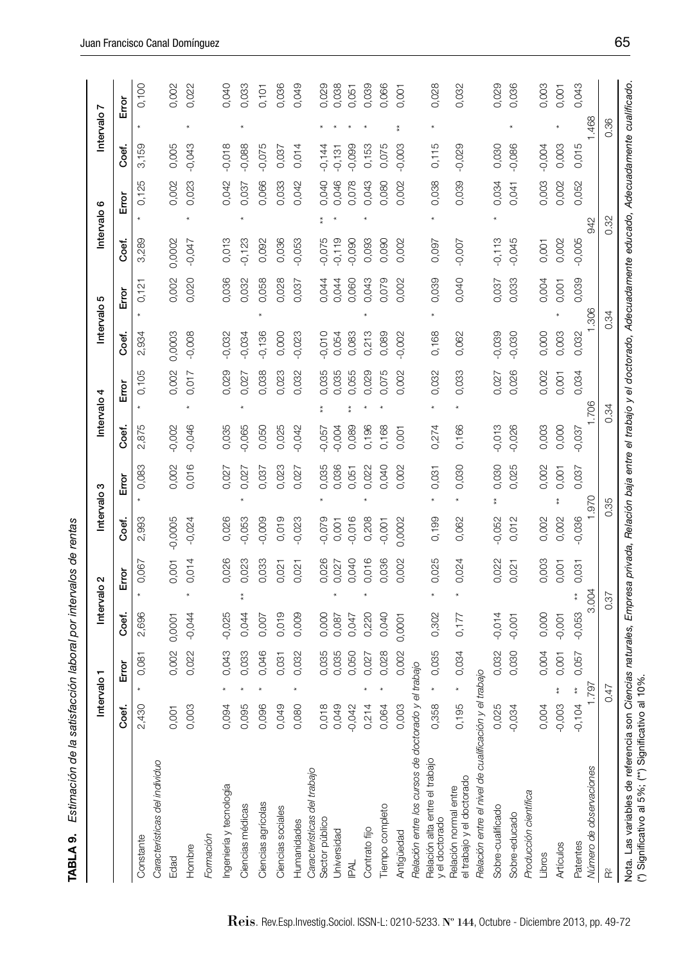| - "man de la satisfacción lahoral nor intervals de renem-<br>)<br>2020<br>2021<br>2022<br>  District District District<br>ı<br>;<br>TABLA <sup>r</sup> |  |
|--------------------------------------------------------------------------------------------------------------------------------------------------------|--|
|                                                                                                                                                        |  |
|                                                                                                                                                        |  |
|                                                                                                                                                        |  |
|                                                                                                                                                        |  |
|                                                                                                                                                        |  |
|                                                                                                                                                        |  |
|                                                                                                                                                        |  |
|                                                                                                                                                        |  |
|                                                                                                                                                        |  |
|                                                                                                                                                        |  |
|                                                                                                                                                        |  |

æ

|                                                     |          | Intervalo <sub>1</sub>               |          | Intervalo <sub>2</sub>                                                                                                                |           | Intervalo <sub>3</sub> | Intervalo 4 |               | Intervalo <sub>5</sub> |              |          | Intervalo <sub>6</sub> |          | Intervalo <sub>7</sub> |       |
|-----------------------------------------------------|----------|--------------------------------------|----------|---------------------------------------------------------------------------------------------------------------------------------------|-----------|------------------------|-------------|---------------|------------------------|--------------|----------|------------------------|----------|------------------------|-------|
|                                                     | Coef.    | ت<br>Em                              | Coef.    | Empr                                                                                                                                  | Coef.     | Error                  | Coef.       | Error         | Coef.                  | ğ<br>Em      | Coef.    | Error                  | Coef.    | Error                  |       |
| Constante                                           | 2,430    | 0,081                                | 2,696    | 0,067                                                                                                                                 | 2,993     | 0,083                  | 2,875       | 0,105         | 2,934                  | 0,121        | 3,289    | 0,125                  | 3,159    |                        | 0,100 |
| Características del individuo                       |          |                                      |          |                                                                                                                                       |           |                        |             |               |                        |              |          |                        |          |                        |       |
| Edad                                                | 0,001    | 0,002                                | 0,0001   | 0,001                                                                                                                                 | $-0,0005$ | 0,002                  | $-0,002$    | 0,002         | 0,0003                 | 0,002        | 0,0002   | 0,002                  | 0,005    |                        | 0,002 |
| Hombre                                              | 0,003    | 0,022                                | $-0,044$ | 0,014                                                                                                                                 | $-0,024$  | 0,016                  | $-0,046$    | 0,017         | $-0,008$               | 0,020        | $-0,047$ | 0,023                  | $-0,043$ |                        | 0,022 |
| Formación                                           |          |                                      |          |                                                                                                                                       |           |                        |             |               |                        |              |          |                        |          |                        |       |
| Ingeniería y tecnología                             | 0,094    | 0,043                                | $-0,025$ | 0,026                                                                                                                                 | 0,026     | 0,027                  | 0,035       | 0,029         | $-0,032$               | 0,036        | 0,013    | 0,042                  | $-0,018$ |                        | 0,040 |
| Ciencias médicas                                    | 0,095    | 0,033                                | 0,044    | 0,023                                                                                                                                 | $-0,053$  | 0,027                  | -0,065      | 0,027         | $-0,034$               | 0,032        | $-0,123$ | 0,037                  | $-0,088$ |                        | 0,033 |
| Ciencias agrícolas                                  | 0,096    | 0,046                                | 0,007    | 0,033                                                                                                                                 | $-0,009$  | 0,037                  | 0,050       | 0,038         | $-0,136$               | 0,058        | 0,092    | 0,066                  | $-0,075$ |                        | 0,101 |
| Ciencias sociales                                   | 0,049    | 0,031                                | 0,019    | 0,021                                                                                                                                 | 0,019     | 0,023                  | 0,025       | 0,023         | 0,000                  | 0,028        | 0,036    | 0,033                  | 0,037    |                        | 0,036 |
| Humanidades                                         | 0,080    | 0,032                                | 0,009    | 0,021                                                                                                                                 | $-0,023$  | 0,027                  | 0,042       | 0,032         | $-0,023$               | 0,037        | $-0,053$ | 0,042                  | 0,014    |                        | 0,049 |
| Características del trabajo                         |          |                                      |          |                                                                                                                                       |           |                        |             |               |                        |              |          |                        |          |                        |       |
| Sector público                                      | 0,018    | 0,035                                | 0,000    | 0,026                                                                                                                                 | $-0,079$  | 0,035                  | $-0,057$    | 0,035         | $-0,010$               | 0,044        | $-0,075$ | 0,040                  | $-0,144$ |                        | 0,029 |
| Universidad                                         | 0,049    | 0,035                                | 0,087    | 0,027                                                                                                                                 | 0,001     | 0,036                  | $-0,004$    | 0,035         | 0,054                  | 0,044        | $-0,119$ | 0,046                  | $-0,131$ |                        | 0,038 |
| <b>IRAL</b>                                         | $-0,042$ | 0,050                                | 0,047    | 0,040                                                                                                                                 | $-0,016$  | 0,051                  | 0,089       | 0,055         | 0,083                  | 0,060        | 0,090    | 0,078                  | $-0,099$ |                        | 0,051 |
| Contrato fijo                                       | 0,214    | 0,027                                | 0,220    | 0,016                                                                                                                                 | 0,208     | 0,022                  | 0,196       | 0,029         | 0,213                  | 0,043        | 0,093    | 0,043                  | 0,153    |                        | 0,039 |
| Tiempo completo                                     | 0,064    | 0,028                                | 0,040    | 0,036                                                                                                                                 | $-0,001$  | 0,040                  | 0,168       | 0,075         | 0,089                  | 0,079        | 0,090    | 0,080                  | 0,075    |                        | 0,066 |
| Antigüedad                                          | 0,003    | 0,002                                | 0,0001   | 0,002                                                                                                                                 | 0,0002    | 0,002                  | 0,001       | 0,002         | $-0,002$               | 0,002        | 0,002    | 0,002                  | $-0,003$ |                        | 0,001 |
| Relación entre los cursos de doctorado y el trabajo |          |                                      |          |                                                                                                                                       |           |                        |             |               |                        |              |          |                        |          |                        |       |
| Relación alta entre el trabajo<br>y el doctorado    | 0,358    | 0,035                                | 0,302    | 0,025                                                                                                                                 | 0,199     | 0,031                  | 0,274       | 0,032         | 0,168                  | 0,039        | 0,097    | 0,038                  | 0,115    |                        | 0,028 |
| el trabajo y el doctorado<br>Relación normal entre  | 0,195    | 0,034                                | 0,177    | 0,024                                                                                                                                 | 0,062     | 0,030                  | 0,166       | 0,033         | 0,062                  | 0,040        | $-0,007$ | 0,039                  | $-0,029$ |                        | 0,032 |
| Relación entre el nivel de cualificación y          |          | el trabajo                           |          |                                                                                                                                       |           |                        |             |               |                        |              |          |                        |          |                        |       |
| Sobre-cualificado                                   | 0,025    | 0,032                                | $-0,014$ | 0,022                                                                                                                                 | $-0,052$  | 0,030<br>$\frac{*}{*}$ | $-0,013$    | 0,027         | $-0,039$               | 0,037        | $-0,113$ | 0,034                  | 0,030    |                        | 0,029 |
| Sobre-educado                                       | $-0,034$ | 0,030                                | $-0,001$ | 0,021                                                                                                                                 | 0,012     | 0,025                  | $-0,026$    | 0,026         | $-0,030$               | 0,033        | $-0,045$ | 0,041                  | $-0,086$ |                        | 0,036 |
| Producción científica                               |          |                                      |          |                                                                                                                                       |           |                        |             |               |                        |              |          |                        |          |                        |       |
| Libros                                              | 0,004    | 0,004                                | 0,000    | 0,003                                                                                                                                 | 0,002     | 0,002                  | 0,003       | 0,002         | 0,000                  | 0,004        | 0,001    | 0,003                  | $-0,004$ |                        | 0,003 |
| Artículos                                           | $-0,003$ | 0,001                                | $-0,001$ | 0,001                                                                                                                                 | 0,002     | 0,001                  | 0,000       | 0,001         | 0,003                  | 0,001        | 0,002    | 0,002                  | 0,003    |                        | 0,001 |
| Número de observaciones<br>Patentes                 | $-0,104$ | 0,057<br>1.797<br>$^{\star}_{\star}$ | $-0,053$ | 0,031<br>3.004<br>$^{\star}_{\star}$                                                                                                  | $-0,036$  | 0,037<br>026           | $-0,037$    | 0,034<br>.706 | 0,032                  | 0,039<br>306 | $-0,005$ | 0,052<br>942           | 0,015    | 1.468                  | 0,043 |
| $\widetilde{\mathbf{r}}$                            |          | 0.47                                 |          | 0.37                                                                                                                                  |           | 0.35                   | 0.34        |               | 0.34                   |              |          | 0.32                   |          | 0.36                   |       |
| Nota. Las variables de referencia son               |          |                                      |          | Ciencias naturales, Empresa privada, Relación baja entre el trabajo y el doctorado, Adecuadamente educado, Adecuadamente cualificado. |           |                        |             |               |                        |              |          |                        |          |                        |       |
| (*) Significativo al 5%; (**) Significativo         |          | al 10%                               |          |                                                                                                                                       |           |                        |             |               |                        |              |          |                        |          |                        |       |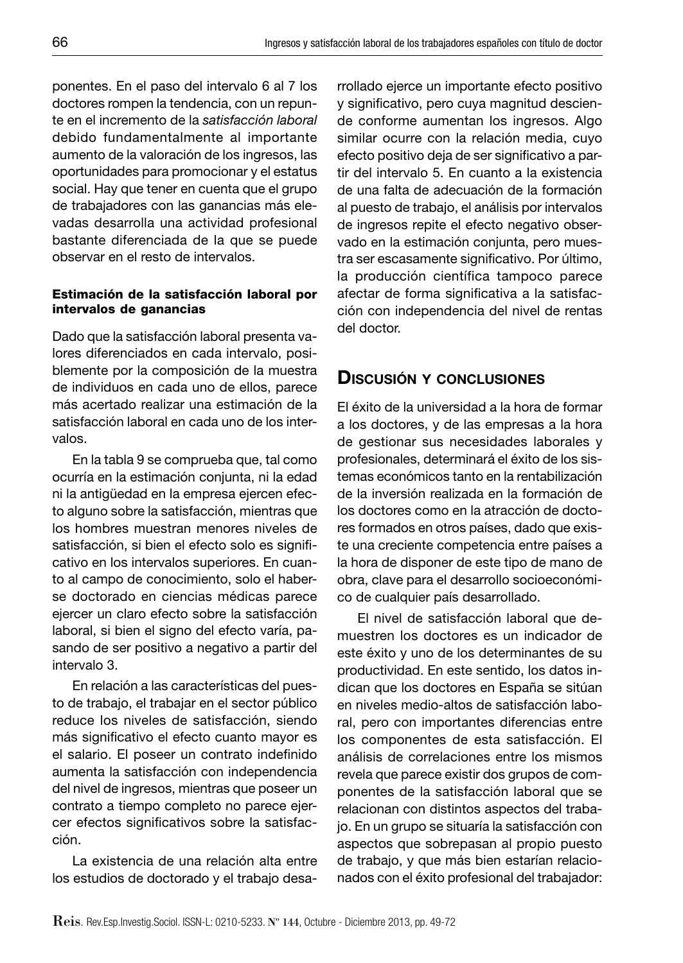ponentes. En el paso del intervalo 6 al 7 los doctores rompen la tendencia, con un repunte en el incremento de la *satisfacción laboral* debido fundamentalmente al importante aumento de la valoración de los ingresos, las oportunidades para promocionar y el estatus social. Hay que tener en cuenta que el grupo de trabajadores con las ganancias más elevadas desarrolla una actividad profesional bastante diferenciada de la que se puede observar en el resto de intervalos.

#### **Estimación de la satisfacción laboral por intervalos de ganancias**

Dado que la satisfacción laboral presenta valores diferenciados en cada intervalo, posiblemente por la composición de la muestra de individuos en cada uno de ellos, parece más acertado realizar una estimación de la satisfacción laboral en cada uno de los intervalos.

En la tabla 9 se comprueba que, tal como ocurría en la estimación conjunta, ni la edad ni la antigüedad en la empresa ejercen efecto alguno sobre la satisfacción, mientras que los hombres muestran menores niveles de satisfacción, si bien el efecto solo es significativo en los intervalos superiores. En cuanto al campo de conocimiento, solo el haberse doctorado en ciencias médicas parece ejercer un claro efecto sobre la satisfacción laboral, si bien el signo del efecto varía, pasando de ser positivo a negativo a partir del intervalo 3.

En relación a las características del puesto de trabajo, el trabajar en el sector público reduce los niveles de satisfacción, siendo más significativo el efecto cuanto mayor es el salario. El poseer un contrato indefinido aumenta la satisfacción con independencia del nivel de ingresos, mientras que poseer un contrato a tiempo completo no parece ejercer efectos significativos sobre la satisfacción.

La existencia de una relación alta entre los estudios de doctorado y el trabajo desarrollado ejerce un importante efecto positivo y significativo, pero cuya magnitud desciende conforme aumentan los ingresos. Algo similar ocurre con la relación media, cuyo efecto positivo deja de ser significativo a partir del intervalo 5. En cuanto a la existencia de una falta de adecuación de la formación al puesto de trabajo, el análisis por intervalos de ingresos repite el efecto negativo observado en la estimación conjunta, pero muestra ser escasamente significativo. Por último, la producción científica tampoco parece afectar de forma significativa a la satisfacción con independencia del nivel de rentas del doctor.

# **DISCUSIÓN <sup>Y</sup> CONCLUSIONES**

El éxito de la universidad a la hora de formar a los doctores, y de las empresas a la hora de gestionar sus necesidades laborales y profesionales, determinará el éxito de los sistemas económicos tanto en la rentabilización de la inversión realizada en la formación de los doctores como en la atracción de doctores formados en otros países, dado que existe una creciente competencia entre países a la hora de disponer de este tipo de mano de obra, clave para el desarrollo socioeconómico de cualquier país desarrollado.

El nivel de satisfacción laboral que demuestren los doctores es un indicador de este éxito y uno de los determinantes de su productividad. En este sentido, los datos indican que los doctores en España se sitúan en niveles medio-altos de satisfacción laboral, pero con importantes diferencias entre los componentes de esta satisfacción. El análisis de correlaciones entre los mismos revela que parece existir dos grupos de componentes de la satisfacción laboral que se relacionan con distintos aspectos del trabajo. En un grupo se situaría la satisfacción con aspectos que sobrepasan al propio puesto de trabajo, y que más bien estarían relacionados con el éxito profesional del trabajador: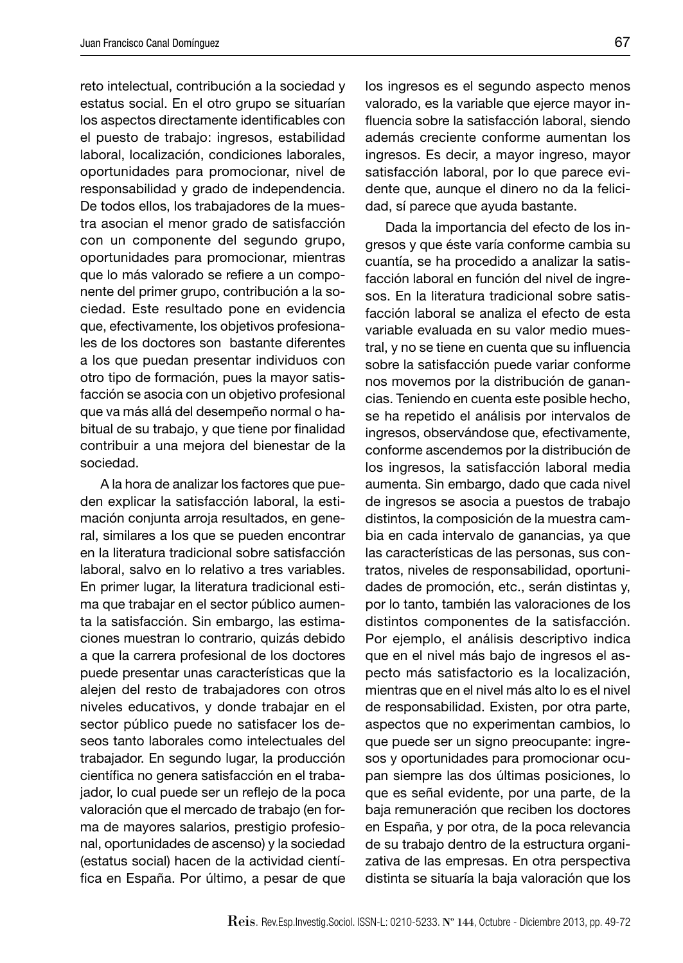reto intelectual, contribución a la sociedad y estatus social. En el otro grupo se situarían los aspectos directamente identificables con el puesto de trabajo: ingresos, estabilidad laboral, localización, condiciones laborales, oportunidades para promocionar, nivel de responsabilidad y grado de independencia. De todos ellos, los trabajadores de la muestra asocian el menor grado de satisfacción con un componente del segundo grupo, oportunidades para promocionar, mientras que lo más valorado se refiere a un componente del primer grupo, contribución a la sociedad. Este resultado pone en evidencia que, efectivamente, los objetivos profesionales de los doctores son bastante diferentes a los que puedan presentar individuos con otro tipo de formación, pues la mayor satisfacción se asocia con un objetivo profesional que va más allá del desempeño normal o habitual de su trabajo, y que tiene por finalidad contribuir a una mejora del bienestar de la sociedad.

A la hora de analizar los factores que pueden explicar la satisfacción laboral, la estimación conjunta arroja resultados, en general, similares a los que se pueden encontrar en la literatura tradicional sobre satisfacción laboral, salvo en lo relativo a tres variables. En primer lugar, la literatura tradicional estima que trabajar en el sector público aumenta la satisfacción. Sin embargo, las estimaciones muestran lo contrario, quizás debido a que la carrera profesional de los doctores puede presentar unas características que la alejen del resto de trabajadores con otros niveles educativos, y donde trabajar en el sector público puede no satisfacer los deseos tanto laborales como intelectuales del trabajador. En segundo lugar, la producción científica no genera satisfacción en el trabajador, lo cual puede ser un reflejo de la poca valoración que el mercado de trabajo (en forma de mayores salarios, prestigio profesional, oportunidades de ascenso) y la sociedad (estatus social) hacen de la actividad científica en España. Por último, a pesar de que

los ingresos es el segundo aspecto menos valorado, es la variable que ejerce mayor influencia sobre la satisfacción laboral, siendo además creciente conforme aumentan los ingresos. Es decir, a mayor ingreso, mayor satisfacción laboral, por lo que parece evidente que, aunque el dinero no da la felicidad, sí parece que ayuda bastante.

Dada la importancia del efecto de los ingresos y que éste varía conforme cambia su cuantía, se ha procedido a analizar la satisfacción laboral en función del nivel de ingresos. En la literatura tradicional sobre satisfacción laboral se analiza el efecto de esta variable evaluada en su valor medio muestral, y no se tiene en cuenta que su influencia sobre la satisfacción puede variar conforme nos movemos por la distribución de ganancias. Teniendo en cuenta este posible hecho, se ha repetido el análisis por intervalos de ingresos, observándose que, efectivamente, conforme ascendemos por la distribución de los ingresos, la satisfacción laboral media aumenta. Sin embargo, dado que cada nivel de ingresos se asocia a puestos de trabajo distintos, la composición de la muestra cambia en cada intervalo de ganancias, ya que las características de las personas, sus contratos, niveles de responsabilidad, oportunidades de promoción, etc., serán distintas y, por lo tanto, también las valoraciones de los distintos componentes de la satisfacción. Por ejemplo, el análisis descriptivo indica que en el nivel más bajo de ingresos el aspecto más satisfactorio es la localización, mientras que en el nivel más alto lo es el nivel de responsabilidad. Existen, por otra parte, aspectos que no experimentan cambios, lo que puede ser un signo preocupante: ingresos y oportunidades para promocionar ocupan siempre las dos últimas posiciones, lo que es señal evidente, por una parte, de la baja remuneración que reciben los doctores en España, y por otra, de la poca relevancia de su trabajo dentro de la estructura organizativa de las empresas. En otra perspectiva distinta se situaría la baja valoración que los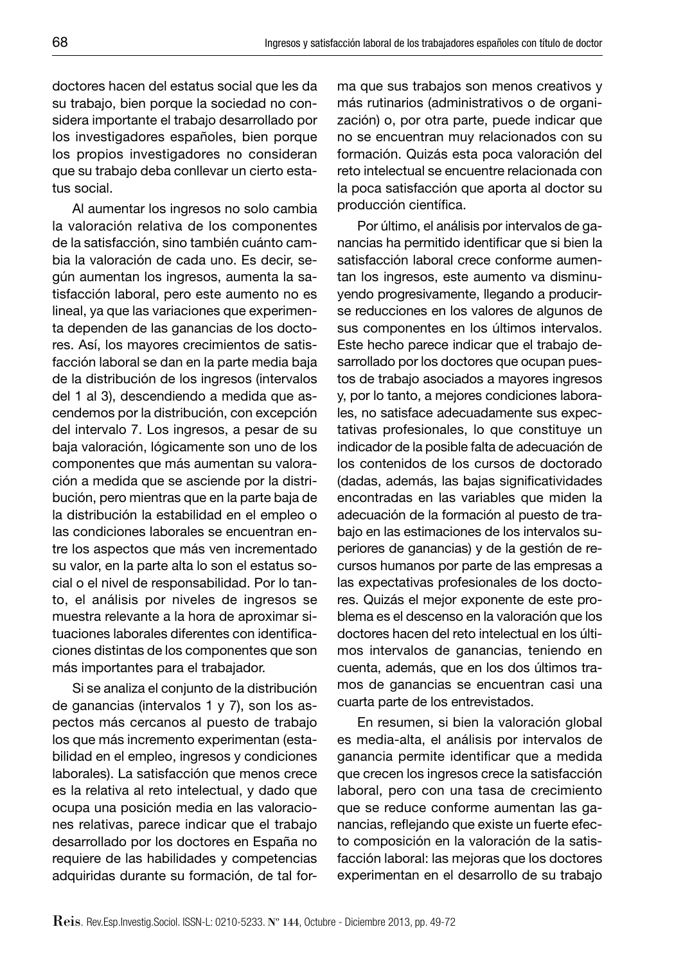doctores hacen del estatus social que les da su trabajo, bien porque la sociedad no considera importante el trabajo desarrollado por los investigadores españoles, bien porque los propios investigadores no consideran que su trabajo deba conllevar un cierto estatus social.

Al aumentar los ingresos no solo cambia la valoración relativa de los componentes de la satisfacción, sino también cuánto cambia la valoración de cada uno. Es decir, según aumentan los ingresos, aumenta la satisfacción laboral, pero este aumento no es lineal, ya que las variaciones que experimenta dependen de las ganancias de los doctores. Así, los mayores crecimientos de satisfacción laboral se dan en la parte media baja de la distribución de los ingresos (intervalos del 1 al 3), descendiendo a medida que ascendemos por la distribución, con excepción del intervalo 7. Los ingresos, a pesar de su baja valoración, lógicamente son uno de los componentes que más aumentan su valoración a medida que se asciende por la distribución, pero mientras que en la parte baja de la distribución la estabilidad en el empleo o las condiciones laborales se encuentran entre los aspectos que más ven incrementado su valor, en la parte alta lo son el estatus social o el nivel de responsabilidad. Por lo tanto, el análisis por niveles de ingresos se muestra relevante a la hora de aproximar situaciones laborales diferentes con identificaciones distintas de los componentes que son más importantes para el trabajador.

Si se analiza el conjunto de la distribución de ganancias (intervalos 1 y 7), son los aspectos más cercanos al puesto de trabajo los que más incremento experimentan (estabilidad en el empleo, ingresos y condiciones laborales). La satisfacción que menos crece es la relativa al reto intelectual, y dado que ocupa una posición media en las valoraciones relativas, parece indicar que el trabajo desarrollado por los doctores en España no requiere de las habilidades y competencias adquiridas durante su formación, de tal forma que sus trabajos son menos creativos y más rutinarios (administrativos o de organización) o, por otra parte, puede indicar que no se encuentran muy relacionados con su formación. Quizás esta poca valoración del reto intelectual se encuentre relacionada con la poca satisfacción que aporta al doctor su producción científica.

Por último, el análisis por intervalos de ganancias ha permitido identificar que si bien la satisfacción laboral crece conforme aumentan los ingresos, este aumento va disminuyendo progresivamente, llegando a producirse reducciones en los valores de algunos de sus componentes en los últimos intervalos. Este hecho parece indicar que el trabajo desarrollado por los doctores que ocupan puestos de trabajo asociados a mayores ingresos y, por lo tanto, a mejores condiciones laborales, no satisface adecuadamente sus expectativas profesionales, lo que constituye un indicador de la posible falta de adecuación de los contenidos de los cursos de doctorado (dadas, además, las bajas significatividades encontradas en las variables que miden la adecuación de la formación al puesto de trabajo en las estimaciones de los intervalos superiores de ganancias) y de la gestión de recursos humanos por parte de las empresas a las expectativas profesionales de los doctores. Quizás el mejor exponente de este problema es el descenso en la valoración que los doctores hacen del reto intelectual en los últimos intervalos de ganancias, teniendo en cuenta, además, que en los dos últimos tramos de ganancias se encuentran casi una cuarta parte de los entrevistados.

En resumen, si bien la valoración global es media-alta, el análisis por intervalos de ganancia permite identificar que a medida que crecen los ingresos crece la satisfacción laboral, pero con una tasa de crecimiento que se reduce conforme aumentan las ganancias, reflejando que existe un fuerte efecto composición en la valoración de la satisfacción laboral: las mejoras que los doctores experimentan en el desarrollo de su trabajo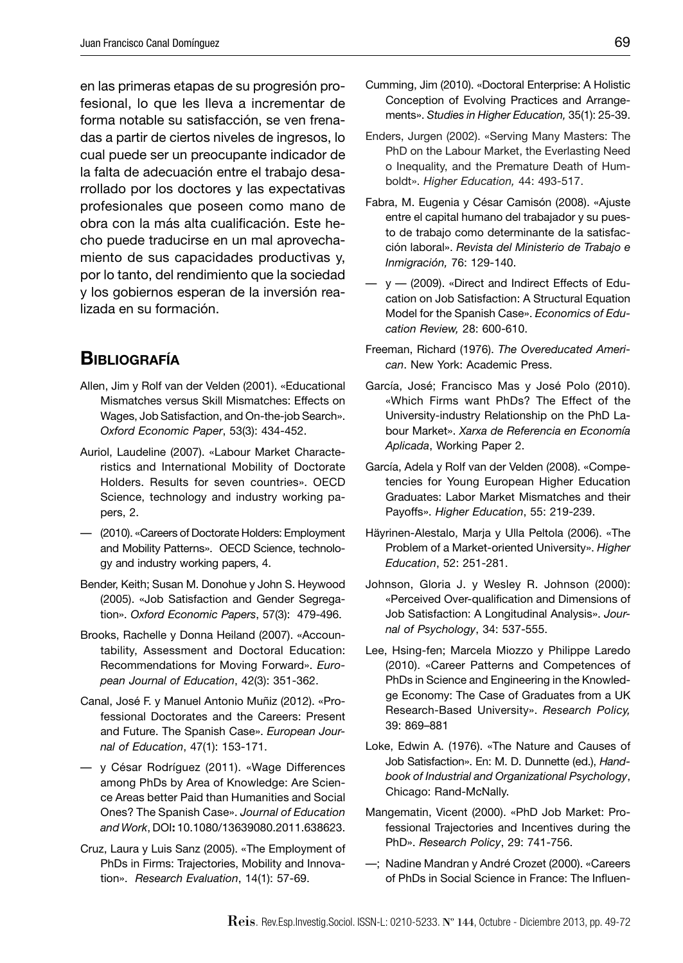en las primeras etapas de su progresión profesional, lo que les lleva a incrementar de forma notable su satisfacción, se ven frenadas a partir de ciertos niveles de ingresos, lo cual puede ser un preocupante indicador de la falta de adecuación entre el trabajo desarrollado por los doctores y las expectativas profesionales que poseen como mano de obra con la más alta cualificación. Este hecho puede traducirse en un mal aprovechamiento de sus capacidades productivas y, por lo tanto, del rendimiento que la sociedad y los gobiernos esperan de la inversión realizada en su formación.

# **BIBLIOGRAFÍA**

- Allen, Jim y Rolf van der Velden (2001). «Educational Mismatches versus Skill Mismatches: Effects on Wages, Job Satisfaction, and On-the-job Search». *Oxford Economic Paper*, 53(3): 434-452.
- Auriol, Laudeline (2007). «Labour Market Characteristics and International Mobility of Doctorate Holders. Results for seven countries». OECD Science, technology and industry working papers, 2.
- (2010). «Careers of Doctorate Holders: Employment and Mobility Patterns». OECD Science, technology and industry working papers, 4.
- Bender, Keith; Susan M. Donohue y John S. Heywood (2005). «Job Satisfaction and Gender Segregation». *Oxford Economic Papers*, 57(3): 479-496.
- Brooks, Rachelle y Donna Heiland (2007). «Accountability, Assessment and Doctoral Education: Recommendations for Moving Forward». *European Journal of Education*, 42(3): 351-362.
- Canal, José F. y Manuel Antonio Muñiz (2012). «Professional Doctorates and the Careers: Present and Future. The Spanish Case». *European Journal of Education*, 47(1): 153-171.
- y César Rodríguez (2011). «Wage Differences among PhDs by Area of Knowledge: Are Science Areas better Paid than Humanities and Social Ones? The Spanish Case». *Journal of Education and Work*, DOI**:** 10.1080/13639080.2011.638623.
- Cruz, Laura y Luis Sanz (2005). «The Employment of PhDs in Firms: Trajectories, Mobility and Innovation». *Research Evaluation*, 14(1): 57-69.
- Cumming, Jim (2010). «Doctoral Enterprise: A Holistic Conception of Evolving Practices and Arrangements». *Studies in Higher Education,* 35(1): 25-39.
- Enders, Jurgen (2002). «Serving Many Masters: The PhD on the Labour Market, the Everlasting Need o Inequality, and the Premature Death of Humboldt». *Higher Education,* 44: 493-517.
- Fabra, M. Eugenia y César Camisón (2008). «Ajuste entre el capital humano del trabajador y su puesto de trabajo como determinante de la satisfacción laboral». *Revista del Ministerio de Trabajo e Inmigración,* 76: 129-140.
- $-$  y  $-$  (2009). «Direct and Indirect Effects of Education on Job Satisfaction: A Structural Equation Model for the Spanish Case». *Economics of Education Review,* 28: 600-610.
- Freeman, Richard (1976). *The Overeducated American*. New York: Academic Press.
- García, José; Francisco Mas y José Polo (2010). «Which Firms want PhDs? The Effect of the University-industry Relationship on the PhD Labour Market». *Xarxa de Referencia en Economía Aplicada*, Working Paper 2.
- García, Adela y Rolf van der Velden (2008). «Competencies for Young European Higher Education Graduates: Labor Market Mismatches and their Payoffs». *Higher Education*, 55: 219-239.
- Häyrinen-Alestalo, Marja y Ulla Peltola (2006). «The Problem of a Market-oriented University». *Higher Education*, 52: 251-281.
- Johnson, Gloria J. y Wesley R. Johnson (2000): «Perceived Over-qualification and Dimensions of Job Satisfaction: A Longitudinal Analysis». *Journal of Psychology*, 34: 537-555.
- Lee, Hsing-fen; Marcela Miozzo y Philippe Laredo (2010). «Career Patterns and Competences of PhDs in Science and Engineering in the Knowledge Economy: The Case of Graduates from a UK Research-Based University». *Research Policy,*  39: 869–881
- Loke, Edwin A. (1976). «The Nature and Causes of Job Satisfaction». En: M. D. Dunnette (ed.), *Handbook of Industrial and Organizational Psychology*, Chicago: Rand-McNally.
- Mangematin, Vicent (2000). «PhD Job Market: Professional Trajectories and Incentives during the PhD». *Research Policy*, 29: 741-756.
- —; Nadine Mandran y André Crozet (2000). «Careers of PhDs in Social Science in France: The Influen-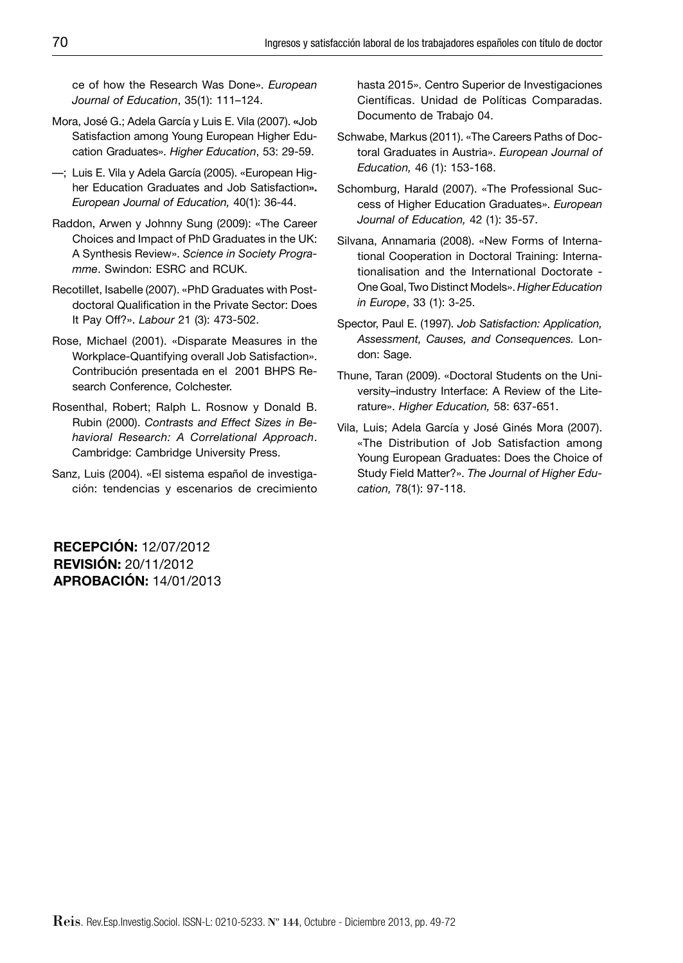ce of how the Research Was Done». *European Journal of Education*, 35(1): 111–124.

- Mora, José G.; Adela García y Luis E. Vila (2007). **«**Job Satisfaction among Young European Higher Education Graduates». *Higher Education*, 53: 29-59.
- —; Luis E. Vila y Adela García (2005). «European Higher Education Graduates and Job Satisfaction**».** *European Journal of Education,* 40(1): 36-44.
- Raddon, Arwen y Johnny Sung (2009): «The Career Choices and Impact of PhD Graduates in the UK: A Synthesis Review». *Science in Society Programme*. Swindon: ESRC and RCUK.
- Recotillet, Isabelle (2007). «PhD Graduates with Postdoctoral Qualification in the Private Sector: Does It Pay Off?». *Labour* 21 (3): 473-502.
- Rose, Michael (2001). «Disparate Measures in the Workplace-Quantifying overall Job Satisfaction». Contribución presentada en el 2001 BHPS Research Conference, Colchester.
- Rosenthal, Robert; Ralph L. Rosnow y Donald B. Rubin (2000). *Contrasts and Effect Sizes in Behavioral Research: A Correlational Approach*. Cambridge: Cambridge University Press.
- Sanz, Luis (2004). «El sistema español de investigación: tendencias y escenarios de crecimiento

hasta 2015». Centro Superior de Investigaciones Científicas. Unidad de Políticas Comparadas. Documento de Trabajo 04.

- Schwabe, Markus (2011). «The Careers Paths of Doctoral Graduates in Austria». *European Journal of Education,* 46 (1): 153-168.
- Schomburg, Harald (2007). «The Professional Success of Higher Education Graduates». *European Journal of Education,* 42 (1): 35-57.
- Silvana, Annamaria (2008). «New Forms of International Cooperation in Doctoral Training: Internationalisation and the International Doctorate - One Goal, Two Distinct Models». *Higher Education in Europe*, 33 (1): 3-25.
- Spector, Paul E. (1997). *Job Satisfaction: Application, Assessment, Causes, and Consequences.* London: Sage.
- Thune, Taran (2009). «Doctoral Students on the University–industry Interface: A Review of the Literature». *Higher Education,* 58: 637-651.
- Vila, Luis; Adela García y José Ginés Mora (2007). «The Distribution of Job Satisfaction among Young European Graduates: Does the Choice of Study Field Matter?». *The Journal of Higher Education,* 78(1): 97-118.

**RECEPCIÓN:** 12/07/2012 **REVISIÓN:** 20/11/2012 **APROBACIÓN:** 14/01/2013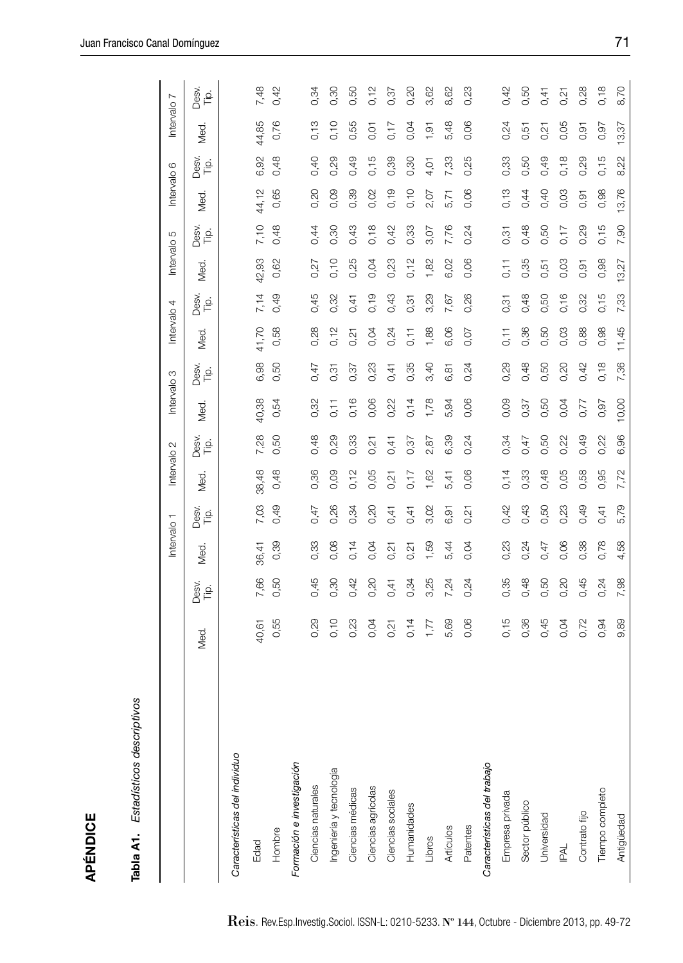| ۱ |
|---|
|   |
|   |
|   |
|   |
|   |
|   |
|   |
|   |
|   |
|   |
|   |
|   |
|   |
|   |
|   |
|   |
|   |
|   |
|   |
|   |
|   |
|   |
|   |
|   |
|   |
|   |
| ı |
|   |
|   |
|   |
|   |
|   |
|   |
|   |
|   |
|   |
|   |
|   |
|   |
|   |
|   |
|   |
|   |
|   |
|   |
|   |
|   |
|   |

| APÉNDICE                            |       |               |             |               |                        |               |                        |               |             |               |                        |               |                        |               |           |               |
|-------------------------------------|-------|---------------|-------------|---------------|------------------------|---------------|------------------------|---------------|-------------|---------------|------------------------|---------------|------------------------|---------------|-----------|---------------|
| Tabla A1. Estadísticos descriptivos |       |               |             |               |                        |               |                        |               |             |               |                        |               |                        |               |           |               |
|                                     |       |               | Intervalo 1 |               | Intervalo <sub>2</sub> |               | Intervalo <sub>3</sub> |               | Intervalo 4 |               | Intervalo <sub>5</sub> |               | Intervalo <sub>6</sub> |               | Intervalo | $\sim$        |
|                                     | Med.  | Desv.<br>Tip. | Med.        | Desv.<br>Tip. | Med.                   | Desv.<br>Tip. | Med.                   | Desv.<br>Tip. | Med.        | Desv.<br>Tip. | Med.                   | Desv.<br>Tip. | Med.                   | Desv.<br>Tip. | Med.      | Desv.<br>Tip. |
| Características del individuo       |       |               |             |               |                        |               |                        |               |             |               |                        |               |                        |               |           |               |
| Edad                                | 40,61 | 7,66          | 36,41       | 7,03          | 38,48                  | 7,28          | 40,38                  | 6,98          | 41,70       | 7,14          | 42,93                  | 7,10          | 44,12                  | 6,92          | 44,85     | 7,48          |
| Hombre                              | 0,55  | 0,50          | 0,39        | 0,49          | 0,48                   | 50<br>Õ       | 0,54                   | 0,50          | 0,58        | 0,49          | 0,62                   | 0,48          | 0,65                   | 0,48          | 0,76      | 0,42          |
| Formación e investigación           |       |               |             |               |                        |               |                        |               |             |               |                        |               |                        |               |           |               |
| Ciencias naturales                  | 0,29  | 0,45          | 0,33        | 0,47          | 0,36                   | 0,48          | 0,32                   | 0,47          | 0,28        | 0,45          | 0,27                   | 0,44          | 0,20                   | 0,40          | 0,13      | 0,34          |
| Ingeniería y tecnología             | 0,10  | 0,30          | 0,08        | 0,26          | 0,09                   | 0,29          | 0,11                   | 0,31          | 0,12        | 0,32          | 0,10                   | 0,30          | 0,09                   | 0,29          | 0,10      | 0,30          |
| Ciencias médicas                    | 0,23  | 0,42          | 0,14        | 0,34          | 0,12                   | 0,33          | 0,16                   | 0,37          | 0,21        | 0,41          | 0,25                   | 0,43          | 0,39                   | 0,49          | 0,55      | 0,50          |
| Ciencias agrícolas                  | 0,04  | 0,20          | 0,04        | 0,20          | 0,05                   | 0,21          | 0,06                   | 0,23          | 0,04        | 0,19          | 0,04                   | 0,18          | 0,02                   | 0,15          | 0,01      | 0,12          |
| Ciencias sociales                   | 0,21  | 0,41          | 0,21        | 0,41          | 0,21                   | 0,41          | 0,22                   | 0,41          | 0,24        | 0,43          | 0,23                   | 0,42          | 0,19                   | 0,39          | 0,17      | 0,37          |
| Humanidades                         | 0,14  | 0,34          | 0,21        | 0,41          | 0,17                   | 0,37          | 0,14                   | 0,35          | 0,11        | 0,31          | 0,12                   | 0,33          | 0,10                   | 0,30          | 0,04      | 0,20          |
| Libros                              | 1,77  | 3,25          | 1,59        | 3,02          | 1,62                   | 2,87          | 1,78                   | 3,40          | 1,88        | 3,29          | 1,82                   | 3,07          | 2,07                   | 4,01          | 1,91      | 3,62          |
| Artículos                           | 5,69  | 7,24          | 5,44        | 6,91          | 5,41                   | 6,39          | 5,94                   | 6,81          | 6,06        | 7,67          | 6,02                   | 7,76          | 5,71                   | 7,33          | 5,48      | 8,62          |
| Patentes                            | 0,06  | 0,24          | 0,04        | 0,21          | 0,06                   | 0,24          | 0,06                   | 0,24          | 0,07        | 0,26          | 0,06                   | 0,24          | 0,06                   | 0,25          | 0,06      | 0,23          |
| Características del trabajo         |       |               |             |               |                        |               |                        |               |             |               |                        |               |                        |               |           |               |
| Empresa privada                     | 0,15  | 0,35          | 0,23        | 0,42          | 0,14                   | 0,34          | 0,09                   | 0,29          | 0,11        | 0,31          | 0,11                   | 0,31          | 0,13                   | 0,33          | 0,24      | 0,42          |
| Sector público                      | 0,36  | 0,48          | 0,24        | 0,43          | 0,33                   | 0,47          | 0,37                   | 0,48          | 0,36        | 0,48          | 0,35                   | 0,48          | 0,44                   | 0,50          | 0,51      | 0,50          |
| Universidad                         | 0,45  | 0,50          | 0,47        | 0,50          | 0,48                   | 0,50          | 0,50                   | 0,50          | 0,50        | 0,50          | 0,51                   | 0,50          | 0,40                   | 0,49          | 0,21      | 0,41          |
| <b>IPAL</b>                         | 0,04  | 0,20          | 0,06        | 0,23          | 0,05                   | 0,22          | 0,04                   | 0,20          | 0,03        | 0,16          | 0,03                   | 0,17          | 0,03                   | 0,18          | 0,05      | 0,21          |
| Contrato fijo                       | 0,72  | 0,45          | 0,38        | 0,49          | 0,58                   | 0,49          | 0,77                   | 0,42          | 0,88        | 0,32          | 0,91                   | 0,29          | 0,91                   | 0,29          | 0,91      | 0,28          |
| Tiempo completo                     | 0,94  | 0,24          | 0,78        | 0,41          | 0,95                   | 0,22          | 0,97                   | 0,18          | 0,98        | 0,15          | 0,98                   | 0,15          | 0,98                   | 0,15          | 0,97      | 0,18          |
| Antigüedad                          | 9,89  | 7,98          | 4,58        | 5,79          | 7,72                   | 6,96          | 10,00                  | 7,36          | 11,45       | 7,33          | 13,27                  | 7,90          | 13,76                  | 8,22          | 13,37     | 8,70          |